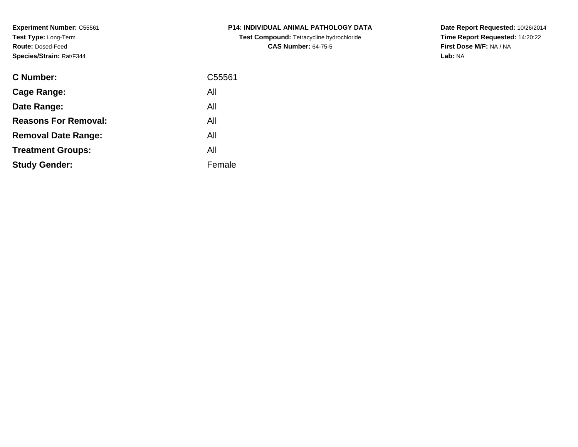**Experiment Number:** C55561**Test Type:** Long-Term**Route:** Dosed-Feed**Species/Strain:** Rat/F344

| <b>C Number:</b>            | C55561 |
|-----------------------------|--------|
| <b>Cage Range:</b>          | All    |
| Date Range:                 | All    |
| <b>Reasons For Removal:</b> | All    |
| <b>Removal Date Range:</b>  | All    |
| <b>Treatment Groups:</b>    | All    |
| <b>Study Gender:</b>        | Female |
|                             |        |

**P14: INDIVIDUAL ANIMAL PATHOLOGY DATATest Compound:** Tetracycline hydrochloride**CAS Number:** 64-75-5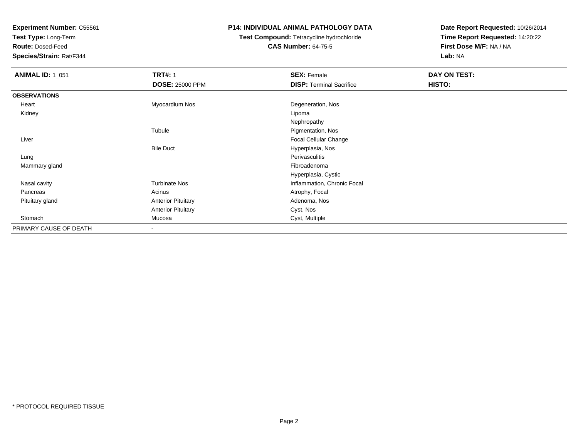**Test Type:** Long-Term

**Route:** Dosed-Feed

**Species/Strain:** Rat/F344

## **P14: INDIVIDUAL ANIMAL PATHOLOGY DATA**

# **Test Compound:** Tetracycline hydrochloride**CAS Number:** 64-75-5

| <b>ANIMAL ID: 1_051</b> | <b>TRT#: 1</b>            | <b>SEX: Female</b>              | DAY ON TEST: |  |
|-------------------------|---------------------------|---------------------------------|--------------|--|
|                         | <b>DOSE: 25000 PPM</b>    | <b>DISP: Terminal Sacrifice</b> | HISTO:       |  |
| <b>OBSERVATIONS</b>     |                           |                                 |              |  |
| Heart                   | Myocardium Nos            | Degeneration, Nos               |              |  |
| Kidney                  |                           | Lipoma                          |              |  |
|                         |                           | Nephropathy                     |              |  |
|                         | Tubule                    | Pigmentation, Nos               |              |  |
| Liver                   |                           | Focal Cellular Change           |              |  |
|                         | <b>Bile Duct</b>          | Hyperplasia, Nos                |              |  |
| Lung                    |                           | Perivasculitis                  |              |  |
| Mammary gland           |                           | Fibroadenoma                    |              |  |
|                         |                           | Hyperplasia, Cystic             |              |  |
| Nasal cavity            | <b>Turbinate Nos</b>      | Inflammation, Chronic Focal     |              |  |
| Pancreas                | Acinus                    | Atrophy, Focal                  |              |  |
| Pituitary gland         | <b>Anterior Pituitary</b> | Adenoma, Nos                    |              |  |
|                         | <b>Anterior Pituitary</b> | Cyst, Nos                       |              |  |
| Stomach                 | Mucosa                    | Cyst, Multiple                  |              |  |
| PRIMARY CAUSE OF DEATH  | $\blacksquare$            |                                 |              |  |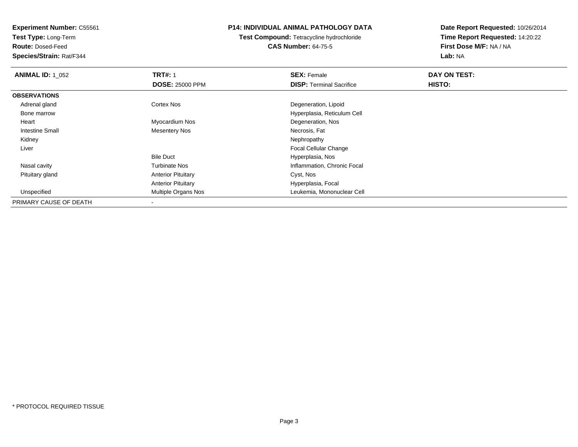**Test Type:** Long-Term

**Route:** Dosed-Feed

**Species/Strain:** Rat/F344

## **P14: INDIVIDUAL ANIMAL PATHOLOGY DATA**

**Test Compound:** Tetracycline hydrochloride**CAS Number:** 64-75-5

| <b>ANIMAL ID: 1 052</b> | <b>TRT#: 1</b>             | <b>SEX: Female</b>              | DAY ON TEST:  |  |
|-------------------------|----------------------------|---------------------------------|---------------|--|
|                         | <b>DOSE: 25000 PPM</b>     | <b>DISP:</b> Terminal Sacrifice | <b>HISTO:</b> |  |
| <b>OBSERVATIONS</b>     |                            |                                 |               |  |
| Adrenal gland           | Cortex Nos                 | Degeneration, Lipoid            |               |  |
| Bone marrow             |                            | Hyperplasia, Reticulum Cell     |               |  |
| Heart                   | Myocardium Nos             | Degeneration, Nos               |               |  |
| <b>Intestine Small</b>  | <b>Mesentery Nos</b>       | Necrosis, Fat                   |               |  |
| Kidney                  |                            | Nephropathy                     |               |  |
| Liver                   |                            | <b>Focal Cellular Change</b>    |               |  |
|                         | <b>Bile Duct</b>           | Hyperplasia, Nos                |               |  |
| Nasal cavity            | <b>Turbinate Nos</b>       | Inflammation, Chronic Focal     |               |  |
| Pituitary gland         | <b>Anterior Pituitary</b>  | Cyst, Nos                       |               |  |
|                         | <b>Anterior Pituitary</b>  | Hyperplasia, Focal              |               |  |
| Unspecified             | <b>Multiple Organs Nos</b> | Leukemia, Mononuclear Cell      |               |  |
| PRIMARY CAUSE OF DEATH  |                            |                                 |               |  |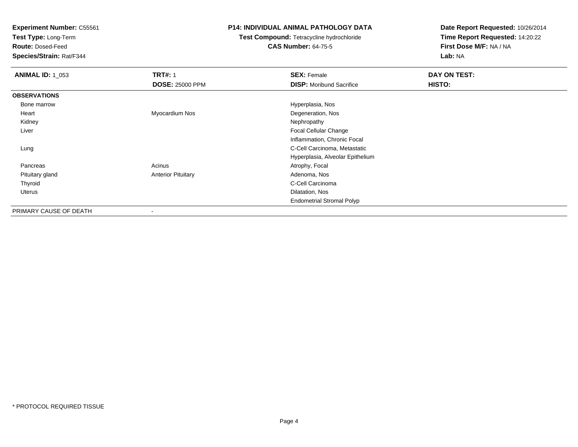**Test Type:** Long-Term

**Route:** Dosed-Feed

**Species/Strain:** Rat/F344

## **P14: INDIVIDUAL ANIMAL PATHOLOGY DATA**

# **Test Compound:** Tetracycline hydrochloride**CAS Number:** 64-75-5

| <b>ANIMAL ID: 1 053</b> | <b>TRT#: 1</b>            | <b>SEX: Female</b>               | DAY ON TEST: |
|-------------------------|---------------------------|----------------------------------|--------------|
|                         | <b>DOSE: 25000 PPM</b>    | <b>DISP:</b> Moribund Sacrifice  | HISTO:       |
| <b>OBSERVATIONS</b>     |                           |                                  |              |
| Bone marrow             |                           | Hyperplasia, Nos                 |              |
| Heart                   | Myocardium Nos            | Degeneration, Nos                |              |
| Kidney                  |                           | Nephropathy                      |              |
| Liver                   |                           | <b>Focal Cellular Change</b>     |              |
|                         |                           | Inflammation, Chronic Focal      |              |
| Lung                    |                           | C-Cell Carcinoma, Metastatic     |              |
|                         |                           | Hyperplasia, Alveolar Epithelium |              |
| Pancreas                | Acinus                    | Atrophy, Focal                   |              |
| Pituitary gland         | <b>Anterior Pituitary</b> | Adenoma, Nos                     |              |
| Thyroid                 |                           | C-Cell Carcinoma                 |              |
| Uterus                  |                           | Dilatation, Nos                  |              |
|                         |                           | <b>Endometrial Stromal Polyp</b> |              |
| PRIMARY CAUSE OF DEATH  | -                         |                                  |              |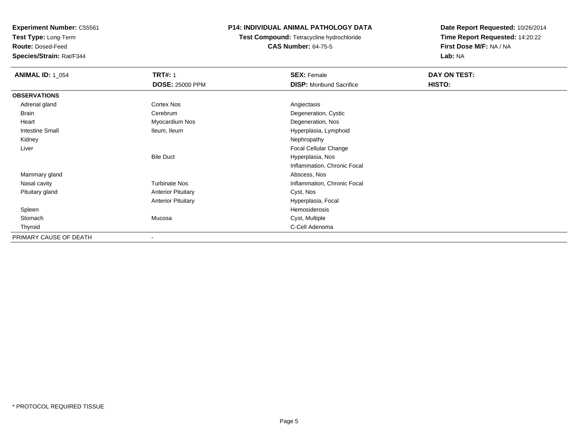**Test Type:** Long-Term

**Route:** Dosed-Feed

**Species/Strain:** Rat/F344

## **P14: INDIVIDUAL ANIMAL PATHOLOGY DATA**

# **Test Compound:** Tetracycline hydrochloride**CAS Number:** 64-75-5

| <b>ANIMAL ID: 1_054</b> | <b>TRT#: 1</b>            | <b>SEX: Female</b>              | DAY ON TEST:  |  |
|-------------------------|---------------------------|---------------------------------|---------------|--|
|                         | <b>DOSE: 25000 PPM</b>    | <b>DISP:</b> Moribund Sacrifice | <b>HISTO:</b> |  |
| <b>OBSERVATIONS</b>     |                           |                                 |               |  |
| Adrenal gland           | <b>Cortex Nos</b>         | Angiectasis                     |               |  |
| Brain                   | Cerebrum                  | Degeneration, Cystic            |               |  |
| Heart                   | Myocardium Nos            | Degeneration, Nos               |               |  |
| <b>Intestine Small</b>  | Ileum, Ileum              | Hyperplasia, Lymphoid           |               |  |
| Kidney                  |                           | Nephropathy                     |               |  |
| Liver                   |                           | Focal Cellular Change           |               |  |
|                         | <b>Bile Duct</b>          | Hyperplasia, Nos                |               |  |
|                         |                           | Inflammation, Chronic Focal     |               |  |
| Mammary gland           |                           | Abscess, Nos                    |               |  |
| Nasal cavity            | <b>Turbinate Nos</b>      | Inflammation, Chronic Focal     |               |  |
| Pituitary gland         | <b>Anterior Pituitary</b> | Cyst, Nos                       |               |  |
|                         | <b>Anterior Pituitary</b> | Hyperplasia, Focal              |               |  |
| Spleen                  |                           | Hemosiderosis                   |               |  |
| Stomach                 | Mucosa                    | Cyst, Multiple                  |               |  |
| Thyroid                 |                           | C-Cell Adenoma                  |               |  |
| PRIMARY CAUSE OF DEATH  |                           |                                 |               |  |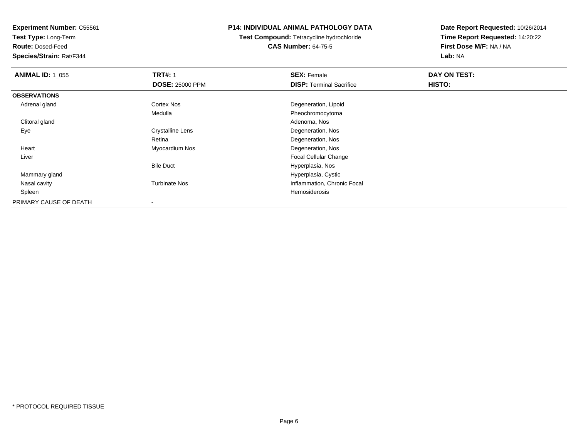**Test Type:** Long-Term

**Route:** Dosed-Feed

**Species/Strain:** Rat/F344

## **P14: INDIVIDUAL ANIMAL PATHOLOGY DATA**

**Test Compound:** Tetracycline hydrochloride**CAS Number:** 64-75-5

| <b>ANIMAL ID: 1_055</b> | <b>TRT#: 1</b>          | <b>SEX: Female</b>              | DAY ON TEST:  |  |
|-------------------------|-------------------------|---------------------------------|---------------|--|
|                         | <b>DOSE: 25000 PPM</b>  | <b>DISP: Terminal Sacrifice</b> | <b>HISTO:</b> |  |
| <b>OBSERVATIONS</b>     |                         |                                 |               |  |
| Adrenal gland           | <b>Cortex Nos</b>       | Degeneration, Lipoid            |               |  |
|                         | Medulla                 | Pheochromocytoma                |               |  |
| Clitoral gland          |                         | Adenoma, Nos                    |               |  |
| Eye                     | <b>Crystalline Lens</b> | Degeneration, Nos               |               |  |
|                         | Retina                  | Degeneration, Nos               |               |  |
| Heart                   | Myocardium Nos          | Degeneration, Nos               |               |  |
| Liver                   |                         | <b>Focal Cellular Change</b>    |               |  |
|                         | <b>Bile Duct</b>        | Hyperplasia, Nos                |               |  |
| Mammary gland           |                         | Hyperplasia, Cystic             |               |  |
| Nasal cavity            | <b>Turbinate Nos</b>    | Inflammation, Chronic Focal     |               |  |
| Spleen                  |                         | Hemosiderosis                   |               |  |
| PRIMARY CAUSE OF DEATH  |                         |                                 |               |  |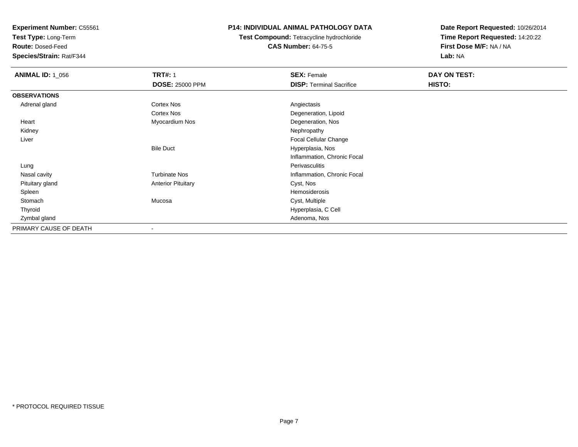**Test Type:** Long-Term

**Route:** Dosed-Feed

**Species/Strain:** Rat/F344

## **P14: INDIVIDUAL ANIMAL PATHOLOGY DATA**

**Test Compound:** Tetracycline hydrochloride**CAS Number:** 64-75-5

| <b>ANIMAL ID: 1_056</b> | <b>TRT#: 1</b>            | <b>SEX: Female</b>              | DAY ON TEST: |  |
|-------------------------|---------------------------|---------------------------------|--------------|--|
|                         | <b>DOSE: 25000 PPM</b>    | <b>DISP: Terminal Sacrifice</b> | HISTO:       |  |
| <b>OBSERVATIONS</b>     |                           |                                 |              |  |
| Adrenal gland           | <b>Cortex Nos</b>         | Angiectasis                     |              |  |
|                         | <b>Cortex Nos</b>         | Degeneration, Lipoid            |              |  |
| Heart                   | Myocardium Nos            | Degeneration, Nos               |              |  |
| Kidney                  |                           | Nephropathy                     |              |  |
| Liver                   |                           | Focal Cellular Change           |              |  |
|                         | <b>Bile Duct</b>          | Hyperplasia, Nos                |              |  |
|                         |                           | Inflammation, Chronic Focal     |              |  |
| Lung                    |                           | Perivasculitis                  |              |  |
| Nasal cavity            | <b>Turbinate Nos</b>      | Inflammation, Chronic Focal     |              |  |
| Pituitary gland         | <b>Anterior Pituitary</b> | Cyst, Nos                       |              |  |
| Spleen                  |                           | Hemosiderosis                   |              |  |
| Stomach                 | Mucosa                    | Cyst, Multiple                  |              |  |
| Thyroid                 |                           | Hyperplasia, C Cell             |              |  |
| Zymbal gland            |                           | Adenoma, Nos                    |              |  |
| PRIMARY CAUSE OF DEATH  | $\overline{\phantom{a}}$  |                                 |              |  |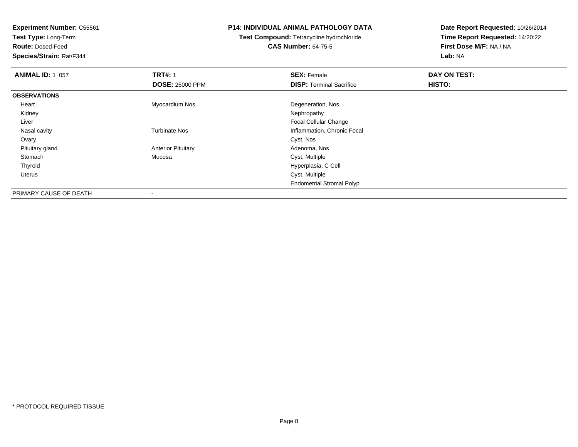**Test Type:** Long-Term

**Route:** Dosed-Feed

**Species/Strain:** Rat/F344

### **P14: INDIVIDUAL ANIMAL PATHOLOGY DATA**

# **Test Compound:** Tetracycline hydrochloride**CAS Number:** 64-75-5

| <b>ANIMAL ID: 1_057</b> | <b>TRT#: 1</b>            | <b>SEX: Female</b>               | DAY ON TEST: |  |
|-------------------------|---------------------------|----------------------------------|--------------|--|
|                         | <b>DOSE: 25000 PPM</b>    | <b>DISP: Terminal Sacrifice</b>  | HISTO:       |  |
| <b>OBSERVATIONS</b>     |                           |                                  |              |  |
| Heart                   | Myocardium Nos            | Degeneration, Nos                |              |  |
| Kidney                  |                           | Nephropathy                      |              |  |
| Liver                   |                           | <b>Focal Cellular Change</b>     |              |  |
| Nasal cavity            | <b>Turbinate Nos</b>      | Inflammation, Chronic Focal      |              |  |
| Ovary                   |                           | Cyst, Nos                        |              |  |
| Pituitary gland         | <b>Anterior Pituitary</b> | Adenoma, Nos                     |              |  |
| Stomach                 | Mucosa                    | Cyst, Multiple                   |              |  |
| Thyroid                 |                           | Hyperplasia, C Cell              |              |  |
| Uterus                  |                           | Cyst, Multiple                   |              |  |
|                         |                           | <b>Endometrial Stromal Polyp</b> |              |  |
| PRIMARY CAUSE OF DEATH  | $\overline{\phantom{a}}$  |                                  |              |  |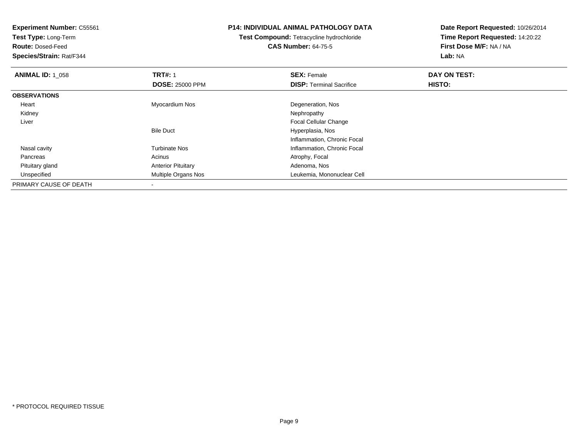**Experiment Number:** C55561**Test Type:** Long-Term**Route:** Dosed-Feed **Species/Strain:** Rat/F344**P14: INDIVIDUAL ANIMAL PATHOLOGY DATATest Compound:** Tetracycline hydrochloride**CAS Number:** 64-75-5**Date Report Requested:** 10/26/2014**Time Report Requested:** 14:20:22**First Dose M/F:** NA / NA**Lab:** NA**ANIMAL ID: 1\_058 REX:** Female **DAY ON TEST: CONSIST: SEX:** Female **DAY ON TEST: DOSE:** 25000 PPM**DISP:** Terminal Sacrifice **HISTO: OBSERVATIONS** Heart Myocardium Nos Degeneration, Nos Kidneyy the control of the control of the control of the control of the control of the control of the control of the control of the control of the control of the control of the control of the control of the control of the contro Liver Focal Cellular ChangeBile Duct Hyperplasia, Nos Inflammation, Chronic Focal Nasal cavityTurbinate Nos **Inflammation**, Chronic Focal PancreasAcinus **Acinus** Atrophy, Focal Pituitary glandAnterior Pituitary **Adenoma, Nos**<br>
Multiple Organs Nos **Adenoma, Northuma**<br>
Leukemia, Mon UnspecifiedLeukemia, Mononuclear Cell PRIMARY CAUSE OF DEATH

-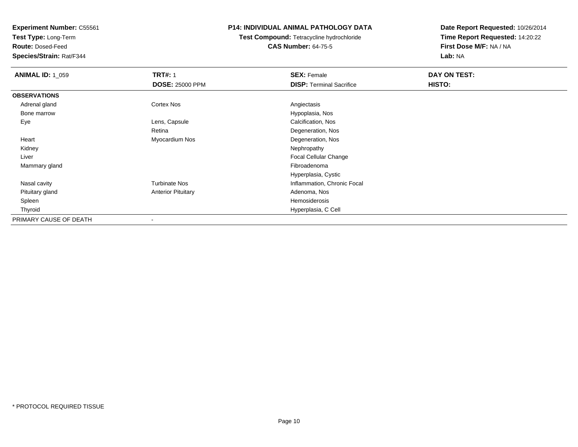**Test Type:** Long-Term

**Route:** Dosed-Feed

**Species/Strain:** Rat/F344

## **P14: INDIVIDUAL ANIMAL PATHOLOGY DATA**

**Test Compound:** Tetracycline hydrochloride**CAS Number:** 64-75-5

| <b>ANIMAL ID: 1_059</b> | <b>TRT#: 1</b>            | <b>SEX: Female</b>              | DAY ON TEST: |  |
|-------------------------|---------------------------|---------------------------------|--------------|--|
|                         | <b>DOSE: 25000 PPM</b>    | <b>DISP: Terminal Sacrifice</b> | HISTO:       |  |
| <b>OBSERVATIONS</b>     |                           |                                 |              |  |
| Adrenal gland           | <b>Cortex Nos</b>         | Angiectasis                     |              |  |
| Bone marrow             |                           | Hypoplasia, Nos                 |              |  |
| Eye                     | Lens, Capsule             | Calcification, Nos              |              |  |
|                         | Retina                    | Degeneration, Nos               |              |  |
| Heart                   | Myocardium Nos            | Degeneration, Nos               |              |  |
| Kidney                  |                           | Nephropathy                     |              |  |
| Liver                   |                           | <b>Focal Cellular Change</b>    |              |  |
| Mammary gland           |                           | Fibroadenoma                    |              |  |
|                         |                           | Hyperplasia, Cystic             |              |  |
| Nasal cavity            | <b>Turbinate Nos</b>      | Inflammation, Chronic Focal     |              |  |
| Pituitary gland         | <b>Anterior Pituitary</b> | Adenoma, Nos                    |              |  |
| Spleen                  |                           | Hemosiderosis                   |              |  |
| Thyroid                 |                           | Hyperplasia, C Cell             |              |  |
| PRIMARY CAUSE OF DEATH  | $\overline{\phantom{a}}$  |                                 |              |  |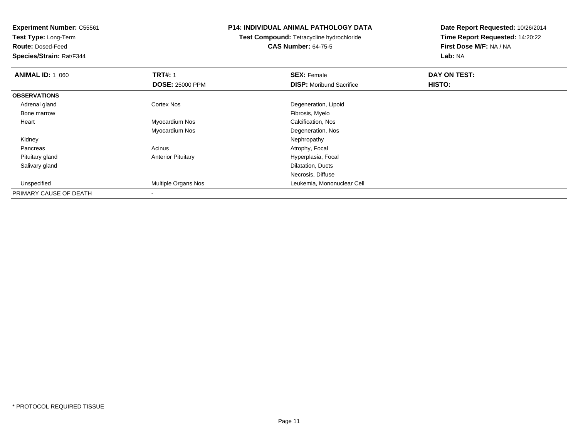**Experiment Number:** C55561**Test Type:** Long-Term**Route:** Dosed-Feed **Species/Strain:** Rat/F344**P14: INDIVIDUAL ANIMAL PATHOLOGY DATATest Compound:** Tetracycline hydrochloride**CAS Number:** 64-75-5**Date Report Requested:** 10/26/2014**Time Report Requested:** 14:20:22**First Dose M/F:** NA / NA**Lab:** NA**ANIMAL ID: 1\_060 C TRT#:** 1 **SEX:** Female **DAY ON TEST: DOSE:** 25000 PPM**DISP:** Moribund Sacrifice **HISTO: OBSERVATIONS** Adrenal glandCortex Nos Degeneration, Lipoid<br>
Fibrosis, Myelo<br>
Fibrosis, Myelo Bone marroww which is a state of the state of the state of the state of the state of the Fibrosis, Myelo state of the state of the state of the state of the state of the state of the state of the state of the state of the state of th Heart Myocardium Nos Calcification, Nos Myocardium NosDegeneration, Nos<br>Nephropathy Kidneyy the control of the control of the control of the control of the control of the control of the control of the control of the control of the control of the control of the control of the control of the control of the contro PancreasAcinus **Acinus** Atrophy, Focal Pituitary glandAnterior Pituitary **Material Contract Contract Pituitary** Hyperplasia, Focal Salivary gland Dilatation, Ducts Necrosis, Diffused **Multiple Organs Nos Leukemia, Mononuclear Cell**  UnspecifiedPRIMARY CAUSE OF DEATH-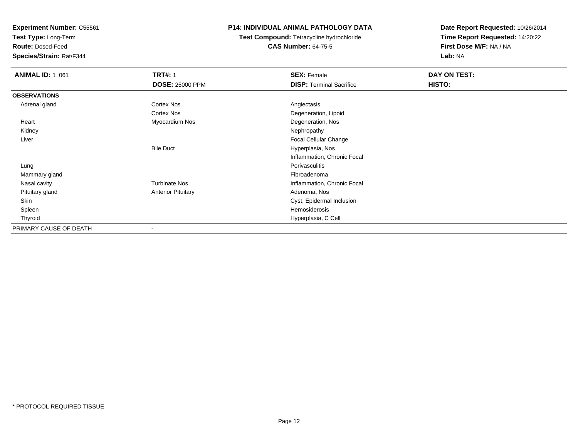**Test Type:** Long-Term

**Route:** Dosed-Feed

**Species/Strain:** Rat/F344

## **P14: INDIVIDUAL ANIMAL PATHOLOGY DATA**

**Test Compound:** Tetracycline hydrochloride**CAS Number:** 64-75-5

| <b>ANIMAL ID: 1_061</b> | <b>TRT#: 1</b>            | <b>SEX: Female</b>              | DAY ON TEST: |
|-------------------------|---------------------------|---------------------------------|--------------|
|                         | <b>DOSE: 25000 PPM</b>    | <b>DISP: Terminal Sacrifice</b> | HISTO:       |
| <b>OBSERVATIONS</b>     |                           |                                 |              |
| Adrenal gland           | <b>Cortex Nos</b>         | Angiectasis                     |              |
|                         | <b>Cortex Nos</b>         | Degeneration, Lipoid            |              |
| Heart                   | Myocardium Nos            | Degeneration, Nos               |              |
| Kidney                  |                           | Nephropathy                     |              |
| Liver                   |                           | Focal Cellular Change           |              |
|                         | <b>Bile Duct</b>          | Hyperplasia, Nos                |              |
|                         |                           | Inflammation, Chronic Focal     |              |
| Lung                    |                           | Perivasculitis                  |              |
| Mammary gland           |                           | Fibroadenoma                    |              |
| Nasal cavity            | <b>Turbinate Nos</b>      | Inflammation, Chronic Focal     |              |
| Pituitary gland         | <b>Anterior Pituitary</b> | Adenoma, Nos                    |              |
| Skin                    |                           | Cyst, Epidermal Inclusion       |              |
| Spleen                  |                           | Hemosiderosis                   |              |
| Thyroid                 |                           | Hyperplasia, C Cell             |              |
| PRIMARY CAUSE OF DEATH  |                           |                                 |              |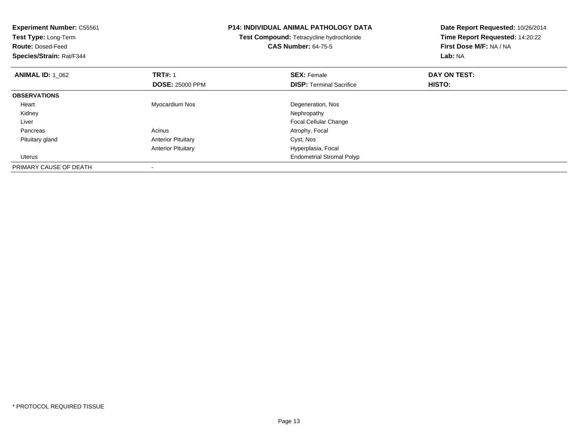| <b>Experiment Number: C55561</b><br>Test Type: Long-Term<br><b>Route: Dosed-Feed</b><br>Species/Strain: Rat/F344 |                           | <b>P14: INDIVIDUAL ANIMAL PATHOLOGY DATA</b><br>Test Compound: Tetracycline hydrochloride<br><b>CAS Number: 64-75-5</b> | Date Report Requested: 10/26/2014<br>Time Report Requested: 14:20:22<br>First Dose M/F: NA / NA<br>Lab: NA |
|------------------------------------------------------------------------------------------------------------------|---------------------------|-------------------------------------------------------------------------------------------------------------------------|------------------------------------------------------------------------------------------------------------|
| <b>ANIMAL ID: 1 062</b>                                                                                          | <b>TRT#:</b> 1            | <b>SEX: Female</b>                                                                                                      | DAY ON TEST:                                                                                               |
|                                                                                                                  | <b>DOSE: 25000 PPM</b>    | <b>DISP:</b> Terminal Sacrifice                                                                                         | HISTO:                                                                                                     |
| <b>OBSERVATIONS</b>                                                                                              |                           |                                                                                                                         |                                                                                                            |
| Heart                                                                                                            | Myocardium Nos            | Degeneration, Nos                                                                                                       |                                                                                                            |
| Kidney                                                                                                           |                           | Nephropathy                                                                                                             |                                                                                                            |
| Liver                                                                                                            |                           | <b>Focal Cellular Change</b>                                                                                            |                                                                                                            |
| Pancreas                                                                                                         | Acinus                    | Atrophy, Focal                                                                                                          |                                                                                                            |
| Pituitary gland                                                                                                  | <b>Anterior Pituitary</b> | Cyst, Nos                                                                                                               |                                                                                                            |
|                                                                                                                  | <b>Anterior Pituitary</b> | Hyperplasia, Focal                                                                                                      |                                                                                                            |
| Uterus                                                                                                           |                           | <b>Endometrial Stromal Polyp</b>                                                                                        |                                                                                                            |
| PRIMARY CAUSE OF DEATH                                                                                           |                           |                                                                                                                         |                                                                                                            |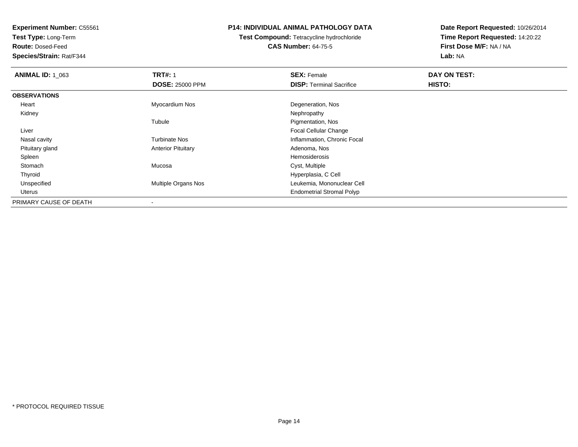**Test Type:** Long-Term

**Route:** Dosed-Feed

**Species/Strain:** Rat/F344

## **P14: INDIVIDUAL ANIMAL PATHOLOGY DATA**

**Test Compound:** Tetracycline hydrochloride**CAS Number:** 64-75-5

| <b>ANIMAL ID: 1 063</b> | <b>TRT#: 1</b>             | <b>SEX: Female</b>               | DAY ON TEST: |  |
|-------------------------|----------------------------|----------------------------------|--------------|--|
|                         | <b>DOSE: 25000 PPM</b>     | <b>DISP:</b> Terminal Sacrifice  | HISTO:       |  |
| <b>OBSERVATIONS</b>     |                            |                                  |              |  |
| Heart                   | Myocardium Nos             | Degeneration, Nos                |              |  |
| Kidney                  |                            | Nephropathy                      |              |  |
|                         | Tubule                     | Pigmentation, Nos                |              |  |
| Liver                   |                            | <b>Focal Cellular Change</b>     |              |  |
| Nasal cavity            | <b>Turbinate Nos</b>       | Inflammation, Chronic Focal      |              |  |
| Pituitary gland         | <b>Anterior Pituitary</b>  | Adenoma, Nos                     |              |  |
| Spleen                  |                            | Hemosiderosis                    |              |  |
| Stomach                 | Mucosa                     | Cyst, Multiple                   |              |  |
| Thyroid                 |                            | Hyperplasia, C Cell              |              |  |
| Unspecified             | <b>Multiple Organs Nos</b> | Leukemia, Mononuclear Cell       |              |  |
| Uterus                  |                            | <b>Endometrial Stromal Polyp</b> |              |  |
| PRIMARY CAUSE OF DEATH  | $\,$ $\,$                  |                                  |              |  |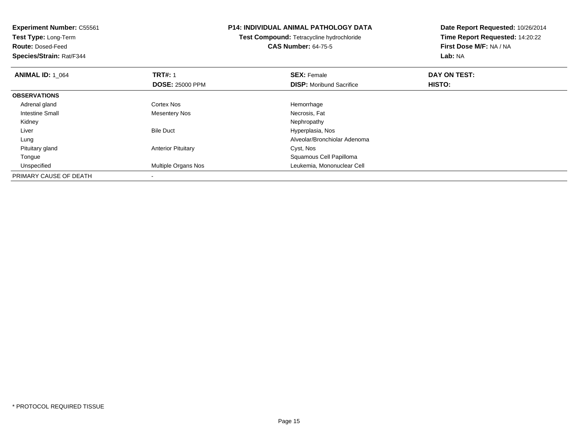**Experiment Number:** C55561**Test Type:** Long-Term**Route:** Dosed-Feed **Species/Strain:** Rat/F344**P14: INDIVIDUAL ANIMAL PATHOLOGY DATATest Compound:** Tetracycline hydrochloride**CAS Number:** 64-75-5**Date Report Requested:** 10/26/2014**Time Report Requested:** 14:20:22**First Dose M/F:** NA / NA**Lab:** NA**ANIMAL ID: 1\_064 TRT#:** 1 **SEX:** Female **DAY ON TEST: DOSE:** 25000 PPM**DISP:** Moribund Sacrifice **HISTO: OBSERVATIONS** Adrenal glandd cortex Nos extended the Cortex Nos extended the Hemorrhage Intestine Small Mesentery NosNecrosis, Fat<br>Nephropathy Kidneyy the control of the control of the control of the control of the control of the control of the control of the control of the control of the control of the control of the control of the control of the control of the contro LiverBile Duct **Hyperplasia**, Nos Alveolar/Bronchiolar Adenoma Lung Pituitary glandAnterior Pituitary **Cyst, Nos**  TongueSquamous Cell Papilloma<br>Multiple Organs Nos **Exercía e Soute Accident Cell Accident** Leukemia, Mononuclear C UnspecifiedLeukemia, Mononuclear Cell PRIMARY CAUSE OF DEATH-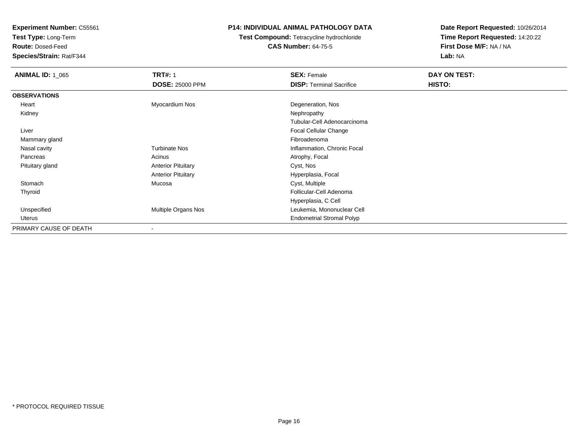**Test Type:** Long-Term

**Route:** Dosed-Feed

**Species/Strain:** Rat/F344

## **P14: INDIVIDUAL ANIMAL PATHOLOGY DATA**

# **Test Compound:** Tetracycline hydrochloride**CAS Number:** 64-75-5

| <b>ANIMAL ID: 1 065</b> | <b>TRT#: 1</b>            | <b>SEX: Female</b>               | DAY ON TEST: |
|-------------------------|---------------------------|----------------------------------|--------------|
|                         | <b>DOSE: 25000 PPM</b>    | <b>DISP: Terminal Sacrifice</b>  | HISTO:       |
| <b>OBSERVATIONS</b>     |                           |                                  |              |
| Heart                   | Myocardium Nos            | Degeneration, Nos                |              |
| Kidney                  |                           | Nephropathy                      |              |
|                         |                           | Tubular-Cell Adenocarcinoma      |              |
| Liver                   |                           | Focal Cellular Change            |              |
| Mammary gland           |                           | Fibroadenoma                     |              |
| Nasal cavity            | <b>Turbinate Nos</b>      | Inflammation, Chronic Focal      |              |
| Pancreas                | Acinus                    | Atrophy, Focal                   |              |
| Pituitary gland         | <b>Anterior Pituitary</b> | Cyst, Nos                        |              |
|                         | <b>Anterior Pituitary</b> | Hyperplasia, Focal               |              |
| Stomach                 | Mucosa                    | Cyst, Multiple                   |              |
| Thyroid                 |                           | Follicular-Cell Adenoma          |              |
|                         |                           | Hyperplasia, C Cell              |              |
| Unspecified             | Multiple Organs Nos       | Leukemia, Mononuclear Cell       |              |
| Uterus                  |                           | <b>Endometrial Stromal Polyp</b> |              |
| PRIMARY CAUSE OF DEATH  | ۰                         |                                  |              |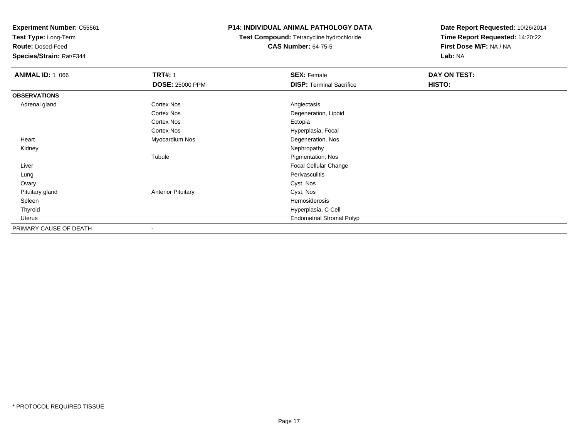**Test Type:** Long-Term

**Route:** Dosed-Feed

**Species/Strain:** Rat/F344

## **P14: INDIVIDUAL ANIMAL PATHOLOGY DATA**

**Test Compound:** Tetracycline hydrochloride**CAS Number:** 64-75-5

| <b>ANIMAL ID: 1_066</b> | <b>TRT#: 1</b>            | <b>SEX: Female</b>               | DAY ON TEST: |  |
|-------------------------|---------------------------|----------------------------------|--------------|--|
|                         | <b>DOSE: 25000 PPM</b>    | <b>DISP: Terminal Sacrifice</b>  | HISTO:       |  |
| <b>OBSERVATIONS</b>     |                           |                                  |              |  |
| Adrenal gland           | Cortex Nos                | Angiectasis                      |              |  |
|                         | <b>Cortex Nos</b>         | Degeneration, Lipoid             |              |  |
|                         | <b>Cortex Nos</b>         | Ectopia                          |              |  |
|                         | Cortex Nos                | Hyperplasia, Focal               |              |  |
| Heart                   | Myocardium Nos            | Degeneration, Nos                |              |  |
| Kidney                  |                           | Nephropathy                      |              |  |
|                         | Tubule                    | Pigmentation, Nos                |              |  |
| Liver                   |                           | Focal Cellular Change            |              |  |
| Lung                    |                           | Perivasculitis                   |              |  |
| Ovary                   |                           | Cyst, Nos                        |              |  |
| Pituitary gland         | <b>Anterior Pituitary</b> | Cyst, Nos                        |              |  |
| Spleen                  |                           | Hemosiderosis                    |              |  |
| Thyroid                 |                           | Hyperplasia, C Cell              |              |  |
| Uterus                  |                           | <b>Endometrial Stromal Polyp</b> |              |  |
| PRIMARY CAUSE OF DEATH  | $\overline{\phantom{a}}$  |                                  |              |  |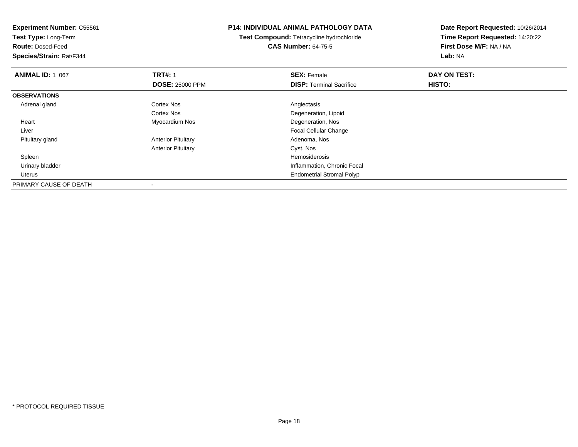**Experiment Number:** C55561**Test Type:** Long-Term**Route:** Dosed-Feed **Species/Strain:** Rat/F344**P14: INDIVIDUAL ANIMAL PATHOLOGY DATATest Compound:** Tetracycline hydrochloride**CAS Number:** 64-75-5**Date Report Requested:** 10/26/2014**Time Report Requested:** 14:20:22**First Dose M/F:** NA / NA**Lab:** NA**ANIMAL ID: 1\_067 TRT#:** 1 **SEX:** Female **DAY ON TEST: DOSE:** 25000 PPM**DISP:** Terminal Sacrifice **HISTO: OBSERVATIONS** Adrenal glandd and the Cortex Nos and the Cortex Nos and the Angiectasis Cortex Nos Degeneration, Lipoid Heart Myocardium Nos Degeneration, Nos Liver Focal Cellular Change Pituitary glandAnterior Pituitary **Adenoma, Nos** Adenoma, Nos Anterior Pituitary Cyst, Nos Spleenn and the state of the state of the state of the state of the state of the state of the state of the state of the state of the state of the state of the state of the state of the state of the state of the state of the stat Urinary bladder Inflammation, Chronic Focal Uterus Endometrial Stromal PolypPRIMARY CAUSE OF DEATH-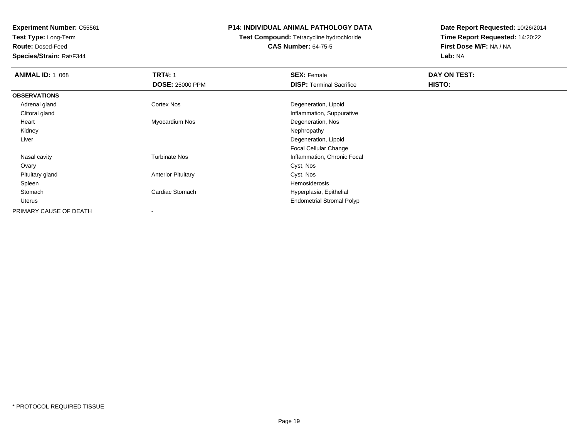**Test Type:** Long-Term

**Route:** Dosed-Feed

**Species/Strain:** Rat/F344

### **P14: INDIVIDUAL ANIMAL PATHOLOGY DATA**

**Test Compound:** Tetracycline hydrochloride**CAS Number:** 64-75-5

| <b>ANIMAL ID: 1_068</b> | <b>TRT#: 1</b>            | <b>SEX: Female</b>               | DAY ON TEST: |  |
|-------------------------|---------------------------|----------------------------------|--------------|--|
|                         | <b>DOSE: 25000 PPM</b>    | <b>DISP: Terminal Sacrifice</b>  | HISTO:       |  |
| <b>OBSERVATIONS</b>     |                           |                                  |              |  |
| Adrenal gland           | <b>Cortex Nos</b>         | Degeneration, Lipoid             |              |  |
| Clitoral gland          |                           | Inflammation, Suppurative        |              |  |
| Heart                   | Myocardium Nos            | Degeneration, Nos                |              |  |
| Kidney                  |                           | Nephropathy                      |              |  |
| Liver                   |                           | Degeneration, Lipoid             |              |  |
|                         |                           | Focal Cellular Change            |              |  |
| Nasal cavity            | <b>Turbinate Nos</b>      | Inflammation, Chronic Focal      |              |  |
| Ovary                   |                           | Cyst, Nos                        |              |  |
| Pituitary gland         | <b>Anterior Pituitary</b> | Cyst, Nos                        |              |  |
| Spleen                  |                           | Hemosiderosis                    |              |  |
| Stomach                 | Cardiac Stomach           | Hyperplasia, Epithelial          |              |  |
| Uterus                  |                           | <b>Endometrial Stromal Polyp</b> |              |  |
| PRIMARY CAUSE OF DEATH  |                           |                                  |              |  |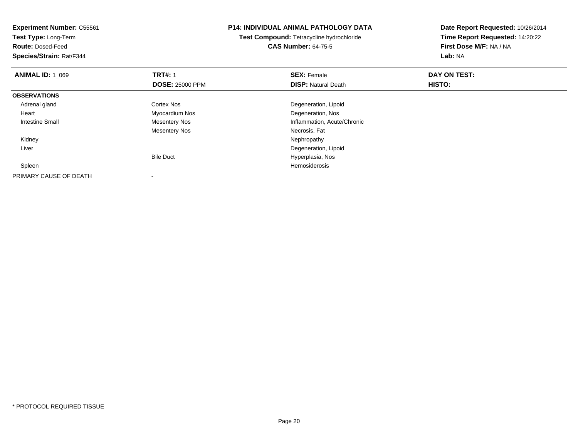| <b>Experiment Number: C55561</b> |                        | <b>P14: INDIVIDUAL ANIMAL PATHOLOGY DATA</b> | Date Report Requested: 10/26/2014 |  |
|----------------------------------|------------------------|----------------------------------------------|-----------------------------------|--|
| Test Type: Long-Term             |                        | Test Compound: Tetracycline hydrochloride    | Time Report Requested: 14:20:22   |  |
| <b>Route: Dosed-Feed</b>         |                        | <b>CAS Number: 64-75-5</b>                   | First Dose M/F: NA / NA           |  |
| Species/Strain: Rat/F344         |                        |                                              | Lab: NA                           |  |
| <b>ANIMAL ID: 1_069</b>          | <b>TRT#:</b> 1         | <b>SEX: Female</b>                           | DAY ON TEST:                      |  |
|                                  | <b>DOSE: 25000 PPM</b> | <b>DISP: Natural Death</b>                   | HISTO:                            |  |
| <b>OBSERVATIONS</b>              |                        |                                              |                                   |  |
| Adrenal gland                    | Cortex Nos             | Degeneration, Lipoid                         |                                   |  |
| Heart                            | Myocardium Nos         | Degeneration, Nos                            |                                   |  |
| Intestine Small                  | Mesentery Nos          | Inflammation, Acute/Chronic                  |                                   |  |
|                                  | <b>Mesentery Nos</b>   | Necrosis, Fat                                |                                   |  |
| Kidney                           |                        | Nephropathy                                  |                                   |  |
| Liver                            |                        | Degeneration, Lipoid                         |                                   |  |
|                                  | <b>Bile Duct</b>       | Hyperplasia, Nos                             |                                   |  |
| Spleen                           |                        | Hemosiderosis                                |                                   |  |
| PRIMARY CAUSE OF DEATH           |                        |                                              |                                   |  |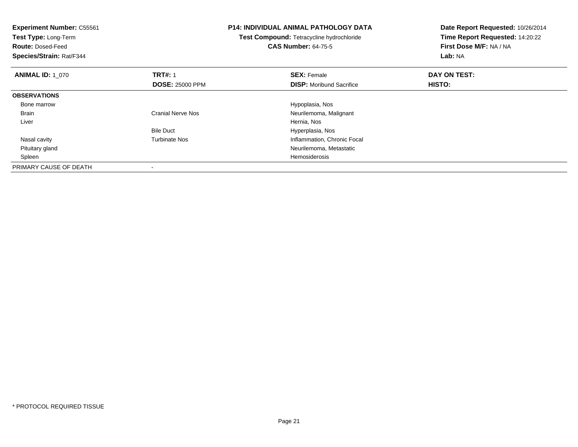| <b>Experiment Number: C55561</b><br>Test Type: Long-Term<br><b>Route: Dosed-Feed</b><br>Species/Strain: Rat/F344 |                          | <b>P14: INDIVIDUAL ANIMAL PATHOLOGY DATA</b><br>Test Compound: Tetracycline hydrochloride<br><b>CAS Number: 64-75-5</b> | Date Report Requested: 10/26/2014<br>Time Report Requested: 14:20:22<br>First Dose M/F: NA / NA<br>Lab: NA |
|------------------------------------------------------------------------------------------------------------------|--------------------------|-------------------------------------------------------------------------------------------------------------------------|------------------------------------------------------------------------------------------------------------|
| <b>ANIMAL ID: 1 070</b>                                                                                          | <b>TRT#: 1</b>           | <b>SEX: Female</b>                                                                                                      | DAY ON TEST:                                                                                               |
|                                                                                                                  | <b>DOSE: 25000 PPM</b>   | <b>DISP:</b> Moribund Sacrifice                                                                                         | HISTO:                                                                                                     |
| <b>OBSERVATIONS</b>                                                                                              |                          |                                                                                                                         |                                                                                                            |
| Bone marrow                                                                                                      |                          | Hypoplasia, Nos                                                                                                         |                                                                                                            |
| <b>Brain</b>                                                                                                     | <b>Cranial Nerve Nos</b> | Neurilemoma, Malignant                                                                                                  |                                                                                                            |
| Liver                                                                                                            |                          | Hernia, Nos                                                                                                             |                                                                                                            |
|                                                                                                                  | <b>Bile Duct</b>         | Hyperplasia, Nos                                                                                                        |                                                                                                            |
| Nasal cavity                                                                                                     | <b>Turbinate Nos</b>     | Inflammation, Chronic Focal                                                                                             |                                                                                                            |
| Pituitary gland                                                                                                  |                          | Neurilemoma, Metastatic                                                                                                 |                                                                                                            |
| Spleen                                                                                                           |                          | Hemosiderosis                                                                                                           |                                                                                                            |
| PRIMARY CAUSE OF DEATH                                                                                           |                          |                                                                                                                         |                                                                                                            |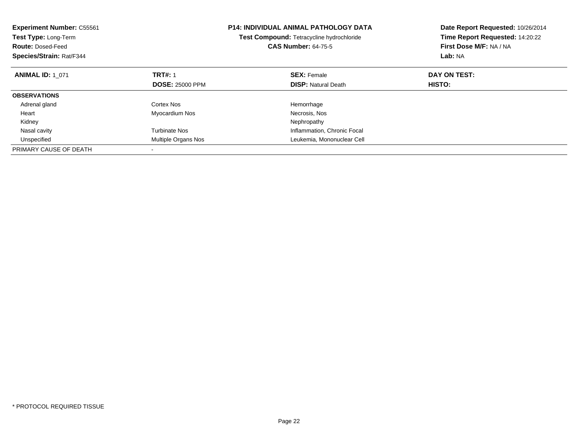| <b>Experiment Number: C55561</b><br><b>Test Type: Long-Term</b><br><b>Route: Dosed-Feed</b><br>Species/Strain: Rat/F344 |                        | <b>P14: INDIVIDUAL ANIMAL PATHOLOGY DATA</b><br>Test Compound: Tetracycline hydrochloride<br><b>CAS Number: 64-75-5</b> | Date Report Requested: 10/26/2014<br>Time Report Requested: 14:20:22<br>First Dose M/F: NA / NA<br>Lab: NA |
|-------------------------------------------------------------------------------------------------------------------------|------------------------|-------------------------------------------------------------------------------------------------------------------------|------------------------------------------------------------------------------------------------------------|
| <b>ANIMAL ID: 1 071</b>                                                                                                 | <b>TRT#: 1</b>         | <b>SEX: Female</b>                                                                                                      | DAY ON TEST:                                                                                               |
|                                                                                                                         | <b>DOSE: 25000 PPM</b> | <b>DISP: Natural Death</b>                                                                                              | HISTO:                                                                                                     |
| <b>OBSERVATIONS</b>                                                                                                     |                        |                                                                                                                         |                                                                                                            |
| Adrenal gland                                                                                                           | Cortex Nos             | Hemorrhage                                                                                                              |                                                                                                            |
| Heart                                                                                                                   | Myocardium Nos         | Necrosis, Nos                                                                                                           |                                                                                                            |
| Kidney                                                                                                                  |                        | Nephropathy                                                                                                             |                                                                                                            |
| Nasal cavity                                                                                                            | Turbinate Nos          | Inflammation, Chronic Focal                                                                                             |                                                                                                            |
| Unspecified                                                                                                             | Multiple Organs Nos    | Leukemia, Mononuclear Cell                                                                                              |                                                                                                            |
| PRIMARY CAUSE OF DEATH                                                                                                  |                        |                                                                                                                         |                                                                                                            |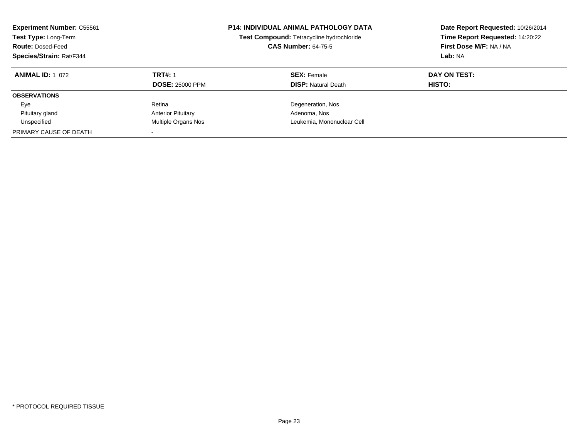| <b>Experiment Number: C55561</b><br>Test Type: Long-Term<br><b>Route: Dosed-Feed</b><br>Species/Strain: Rat/F344 |                           | <b>P14: INDIVIDUAL ANIMAL PATHOLOGY DATA</b><br>Date Report Requested: 10/26/2014<br>Time Report Requested: 14:20:22<br>Test Compound: Tetracycline hydrochloride<br>First Dose M/F: NA / NA<br><b>CAS Number: 64-75-5</b><br>Lab: NA |              |
|------------------------------------------------------------------------------------------------------------------|---------------------------|---------------------------------------------------------------------------------------------------------------------------------------------------------------------------------------------------------------------------------------|--------------|
| <b>ANIMAL ID:</b> 1 072                                                                                          | <b>TRT#: 1</b>            | <b>SEX:</b> Female                                                                                                                                                                                                                    | DAY ON TEST: |
|                                                                                                                  | <b>DOSE: 25000 PPM</b>    | <b>DISP: Natural Death</b>                                                                                                                                                                                                            | HISTO:       |
| <b>OBSERVATIONS</b>                                                                                              |                           |                                                                                                                                                                                                                                       |              |
| Eye                                                                                                              | Retina                    | Degeneration, Nos                                                                                                                                                                                                                     |              |
| Pituitary gland                                                                                                  | <b>Anterior Pituitary</b> | Adenoma, Nos                                                                                                                                                                                                                          |              |
| Unspecified                                                                                                      | Multiple Organs Nos       | Leukemia, Mononuclear Cell                                                                                                                                                                                                            |              |
| PRIMARY CAUSE OF DEATH                                                                                           |                           |                                                                                                                                                                                                                                       |              |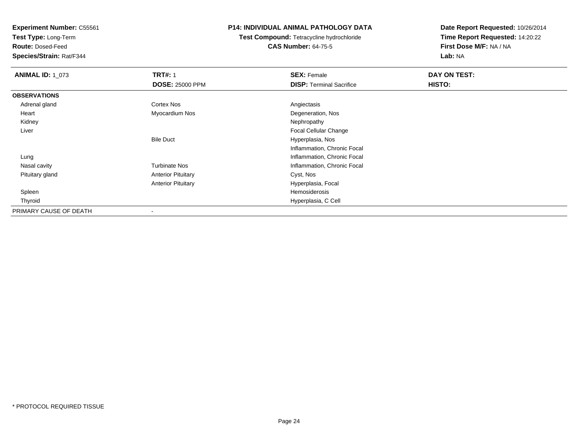**Test Type:** Long-Term

**Route:** Dosed-Feed

**Species/Strain:** Rat/F344

### **P14: INDIVIDUAL ANIMAL PATHOLOGY DATA**

**Test Compound:** Tetracycline hydrochloride**CAS Number:** 64-75-5

| <b>ANIMAL ID: 1 073</b> | <b>TRT#: 1</b>            | <b>SEX: Female</b>              | DAY ON TEST: |  |
|-------------------------|---------------------------|---------------------------------|--------------|--|
|                         | <b>DOSE: 25000 PPM</b>    | <b>DISP: Terminal Sacrifice</b> | HISTO:       |  |
| <b>OBSERVATIONS</b>     |                           |                                 |              |  |
| Adrenal gland           | <b>Cortex Nos</b>         | Angiectasis                     |              |  |
| Heart                   | Myocardium Nos            | Degeneration, Nos               |              |  |
| Kidney                  |                           | Nephropathy                     |              |  |
| Liver                   |                           | <b>Focal Cellular Change</b>    |              |  |
|                         | <b>Bile Duct</b>          | Hyperplasia, Nos                |              |  |
|                         |                           | Inflammation, Chronic Focal     |              |  |
| Lung                    |                           | Inflammation, Chronic Focal     |              |  |
| Nasal cavity            | <b>Turbinate Nos</b>      | Inflammation, Chronic Focal     |              |  |
| Pituitary gland         | <b>Anterior Pituitary</b> | Cyst, Nos                       |              |  |
|                         | <b>Anterior Pituitary</b> | Hyperplasia, Focal              |              |  |
| Spleen                  |                           | Hemosiderosis                   |              |  |
| Thyroid                 |                           | Hyperplasia, C Cell             |              |  |
| PRIMARY CAUSE OF DEATH  | $\overline{\phantom{a}}$  |                                 |              |  |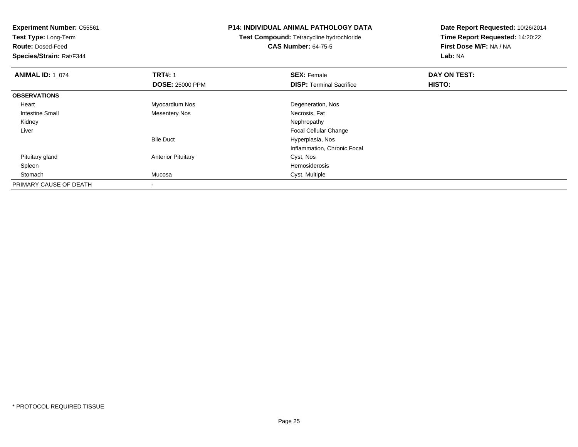**Test Type:** Long-Term

**Route:** Dosed-Feed

**Species/Strain:** Rat/F344

### **P14: INDIVIDUAL ANIMAL PATHOLOGY DATA**

**Test Compound:** Tetracycline hydrochloride**CAS Number:** 64-75-5

| <b>ANIMAL ID: 1_074</b> | <b>TRT#: 1</b>            | <b>SEX: Female</b>              | DAY ON TEST: |  |
|-------------------------|---------------------------|---------------------------------|--------------|--|
|                         | <b>DOSE: 25000 PPM</b>    | <b>DISP: Terminal Sacrifice</b> | HISTO:       |  |
| <b>OBSERVATIONS</b>     |                           |                                 |              |  |
| Heart                   | Myocardium Nos            | Degeneration, Nos               |              |  |
| Intestine Small         | <b>Mesentery Nos</b>      | Necrosis, Fat                   |              |  |
| Kidney                  |                           | Nephropathy                     |              |  |
| Liver                   |                           | <b>Focal Cellular Change</b>    |              |  |
|                         | <b>Bile Duct</b>          | Hyperplasia, Nos                |              |  |
|                         |                           | Inflammation, Chronic Focal     |              |  |
| Pituitary gland         | <b>Anterior Pituitary</b> | Cyst, Nos                       |              |  |
| Spleen                  |                           | Hemosiderosis                   |              |  |
| Stomach                 | Mucosa                    | Cyst, Multiple                  |              |  |
| PRIMARY CAUSE OF DEATH  |                           |                                 |              |  |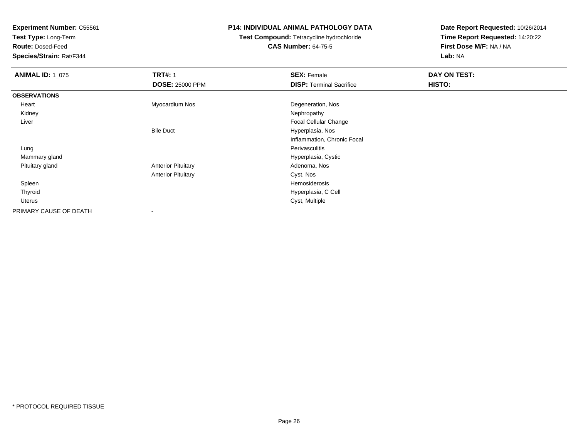**Test Type:** Long-Term

**Route:** Dosed-Feed

**Species/Strain:** Rat/F344

### **P14: INDIVIDUAL ANIMAL PATHOLOGY DATA**

# **Test Compound:** Tetracycline hydrochloride**CAS Number:** 64-75-5

| <b>ANIMAL ID: 1 075</b> | <b>TRT#: 1</b>            | <b>SEX: Female</b>              | DAY ON TEST: |
|-------------------------|---------------------------|---------------------------------|--------------|
|                         | <b>DOSE: 25000 PPM</b>    | <b>DISP: Terminal Sacrifice</b> | HISTO:       |
| <b>OBSERVATIONS</b>     |                           |                                 |              |
| Heart                   | Myocardium Nos            | Degeneration, Nos               |              |
| Kidney                  |                           | Nephropathy                     |              |
| Liver                   |                           | Focal Cellular Change           |              |
|                         | <b>Bile Duct</b>          | Hyperplasia, Nos                |              |
|                         |                           | Inflammation, Chronic Focal     |              |
| Lung                    |                           | Perivasculitis                  |              |
| Mammary gland           |                           | Hyperplasia, Cystic             |              |
| Pituitary gland         | <b>Anterior Pituitary</b> | Adenoma, Nos                    |              |
|                         | <b>Anterior Pituitary</b> | Cyst, Nos                       |              |
| Spleen                  |                           | Hemosiderosis                   |              |
| Thyroid                 |                           | Hyperplasia, C Cell             |              |
| Uterus                  |                           | Cyst, Multiple                  |              |
| PRIMARY CAUSE OF DEATH  | ۰                         |                                 |              |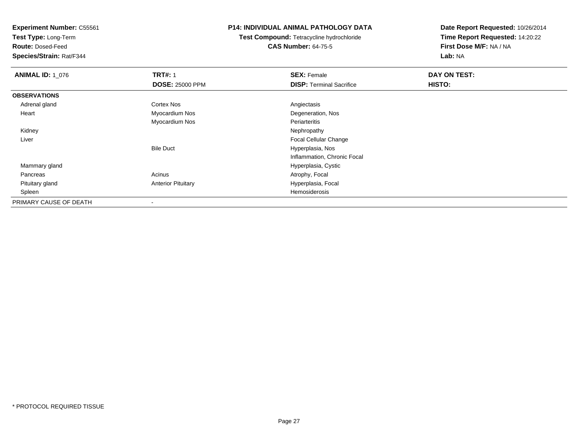**Test Type:** Long-Term

**Route:** Dosed-Feed

**Species/Strain:** Rat/F344

### **P14: INDIVIDUAL ANIMAL PATHOLOGY DATA**

**Test Compound:** Tetracycline hydrochloride**CAS Number:** 64-75-5

| <b>ANIMAL ID: 1_076</b> | <b>TRT#: 1</b>            | <b>SEX: Female</b>              | DAY ON TEST: |  |
|-------------------------|---------------------------|---------------------------------|--------------|--|
|                         | <b>DOSE: 25000 PPM</b>    | <b>DISP:</b> Terminal Sacrifice | HISTO:       |  |
| <b>OBSERVATIONS</b>     |                           |                                 |              |  |
| Adrenal gland           | Cortex Nos                | Angiectasis                     |              |  |
| Heart                   | Myocardium Nos            | Degeneration, Nos               |              |  |
|                         | Myocardium Nos            | Periarteritis                   |              |  |
| Kidney                  |                           | Nephropathy                     |              |  |
| Liver                   |                           | Focal Cellular Change           |              |  |
|                         | <b>Bile Duct</b>          | Hyperplasia, Nos                |              |  |
|                         |                           | Inflammation, Chronic Focal     |              |  |
| Mammary gland           |                           | Hyperplasia, Cystic             |              |  |
| Pancreas                | Acinus                    | Atrophy, Focal                  |              |  |
| Pituitary gland         | <b>Anterior Pituitary</b> | Hyperplasia, Focal              |              |  |
| Spleen                  |                           | Hemosiderosis                   |              |  |
| PRIMARY CAUSE OF DEATH  |                           |                                 |              |  |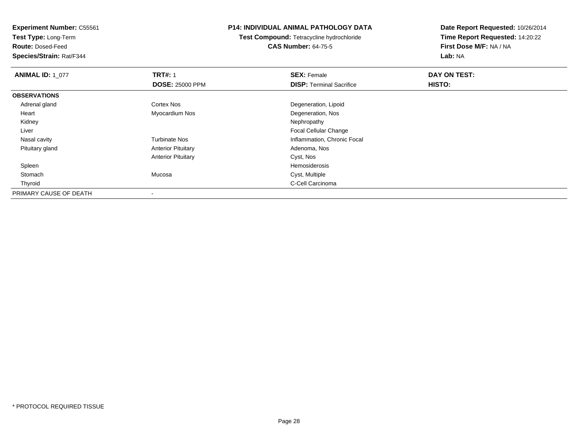**Test Type:** Long-Term

**Route:** Dosed-Feed

**Species/Strain:** Rat/F344

### **P14: INDIVIDUAL ANIMAL PATHOLOGY DATA**

**Test Compound:** Tetracycline hydrochloride**CAS Number:** 64-75-5

| <b>ANIMAL ID: 1_077</b> | <b>TRT#: 1</b>            | <b>SEX: Female</b>              | DAY ON TEST:  |  |
|-------------------------|---------------------------|---------------------------------|---------------|--|
|                         | <b>DOSE: 25000 PPM</b>    | <b>DISP: Terminal Sacrifice</b> | <b>HISTO:</b> |  |
| <b>OBSERVATIONS</b>     |                           |                                 |               |  |
| Adrenal gland           | <b>Cortex Nos</b>         | Degeneration, Lipoid            |               |  |
| Heart                   | Myocardium Nos            | Degeneration, Nos               |               |  |
| Kidney                  |                           | Nephropathy                     |               |  |
| Liver                   |                           | Focal Cellular Change           |               |  |
| Nasal cavity            | <b>Turbinate Nos</b>      | Inflammation, Chronic Focal     |               |  |
| Pituitary gland         | <b>Anterior Pituitary</b> | Adenoma, Nos                    |               |  |
|                         | <b>Anterior Pituitary</b> | Cyst, Nos                       |               |  |
| Spleen                  |                           | Hemosiderosis                   |               |  |
| Stomach                 | Mucosa                    | Cyst, Multiple                  |               |  |
| Thyroid                 |                           | C-Cell Carcinoma                |               |  |
| PRIMARY CAUSE OF DEATH  |                           |                                 |               |  |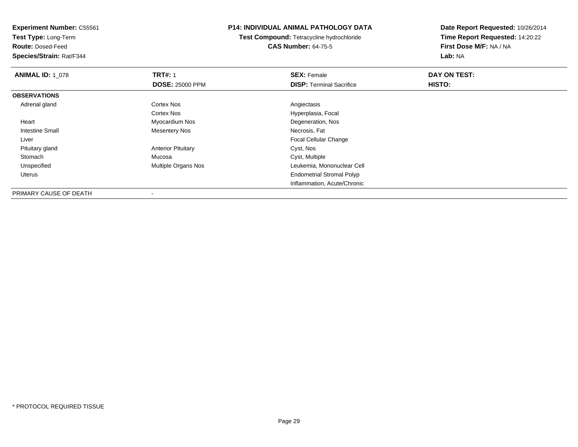**Test Type:** Long-Term

**Route:** Dosed-Feed

**Species/Strain:** Rat/F344

### **P14: INDIVIDUAL ANIMAL PATHOLOGY DATA**

**Test Compound:** Tetracycline hydrochloride**CAS Number:** 64-75-5

**Date Report Requested:** 10/26/2014**Time Report Requested:** 14:20:22**First Dose M/F:** NA / NA**Lab:** NA

| <b>ANIMAL ID: 1 078</b> | <b>TRT#: 1</b>            | <b>SEX: Female</b>               | DAY ON TEST: |  |
|-------------------------|---------------------------|----------------------------------|--------------|--|
|                         | <b>DOSE: 25000 PPM</b>    | <b>DISP: Terminal Sacrifice</b>  | HISTO:       |  |
| <b>OBSERVATIONS</b>     |                           |                                  |              |  |
| Adrenal gland           | Cortex Nos                | Angiectasis                      |              |  |
|                         | <b>Cortex Nos</b>         | Hyperplasia, Focal               |              |  |
| Heart                   | Myocardium Nos            | Degeneration, Nos                |              |  |
| <b>Intestine Small</b>  | <b>Mesentery Nos</b>      | Necrosis, Fat                    |              |  |
| Liver                   |                           | Focal Cellular Change            |              |  |
| Pituitary gland         | <b>Anterior Pituitary</b> | Cyst, Nos                        |              |  |
| Stomach                 | Mucosa                    | Cyst, Multiple                   |              |  |
| Unspecified             | Multiple Organs Nos       | Leukemia, Mononuclear Cell       |              |  |
| Uterus                  |                           | <b>Endometrial Stromal Polyp</b> |              |  |
|                         |                           | Inflammation, Acute/Chronic      |              |  |

PRIMARY CAUSE OF DEATH-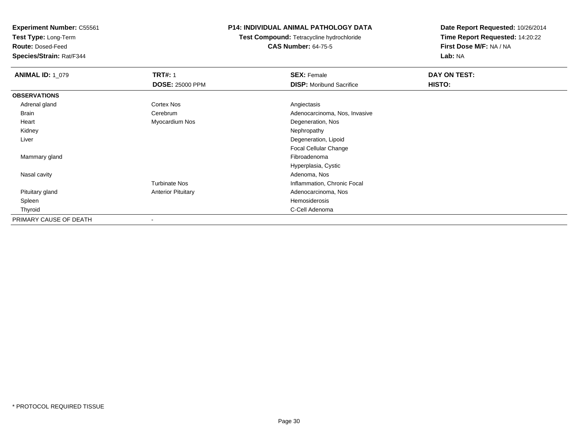**Test Type:** Long-Term

**Route:** Dosed-Feed

**Species/Strain:** Rat/F344

## **P14: INDIVIDUAL ANIMAL PATHOLOGY DATA**

**Test Compound:** Tetracycline hydrochloride**CAS Number:** 64-75-5

| <b>ANIMAL ID: 1_079</b> | <b>TRT#: 1</b>            | <b>SEX: Female</b>              | DAY ON TEST: |
|-------------------------|---------------------------|---------------------------------|--------------|
|                         | <b>DOSE: 25000 PPM</b>    | <b>DISP:</b> Moribund Sacrifice | HISTO:       |
| <b>OBSERVATIONS</b>     |                           |                                 |              |
| Adrenal gland           | Cortex Nos                | Angiectasis                     |              |
| Brain                   | Cerebrum                  | Adenocarcinoma, Nos, Invasive   |              |
| Heart                   | Myocardium Nos            | Degeneration, Nos               |              |
| Kidney                  |                           | Nephropathy                     |              |
| Liver                   |                           | Degeneration, Lipoid            |              |
|                         |                           | <b>Focal Cellular Change</b>    |              |
| Mammary gland           |                           | Fibroadenoma                    |              |
|                         |                           | Hyperplasia, Cystic             |              |
| Nasal cavity            |                           | Adenoma, Nos                    |              |
|                         | <b>Turbinate Nos</b>      | Inflammation, Chronic Focal     |              |
| Pituitary gland         | <b>Anterior Pituitary</b> | Adenocarcinoma, Nos             |              |
| Spleen                  |                           | Hemosiderosis                   |              |
| Thyroid                 |                           | C-Cell Adenoma                  |              |
| PRIMARY CAUSE OF DEATH  | $\overline{\phantom{a}}$  |                                 |              |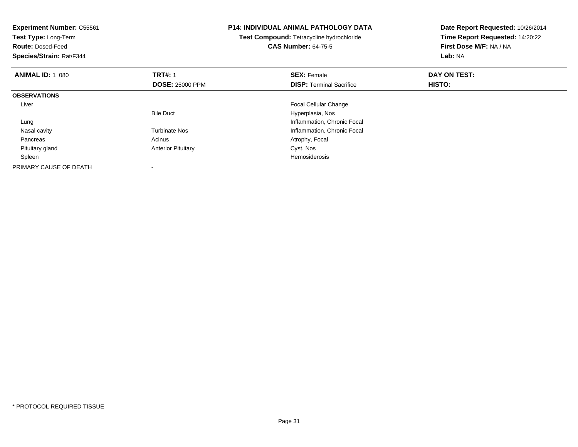| <b>Experiment Number: C55561</b><br><b>Test Type: Long-Term</b><br><b>Route: Dosed-Feed</b><br>Species/Strain: Rat/F344 |                                          | <b>P14: INDIVIDUAL ANIMAL PATHOLOGY DATA</b><br>Test Compound: Tetracycline hydrochloride<br><b>CAS Number: 64-75-5</b> | Date Report Requested: 10/26/2014<br>Time Report Requested: 14:20:22<br>First Dose M/F: NA / NA<br><b>Lab: NA</b> |  |
|-------------------------------------------------------------------------------------------------------------------------|------------------------------------------|-------------------------------------------------------------------------------------------------------------------------|-------------------------------------------------------------------------------------------------------------------|--|
| <b>ANIMAL ID: 1 080</b>                                                                                                 | <b>TRT#: 1</b><br><b>DOSE: 25000 PPM</b> | <b>SEX: Female</b><br><b>DISP:</b> Terminal Sacrifice                                                                   | DAY ON TEST:<br>HISTO:                                                                                            |  |
| <b>OBSERVATIONS</b>                                                                                                     |                                          |                                                                                                                         |                                                                                                                   |  |
| Liver                                                                                                                   |                                          | Focal Cellular Change                                                                                                   |                                                                                                                   |  |
|                                                                                                                         | <b>Bile Duct</b>                         | Hyperplasia, Nos                                                                                                        |                                                                                                                   |  |
| Lung                                                                                                                    |                                          | Inflammation, Chronic Focal                                                                                             |                                                                                                                   |  |
| Nasal cavity                                                                                                            | <b>Turbinate Nos</b>                     | Inflammation, Chronic Focal                                                                                             |                                                                                                                   |  |
| Pancreas                                                                                                                | Acinus                                   | Atrophy, Focal                                                                                                          |                                                                                                                   |  |
| Pituitary gland                                                                                                         | <b>Anterior Pituitary</b>                | Cyst, Nos                                                                                                               |                                                                                                                   |  |
| Spleen                                                                                                                  |                                          | Hemosiderosis                                                                                                           |                                                                                                                   |  |
| PRIMARY CAUSE OF DEATH                                                                                                  |                                          |                                                                                                                         |                                                                                                                   |  |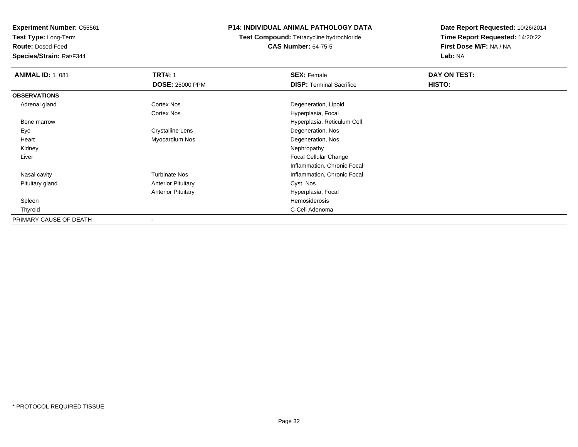**Test Type:** Long-Term

**Route:** Dosed-Feed

**Species/Strain:** Rat/F344

## **P14: INDIVIDUAL ANIMAL PATHOLOGY DATA**

**Test Compound:** Tetracycline hydrochloride**CAS Number:** 64-75-5

| <b>ANIMAL ID: 1_081</b> | <b>TRT#: 1</b>            | <b>SEX: Female</b>              | DAY ON TEST: |  |
|-------------------------|---------------------------|---------------------------------|--------------|--|
|                         | <b>DOSE: 25000 PPM</b>    | <b>DISP: Terminal Sacrifice</b> | HISTO:       |  |
| <b>OBSERVATIONS</b>     |                           |                                 |              |  |
| Adrenal gland           | Cortex Nos                | Degeneration, Lipoid            |              |  |
|                         | Cortex Nos                | Hyperplasia, Focal              |              |  |
| Bone marrow             |                           | Hyperplasia, Reticulum Cell     |              |  |
| Eye                     | <b>Crystalline Lens</b>   | Degeneration, Nos               |              |  |
| Heart                   | Myocardium Nos            | Degeneration, Nos               |              |  |
| Kidney                  |                           | Nephropathy                     |              |  |
| Liver                   |                           | <b>Focal Cellular Change</b>    |              |  |
|                         |                           | Inflammation, Chronic Focal     |              |  |
| Nasal cavity            | <b>Turbinate Nos</b>      | Inflammation, Chronic Focal     |              |  |
| Pituitary gland         | <b>Anterior Pituitary</b> | Cyst, Nos                       |              |  |
|                         | <b>Anterior Pituitary</b> | Hyperplasia, Focal              |              |  |
| Spleen                  |                           | Hemosiderosis                   |              |  |
| Thyroid                 |                           | C-Cell Adenoma                  |              |  |
| PRIMARY CAUSE OF DEATH  | $\,$                      |                                 |              |  |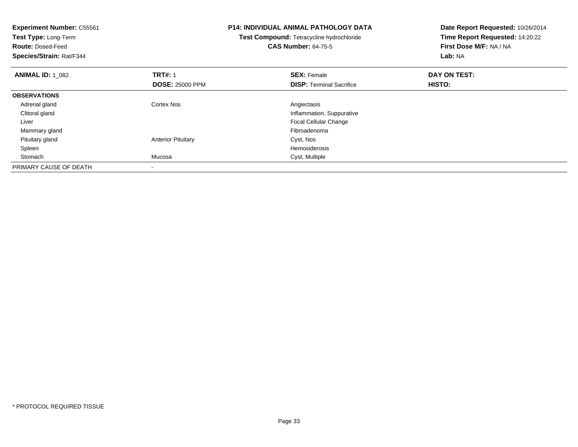| <b>Experiment Number: C55561</b><br>Test Type: Long-Term<br><b>Route: Dosed-Feed</b><br>Species/Strain: Rat/F344 |                           | <b>P14: INDIVIDUAL ANIMAL PATHOLOGY DATA</b><br>Test Compound: Tetracycline hydrochloride<br><b>CAS Number: 64-75-5</b> | Date Report Requested: 10/26/2014<br>Time Report Requested: 14:20:22<br>First Dose M/F: NA / NA<br>Lab: NA |  |
|------------------------------------------------------------------------------------------------------------------|---------------------------|-------------------------------------------------------------------------------------------------------------------------|------------------------------------------------------------------------------------------------------------|--|
| <b>ANIMAL ID: 1 082</b>                                                                                          | <b>TRT#: 1</b>            | <b>SEX: Female</b>                                                                                                      | DAY ON TEST:                                                                                               |  |
|                                                                                                                  | <b>DOSE: 25000 PPM</b>    | <b>DISP:</b> Terminal Sacrifice                                                                                         | HISTO:                                                                                                     |  |
| <b>OBSERVATIONS</b>                                                                                              |                           |                                                                                                                         |                                                                                                            |  |
| Adrenal gland                                                                                                    | Cortex Nos                | Angiectasis                                                                                                             |                                                                                                            |  |
| Clitoral gland                                                                                                   |                           | Inflammation, Suppurative                                                                                               |                                                                                                            |  |
| Liver                                                                                                            |                           | <b>Focal Cellular Change</b>                                                                                            |                                                                                                            |  |
| Mammary gland                                                                                                    |                           | Fibroadenoma                                                                                                            |                                                                                                            |  |
| Pituitary gland                                                                                                  | <b>Anterior Pituitary</b> | Cyst, Nos                                                                                                               |                                                                                                            |  |
| Spleen                                                                                                           |                           | <b>Hemosiderosis</b>                                                                                                    |                                                                                                            |  |
| Stomach                                                                                                          | Mucosa                    | Cyst, Multiple                                                                                                          |                                                                                                            |  |
| PRIMARY CAUSE OF DEATH                                                                                           |                           |                                                                                                                         |                                                                                                            |  |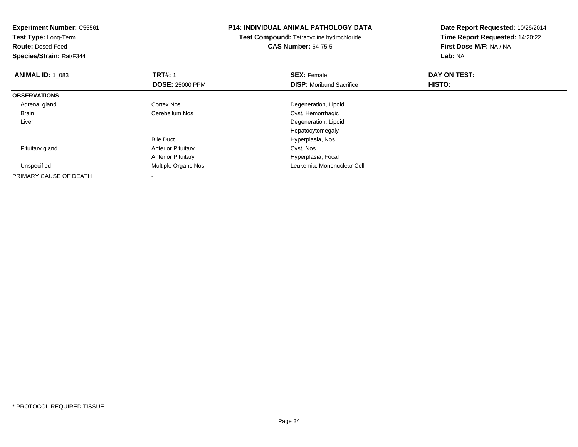| <b>Experiment Number: C55561</b><br>Test Type: Long-Term<br><b>Route: Dosed-Feed</b><br>Species/Strain: Rat/F344 |                           | <b>P14: INDIVIDUAL ANIMAL PATHOLOGY DATA</b><br><b>Test Compound: Tetracycline hydrochloride</b><br><b>CAS Number: 64-75-5</b> | Date Report Requested: 10/26/2014<br>Time Report Requested: 14:20:22<br>First Dose M/F: NA / NA<br>Lab: NA |  |
|------------------------------------------------------------------------------------------------------------------|---------------------------|--------------------------------------------------------------------------------------------------------------------------------|------------------------------------------------------------------------------------------------------------|--|
|                                                                                                                  |                           |                                                                                                                                |                                                                                                            |  |
| <b>ANIMAL ID: 1_083</b>                                                                                          | <b>TRT#: 1</b>            | <b>SEX: Female</b>                                                                                                             | DAY ON TEST:                                                                                               |  |
|                                                                                                                  | <b>DOSE: 25000 PPM</b>    | <b>DISP:</b> Moribund Sacrifice                                                                                                | HISTO:                                                                                                     |  |
| <b>OBSERVATIONS</b>                                                                                              |                           |                                                                                                                                |                                                                                                            |  |
| Adrenal gland                                                                                                    | Cortex Nos                | Degeneration, Lipoid                                                                                                           |                                                                                                            |  |
| <b>Brain</b>                                                                                                     | Cerebellum Nos            | Cyst, Hemorrhagic                                                                                                              |                                                                                                            |  |
| Liver                                                                                                            |                           | Degeneration, Lipoid                                                                                                           |                                                                                                            |  |
|                                                                                                                  |                           | Hepatocytomegaly                                                                                                               |                                                                                                            |  |
|                                                                                                                  | <b>Bile Duct</b>          | Hyperplasia, Nos                                                                                                               |                                                                                                            |  |
| Pituitary gland                                                                                                  | <b>Anterior Pituitary</b> | Cyst, Nos                                                                                                                      |                                                                                                            |  |
|                                                                                                                  | <b>Anterior Pituitary</b> | Hyperplasia, Focal                                                                                                             |                                                                                                            |  |
| Unspecified                                                                                                      | Multiple Organs Nos       | Leukemia, Mononuclear Cell                                                                                                     |                                                                                                            |  |
| PRIMARY CAUSE OF DEATH                                                                                           |                           |                                                                                                                                |                                                                                                            |  |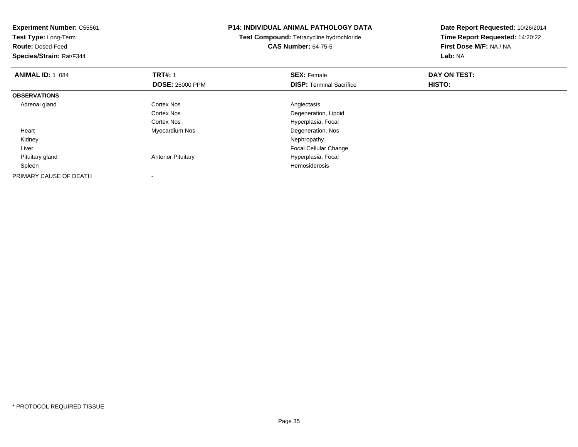| <b>Experiment Number: C55561</b><br>Test Type: Long-Term<br><b>Route: Dosed-Feed</b><br>Species/Strain: Rat/F344 |                           | <b>P14: INDIVIDUAL ANIMAL PATHOLOGY DATA</b><br>Test Compound: Tetracycline hydrochloride<br><b>CAS Number: 64-75-5</b> | Date Report Requested: 10/26/2014<br>Time Report Requested: 14:20:22<br>First Dose M/F: NA / NA<br>Lab: NA |  |
|------------------------------------------------------------------------------------------------------------------|---------------------------|-------------------------------------------------------------------------------------------------------------------------|------------------------------------------------------------------------------------------------------------|--|
| <b>ANIMAL ID: 1 084</b>                                                                                          | <b>TRT#: 1</b>            | <b>SEX: Female</b>                                                                                                      | DAY ON TEST:                                                                                               |  |
|                                                                                                                  | <b>DOSE: 25000 PPM</b>    | <b>DISP:</b> Terminal Sacrifice                                                                                         | <b>HISTO:</b>                                                                                              |  |
| <b>OBSERVATIONS</b>                                                                                              |                           |                                                                                                                         |                                                                                                            |  |
| Adrenal gland                                                                                                    | <b>Cortex Nos</b>         | Angiectasis                                                                                                             |                                                                                                            |  |
|                                                                                                                  | Cortex Nos                | Degeneration, Lipoid                                                                                                    |                                                                                                            |  |
|                                                                                                                  | <b>Cortex Nos</b>         | Hyperplasia, Focal                                                                                                      |                                                                                                            |  |
| Heart                                                                                                            | Myocardium Nos            | Degeneration, Nos                                                                                                       |                                                                                                            |  |
| Kidney                                                                                                           |                           | Nephropathy                                                                                                             |                                                                                                            |  |
| Liver                                                                                                            |                           | Focal Cellular Change                                                                                                   |                                                                                                            |  |
| Pituitary gland                                                                                                  | <b>Anterior Pituitary</b> | Hyperplasia, Focal                                                                                                      |                                                                                                            |  |
| Spleen                                                                                                           |                           | Hemosiderosis                                                                                                           |                                                                                                            |  |
| PRIMARY CAUSE OF DEATH                                                                                           |                           |                                                                                                                         |                                                                                                            |  |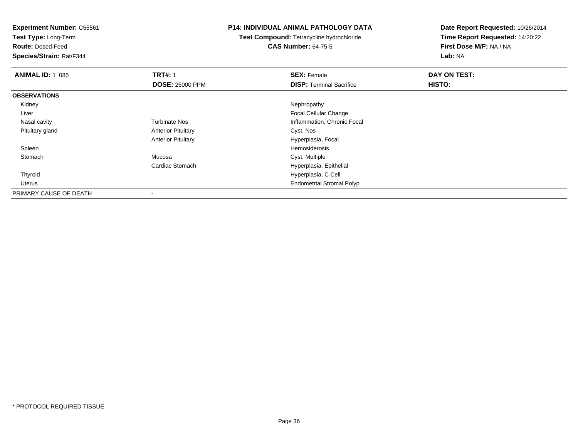**Test Type:** Long-Term

**Route:** Dosed-Feed

**Species/Strain:** Rat/F344

### **P14: INDIVIDUAL ANIMAL PATHOLOGY DATA**

**Test Compound:** Tetracycline hydrochloride**CAS Number:** 64-75-5

| <b>ANIMAL ID: 1 085</b> | <b>TRT#: 1</b>            | <b>SEX: Female</b>               | DAY ON TEST: |  |
|-------------------------|---------------------------|----------------------------------|--------------|--|
|                         | <b>DOSE: 25000 PPM</b>    | <b>DISP: Terminal Sacrifice</b>  | HISTO:       |  |
| <b>OBSERVATIONS</b>     |                           |                                  |              |  |
| Kidney                  |                           | Nephropathy                      |              |  |
| Liver                   |                           | Focal Cellular Change            |              |  |
| Nasal cavity            | <b>Turbinate Nos</b>      | Inflammation, Chronic Focal      |              |  |
| Pituitary gland         | <b>Anterior Pituitary</b> | Cyst, Nos                        |              |  |
|                         | <b>Anterior Pituitary</b> | Hyperplasia, Focal               |              |  |
| Spleen                  |                           | Hemosiderosis                    |              |  |
| Stomach                 | Mucosa                    | Cyst, Multiple                   |              |  |
|                         | Cardiac Stomach           | Hyperplasia, Epithelial          |              |  |
| Thyroid                 |                           | Hyperplasia, C Cell              |              |  |
| Uterus                  |                           | <b>Endometrial Stromal Polyp</b> |              |  |
| PRIMARY CAUSE OF DEATH  | $\blacksquare$            |                                  |              |  |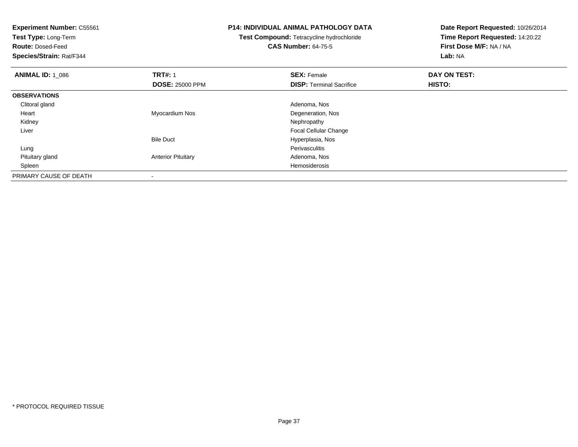**Experiment Number:** C55561**Test Type:** Long-Term**Route:** Dosed-Feed **Species/Strain:** Rat/F344**P14: INDIVIDUAL ANIMAL PATHOLOGY DATATest Compound:** Tetracycline hydrochloride**CAS Number:** 64-75-5**Date Report Requested:** 10/26/2014**Time Report Requested:** 14:20:22**First Dose M/F:** NA / NA**Lab:** NA**ANIMAL ID: 1\_086 6 DAY ON TEST:** 1 **SEX:** Female **SEX: Female DAY ON TEST: DOSE:** 25000 PPM**DISP:** Terminal Sacrifice **HISTO: OBSERVATIONS** Clitoral gland Adenoma, Nos Heart Myocardium NosDegeneration, Nos<br>Nephropathy Kidneyy the control of the control of the control of the control of the control of the control of the control of the control of the control of the control of the control of the control of the control of the control of the contro Liver Focal Cellular ChangeBile Duct Hyperplasia, Nos Lungg in the extension of the extension of the extension of the extension of the extension of the extension of the extension of the extension of the extension of the extension of the extension of the extension of the extension Pituitary glandAnterior Pituitary **Adenoma, Nosting Adenoma, Nosting Adenoma**, Nosting Adenoma, Nosting Adenoma, Nosting Adenoma, Nosting Adenoma, Nosting Adenoma, Nosting Adenoma, Nosting Adenoma, Nosting Adenoma, Nosting Adenoma, Nosti Spleenn de la constitución de la constitución de la constitución de la constitución de la constitución de la constitución<br>En la constitución de la constitución de la constitución de la constitución de la constitución de la const PRIMARY CAUSE OF DEATH-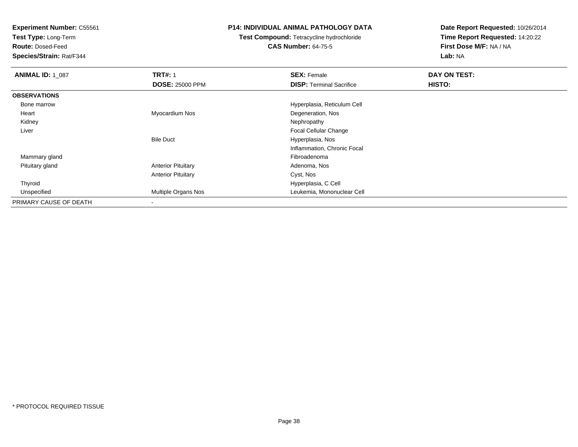**Test Type:** Long-Term

**Route:** Dosed-Feed

**Species/Strain:** Rat/F344

### **P14: INDIVIDUAL ANIMAL PATHOLOGY DATA**

# **Test Compound:** Tetracycline hydrochloride**CAS Number:** 64-75-5

| <b>ANIMAL ID: 1_087</b> | <b>TRT#: 1</b>            | <b>SEX: Female</b>              | DAY ON TEST: |  |
|-------------------------|---------------------------|---------------------------------|--------------|--|
|                         | <b>DOSE: 25000 PPM</b>    | <b>DISP:</b> Terminal Sacrifice | HISTO:       |  |
| <b>OBSERVATIONS</b>     |                           |                                 |              |  |
| Bone marrow             |                           | Hyperplasia, Reticulum Cell     |              |  |
| Heart                   | Myocardium Nos            | Degeneration, Nos               |              |  |
| Kidney                  |                           | Nephropathy                     |              |  |
| Liver                   |                           | <b>Focal Cellular Change</b>    |              |  |
|                         | <b>Bile Duct</b>          | Hyperplasia, Nos                |              |  |
|                         |                           | Inflammation, Chronic Focal     |              |  |
| Mammary gland           |                           | Fibroadenoma                    |              |  |
| Pituitary gland         | <b>Anterior Pituitary</b> | Adenoma, Nos                    |              |  |
|                         | <b>Anterior Pituitary</b> | Cyst, Nos                       |              |  |
| Thyroid                 |                           | Hyperplasia, C Cell             |              |  |
| Unspecified             | Multiple Organs Nos       | Leukemia, Mononuclear Cell      |              |  |
| PRIMARY CAUSE OF DEATH  |                           |                                 |              |  |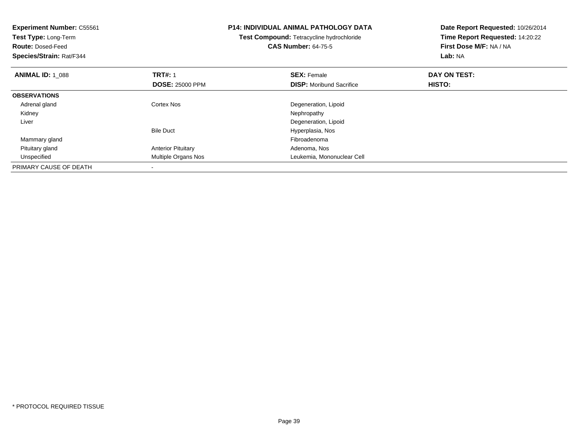| <b>Experiment Number: C55561</b><br>Test Type: Long-Term<br><b>Route: Dosed-Feed</b><br>Species/Strain: Rat/F344 |                                          | <b>P14: INDIVIDUAL ANIMAL PATHOLOGY DATA</b><br>Test Compound: Tetracycline hydrochloride<br><b>CAS Number: 64-75-5</b> | Date Report Requested: 10/26/2014<br>Time Report Requested: 14:20:22<br>First Dose M/F: NA / NA<br>Lab: NA |
|------------------------------------------------------------------------------------------------------------------|------------------------------------------|-------------------------------------------------------------------------------------------------------------------------|------------------------------------------------------------------------------------------------------------|
| <b>ANIMAL ID: 1 088</b>                                                                                          | <b>TRT#: 1</b><br><b>DOSE: 25000 PPM</b> | <b>SEX: Female</b><br><b>DISP:</b> Moribund Sacrifice                                                                   | DAY ON TEST:<br>HISTO:                                                                                     |
| <b>OBSERVATIONS</b>                                                                                              |                                          |                                                                                                                         |                                                                                                            |
| Adrenal gland                                                                                                    | Cortex Nos                               | Degeneration, Lipoid                                                                                                    |                                                                                                            |
| Kidney                                                                                                           |                                          | Nephropathy                                                                                                             |                                                                                                            |
| Liver                                                                                                            |                                          | Degeneration, Lipoid                                                                                                    |                                                                                                            |
|                                                                                                                  | <b>Bile Duct</b>                         | Hyperplasia, Nos                                                                                                        |                                                                                                            |
| Mammary gland                                                                                                    |                                          | Fibroadenoma                                                                                                            |                                                                                                            |
| Pituitary gland                                                                                                  | <b>Anterior Pituitary</b>                | Adenoma, Nos                                                                                                            |                                                                                                            |
| Unspecified                                                                                                      | Multiple Organs Nos                      | Leukemia, Mononuclear Cell                                                                                              |                                                                                                            |
| PRIMARY CAUSE OF DEATH                                                                                           |                                          |                                                                                                                         |                                                                                                            |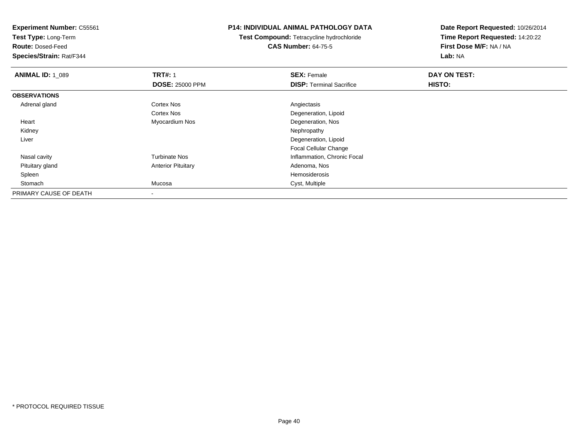**Experiment Number:** C55561**Test Type:** Long-Term**Route:** Dosed-Feed **Species/Strain:** Rat/F344**P14: INDIVIDUAL ANIMAL PATHOLOGY DATATest Compound:** Tetracycline hydrochloride**CAS Number:** 64-75-5**Date Report Requested:** 10/26/2014**Time Report Requested:** 14:20:22**First Dose M/F:** NA / NA**Lab:** NA**ANIMAL ID: 1\_089 TRT#:** 1 **SEX:** Female **DAY ON TEST: DOSE:** 25000 PPM**DISP:** Terminal Sacrifice **HISTO: OBSERVATIONS** Adrenal glandd and the Cortex Nos and the Cortex Nos and the Angiectasis Cortex Nos Degeneration, Lipoid Heart Myocardium Nos Degeneration, Nos Kidneyy the control of the control of the control of the control of the control of the control of the control of the control of the control of the control of the control of the control of the control of the control of the contro Liver Degeneration, Lipoid Focal Cellular Changey metal of the Turbinate Nos and the Turbinate Nos and the Inflammation, Chronic Focal Nasal cavity Pituitary glandAnterior Pituitary **Adenoma, Nosting Adenoma, Nosting Adenoma**, Nosting Adenoma, Nosting Adenoma, Nosting Adenoma, Nosting Adenoma, Nosting Adenoma, Nosting Adenoma, Nosting Adenoma, Nosting Adenoma, Nosting Adenoma, Nosti Spleenn and the state of the state of the state of the state of the state of the state of the state of the state of the state of the state of the state of the state of the state of the state of the state of the state of the stat Stomachh and the control of the Mucosa control of the Cyst, Multiple Cyst, Multiple PRIMARY CAUSE OF DEATH-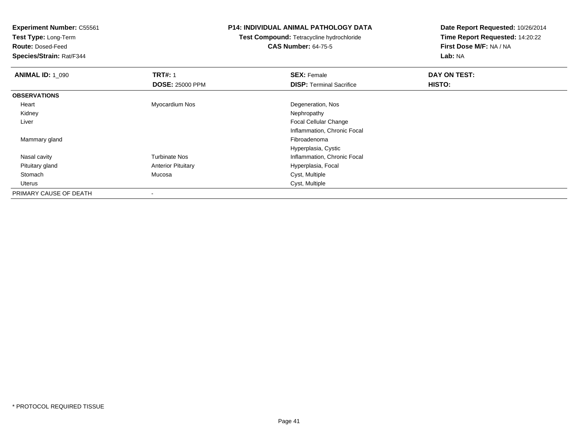**Test Type:** Long-Term

**Route:** Dosed-Feed

**Species/Strain:** Rat/F344

### **P14: INDIVIDUAL ANIMAL PATHOLOGY DATA**

# **Test Compound:** Tetracycline hydrochloride**CAS Number:** 64-75-5

| <b>ANIMAL ID: 1 090</b> | <b>TRT#: 1</b>            | <b>SEX: Female</b>              | DAY ON TEST: |  |
|-------------------------|---------------------------|---------------------------------|--------------|--|
|                         | <b>DOSE: 25000 PPM</b>    | <b>DISP: Terminal Sacrifice</b> | HISTO:       |  |
| <b>OBSERVATIONS</b>     |                           |                                 |              |  |
| Heart                   | Myocardium Nos            | Degeneration, Nos               |              |  |
| Kidney                  |                           | Nephropathy                     |              |  |
| Liver                   |                           | <b>Focal Cellular Change</b>    |              |  |
|                         |                           | Inflammation, Chronic Focal     |              |  |
| Mammary gland           |                           | Fibroadenoma                    |              |  |
|                         |                           | Hyperplasia, Cystic             |              |  |
| Nasal cavity            | <b>Turbinate Nos</b>      | Inflammation, Chronic Focal     |              |  |
| Pituitary gland         | <b>Anterior Pituitary</b> | Hyperplasia, Focal              |              |  |
| Stomach                 | Mucosa                    | Cyst, Multiple                  |              |  |
| Uterus                  |                           | Cyst, Multiple                  |              |  |
| PRIMARY CAUSE OF DEATH  | $\,$                      |                                 |              |  |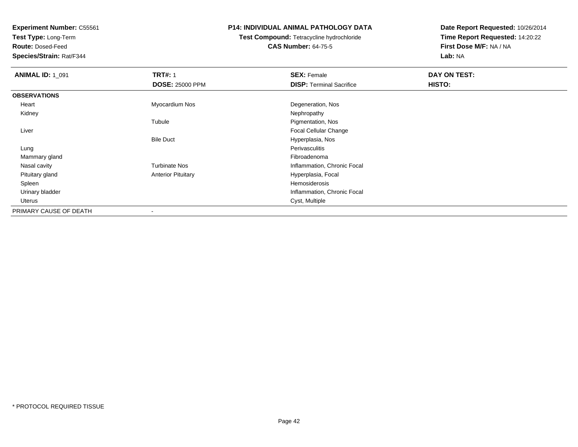**Test Type:** Long-Term

**Route:** Dosed-Feed

**Species/Strain:** Rat/F344

### **P14: INDIVIDUAL ANIMAL PATHOLOGY DATA**

**Test Compound:** Tetracycline hydrochloride**CAS Number:** 64-75-5

| <b>ANIMAL ID: 1_091</b> | <b>TRT#: 1</b>            | <b>SEX: Female</b>              | DAY ON TEST: |
|-------------------------|---------------------------|---------------------------------|--------------|
|                         | <b>DOSE: 25000 PPM</b>    | <b>DISP: Terminal Sacrifice</b> | HISTO:       |
| <b>OBSERVATIONS</b>     |                           |                                 |              |
| Heart                   | Myocardium Nos            | Degeneration, Nos               |              |
| Kidney                  |                           | Nephropathy                     |              |
|                         | Tubule                    | Pigmentation, Nos               |              |
| Liver                   |                           | Focal Cellular Change           |              |
|                         | <b>Bile Duct</b>          | Hyperplasia, Nos                |              |
| Lung                    |                           | <b>Perivasculitis</b>           |              |
| Mammary gland           |                           | Fibroadenoma                    |              |
| Nasal cavity            | <b>Turbinate Nos</b>      | Inflammation, Chronic Focal     |              |
| Pituitary gland         | <b>Anterior Pituitary</b> | Hyperplasia, Focal              |              |
| Spleen                  |                           | Hemosiderosis                   |              |
| Urinary bladder         |                           | Inflammation, Chronic Focal     |              |
| Uterus                  |                           | Cyst, Multiple                  |              |
| PRIMARY CAUSE OF DEATH  |                           |                                 |              |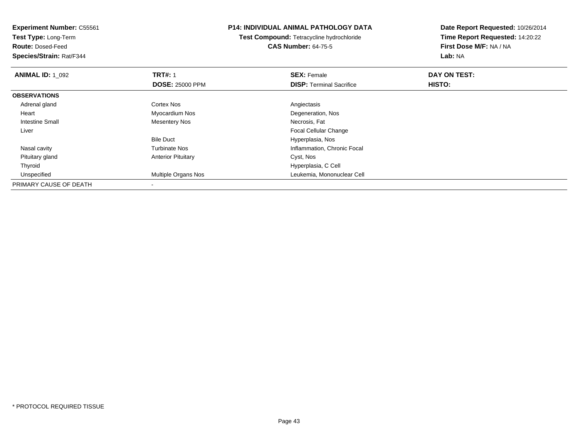**Experiment Number:** C55561**Test Type:** Long-Term**Route:** Dosed-Feed **Species/Strain:** Rat/F344**P14: INDIVIDUAL ANIMAL PATHOLOGY DATATest Compound:** Tetracycline hydrochloride**CAS Number:** 64-75-5**Date Report Requested:** 10/26/2014**Time Report Requested:** 14:20:22**First Dose M/F:** NA / NA**Lab:** NA**ANIMAL ID: 1\_092 TRT#:** 1 **SEX:** Female **DAY ON TEST: DOSE:** 25000 PPM**DISP:** Terminal Sacrifice **HISTO: OBSERVATIONS** Adrenal glandd and the Cortex Nos and the Cortex Nos and the Angiectasis Heart Myocardium Nos Degeneration, Nos Intestine Small Mesentery Nos Necrosis, Fat Liver Focal Cellular ChangeBile Duct Hyperplasia, Nosy metal of the Turbinate Nos and the Turbinate Nos and the Inflammation, Chronic Focal Nasal cavity Pituitary glandAnterior Pituitary **Cyst, Nos**  Thyroid Hyperplasia, C Cell Unspecified Multiple Organs Nos Leukemia, Mononuclear Cell PRIMARY CAUSE OF DEATH-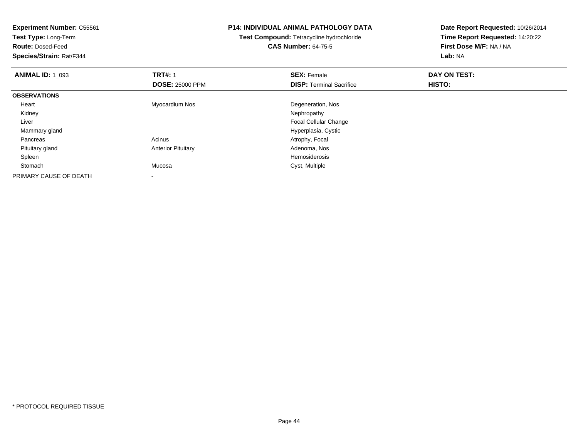| Experiment Number: C55561<br>Test Type: Long-Term |                           | <b>P14: INDIVIDUAL ANIMAL PATHOLOGY DATA</b> | Date Report Requested: 10/26/2014 |
|---------------------------------------------------|---------------------------|----------------------------------------------|-----------------------------------|
|                                                   |                           | Test Compound: Tetracycline hydrochloride    | Time Report Requested: 14:20:22   |
| <b>Route: Dosed-Feed</b>                          |                           | <b>CAS Number: 64-75-5</b>                   | First Dose M/F: NA / NA           |
| Species/Strain: Rat/F344                          |                           |                                              | Lab: NA                           |
| <b>ANIMAL ID: 1 093</b>                           | <b>TRT#: 1</b>            | <b>SEX: Female</b>                           | DAY ON TEST:                      |
|                                                   | <b>DOSE: 25000 PPM</b>    | <b>DISP:</b> Terminal Sacrifice              | HISTO:                            |
| <b>OBSERVATIONS</b>                               |                           |                                              |                                   |
| Heart                                             | Myocardium Nos            | Degeneration, Nos                            |                                   |
| Kidney                                            |                           | Nephropathy                                  |                                   |
| Liver                                             |                           | <b>Focal Cellular Change</b>                 |                                   |
| Mammary gland                                     |                           | Hyperplasia, Cystic                          |                                   |
| Pancreas                                          | Acinus                    | Atrophy, Focal                               |                                   |
| Pituitary gland                                   | <b>Anterior Pituitary</b> | Adenoma, Nos                                 |                                   |
| Spleen                                            |                           | Hemosiderosis                                |                                   |
| Stomach                                           | Mucosa                    | Cyst, Multiple                               |                                   |
| PRIMARY CAUSE OF DEATH                            |                           |                                              |                                   |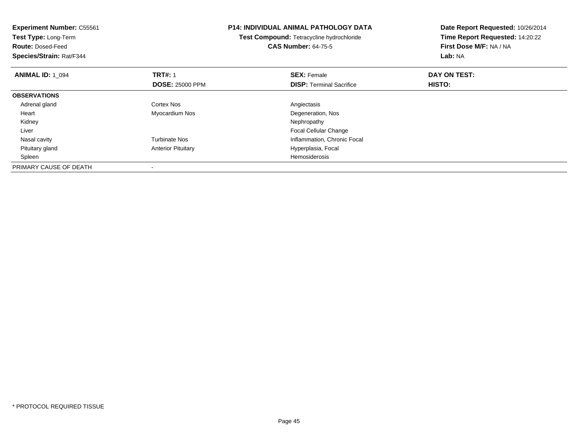| <b>Experiment Number: C55561</b><br>Test Type: Long-Term<br><b>Route: Dosed-Feed</b><br>Species/Strain: Rat/F344 |                                          | <b>P14: INDIVIDUAL ANIMAL PATHOLOGY DATA</b><br>Test Compound: Tetracycline hydrochloride<br><b>CAS Number: 64-75-5</b> | Date Report Requested: 10/26/2014<br>Time Report Requested: 14:20:22<br>First Dose M/F: NA / NA<br>Lab: NA |
|------------------------------------------------------------------------------------------------------------------|------------------------------------------|-------------------------------------------------------------------------------------------------------------------------|------------------------------------------------------------------------------------------------------------|
| <b>ANIMAL ID: 1 094</b>                                                                                          | <b>TRT#: 1</b><br><b>DOSE: 25000 PPM</b> | <b>SEX: Female</b><br><b>DISP:</b> Terminal Sacrifice                                                                   | DAY ON TEST:<br><b>HISTO:</b>                                                                              |
| <b>OBSERVATIONS</b>                                                                                              |                                          |                                                                                                                         |                                                                                                            |
| Adrenal gland                                                                                                    | Cortex Nos                               | Angiectasis                                                                                                             |                                                                                                            |
| Heart                                                                                                            | Myocardium Nos                           | Degeneration, Nos                                                                                                       |                                                                                                            |
| Kidney                                                                                                           |                                          | Nephropathy                                                                                                             |                                                                                                            |
| Liver                                                                                                            |                                          | <b>Focal Cellular Change</b>                                                                                            |                                                                                                            |
| Nasal cavity                                                                                                     | <b>Turbinate Nos</b>                     | Inflammation, Chronic Focal                                                                                             |                                                                                                            |
| Pituitary gland                                                                                                  | <b>Anterior Pituitary</b>                | Hyperplasia, Focal                                                                                                      |                                                                                                            |
| Spleen                                                                                                           |                                          | <b>Hemosiderosis</b>                                                                                                    |                                                                                                            |
| PRIMARY CAUSE OF DEATH                                                                                           |                                          |                                                                                                                         |                                                                                                            |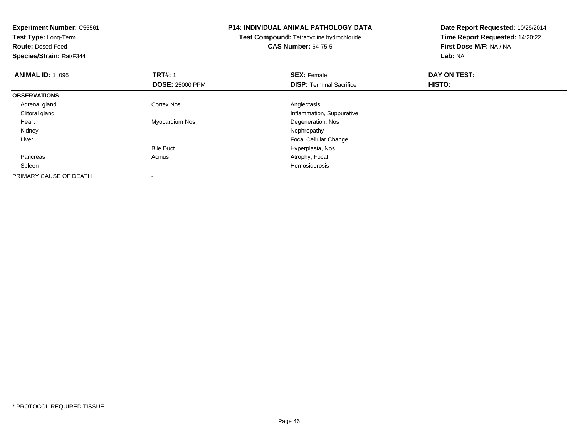| <b>Experiment Number: C55561</b><br>Test Type: Long-Term<br><b>Route: Dosed-Feed</b><br>Species/Strain: Rat/F344 |                        | <b>P14: INDIVIDUAL ANIMAL PATHOLOGY DATA</b><br>Test Compound: Tetracycline hydrochloride<br><b>CAS Number: 64-75-5</b> | Date Report Requested: 10/26/2014<br>Time Report Requested: 14:20:22<br>First Dose M/F: NA / NA<br>Lab: NA |
|------------------------------------------------------------------------------------------------------------------|------------------------|-------------------------------------------------------------------------------------------------------------------------|------------------------------------------------------------------------------------------------------------|
| <b>ANIMAL ID: 1_095</b>                                                                                          | <b>TRT#: 1</b>         | <b>SEX: Female</b>                                                                                                      | DAY ON TEST:                                                                                               |
|                                                                                                                  | <b>DOSE: 25000 PPM</b> | <b>DISP: Terminal Sacrifice</b>                                                                                         | HISTO:                                                                                                     |
| <b>OBSERVATIONS</b>                                                                                              |                        |                                                                                                                         |                                                                                                            |
| Adrenal gland                                                                                                    | Cortex Nos             | Angiectasis                                                                                                             |                                                                                                            |
| Clitoral gland                                                                                                   |                        | Inflammation, Suppurative                                                                                               |                                                                                                            |
| Heart                                                                                                            | Myocardium Nos         | Degeneration, Nos                                                                                                       |                                                                                                            |
| Kidney                                                                                                           |                        | Nephropathy                                                                                                             |                                                                                                            |
| Liver                                                                                                            |                        | <b>Focal Cellular Change</b>                                                                                            |                                                                                                            |
|                                                                                                                  | <b>Bile Duct</b>       | Hyperplasia, Nos                                                                                                        |                                                                                                            |
| Pancreas                                                                                                         | Acinus                 | Atrophy, Focal                                                                                                          |                                                                                                            |
| Spleen                                                                                                           |                        | Hemosiderosis                                                                                                           |                                                                                                            |
| PRIMARY CAUSE OF DEATH                                                                                           |                        |                                                                                                                         |                                                                                                            |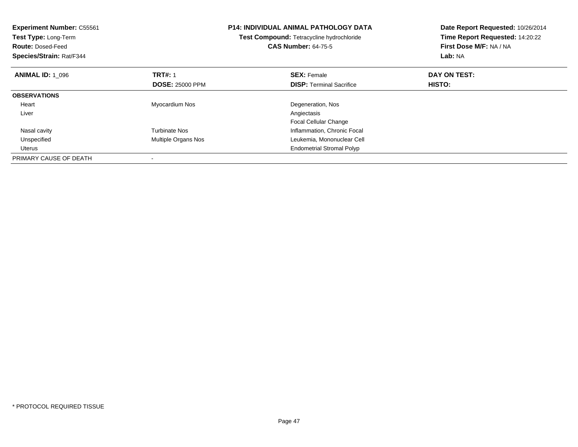| <b>Experiment Number: C55561</b><br>Test Type: Long-Term<br><b>Route: Dosed-Feed</b><br>Species/Strain: Rat/F344 |                        | <b>P14: INDIVIDUAL ANIMAL PATHOLOGY DATA</b><br>Test Compound: Tetracycline hydrochloride<br><b>CAS Number: 64-75-5</b> | Date Report Requested: 10/26/2014<br>Time Report Requested: 14:20:22<br>First Dose M/F: NA / NA<br>Lab: NA |
|------------------------------------------------------------------------------------------------------------------|------------------------|-------------------------------------------------------------------------------------------------------------------------|------------------------------------------------------------------------------------------------------------|
| <b>ANIMAL ID: 1 096</b>                                                                                          | <b>TRT#: 1</b>         | <b>SEX: Female</b>                                                                                                      | DAY ON TEST:                                                                                               |
|                                                                                                                  | <b>DOSE: 25000 PPM</b> | <b>DISP:</b> Terminal Sacrifice                                                                                         | HISTO:                                                                                                     |
| <b>OBSERVATIONS</b>                                                                                              |                        |                                                                                                                         |                                                                                                            |
| Heart                                                                                                            | Myocardium Nos         | Degeneration, Nos                                                                                                       |                                                                                                            |
| Liver                                                                                                            |                        | Angiectasis                                                                                                             |                                                                                                            |
|                                                                                                                  |                        | <b>Focal Cellular Change</b>                                                                                            |                                                                                                            |
| Nasal cavity                                                                                                     | <b>Turbinate Nos</b>   | Inflammation, Chronic Focal                                                                                             |                                                                                                            |
| Unspecified                                                                                                      | Multiple Organs Nos    | Leukemia, Mononuclear Cell                                                                                              |                                                                                                            |
| Uterus                                                                                                           |                        | <b>Endometrial Stromal Polyp</b>                                                                                        |                                                                                                            |
| PRIMARY CAUSE OF DEATH                                                                                           |                        |                                                                                                                         |                                                                                                            |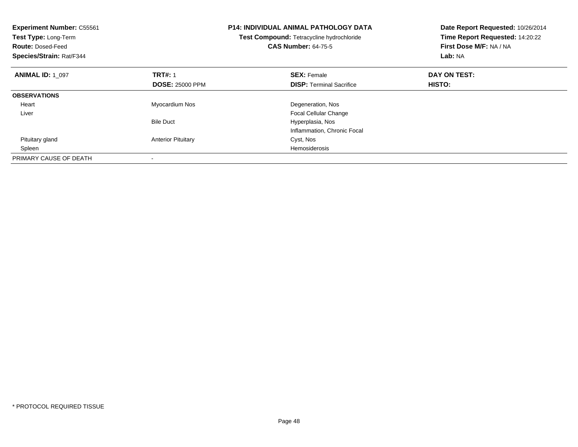| <b>Experiment Number: C55561</b><br><b>Test Type: Long-Term</b><br><b>Route: Dosed-Feed</b><br>Species/Strain: Rat/F344 |                           | <b>P14: INDIVIDUAL ANIMAL PATHOLOGY DATA</b><br>Test Compound: Tetracycline hydrochloride<br><b>CAS Number: 64-75-5</b> | Date Report Requested: 10/26/2014<br>Time Report Requested: 14:20:22<br>First Dose M/F: NA / NA<br>Lab: NA |
|-------------------------------------------------------------------------------------------------------------------------|---------------------------|-------------------------------------------------------------------------------------------------------------------------|------------------------------------------------------------------------------------------------------------|
| <b>ANIMAL ID: 1 097</b>                                                                                                 | <b>TRT#: 1</b>            | <b>SEX: Female</b>                                                                                                      | DAY ON TEST:                                                                                               |
|                                                                                                                         | <b>DOSE: 25000 PPM</b>    | <b>DISP:</b> Terminal Sacrifice                                                                                         | <b>HISTO:</b>                                                                                              |
| <b>OBSERVATIONS</b>                                                                                                     |                           |                                                                                                                         |                                                                                                            |
| Heart                                                                                                                   | Myocardium Nos            | Degeneration, Nos                                                                                                       |                                                                                                            |
| Liver                                                                                                                   |                           | <b>Focal Cellular Change</b>                                                                                            |                                                                                                            |
|                                                                                                                         | <b>Bile Duct</b>          | Hyperplasia, Nos                                                                                                        |                                                                                                            |
|                                                                                                                         |                           | Inflammation, Chronic Focal                                                                                             |                                                                                                            |
| Pituitary gland                                                                                                         | <b>Anterior Pituitary</b> | Cyst, Nos                                                                                                               |                                                                                                            |
| Spleen                                                                                                                  |                           | Hemosiderosis                                                                                                           |                                                                                                            |
| PRIMARY CAUSE OF DEATH                                                                                                  |                           |                                                                                                                         |                                                                                                            |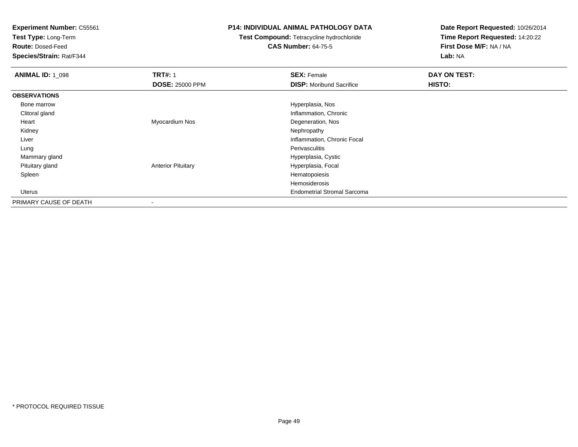**Test Type:** Long-Term

**Route:** Dosed-Feed

**Species/Strain:** Rat/F344

### **P14: INDIVIDUAL ANIMAL PATHOLOGY DATA**

# **Test Compound:** Tetracycline hydrochloride**CAS Number:** 64-75-5

| <b>ANIMAL ID: 1_098</b> | <b>TRT#: 1</b>            | <b>SEX: Female</b>                 | DAY ON TEST: |  |
|-------------------------|---------------------------|------------------------------------|--------------|--|
|                         | <b>DOSE: 25000 PPM</b>    | <b>DISP:</b> Moribund Sacrifice    | HISTO:       |  |
| <b>OBSERVATIONS</b>     |                           |                                    |              |  |
| Bone marrow             |                           | Hyperplasia, Nos                   |              |  |
| Clitoral gland          |                           | Inflammation, Chronic              |              |  |
| Heart                   | Myocardium Nos            | Degeneration, Nos                  |              |  |
| Kidney                  |                           | Nephropathy                        |              |  |
| Liver                   |                           | Inflammation, Chronic Focal        |              |  |
| Lung                    |                           | Perivasculitis                     |              |  |
| Mammary gland           |                           | Hyperplasia, Cystic                |              |  |
| Pituitary gland         | <b>Anterior Pituitary</b> | Hyperplasia, Focal                 |              |  |
| Spleen                  |                           | Hematopoiesis                      |              |  |
|                         |                           | Hemosiderosis                      |              |  |
| Uterus                  |                           | <b>Endometrial Stromal Sarcoma</b> |              |  |
| PRIMARY CAUSE OF DEATH  |                           |                                    |              |  |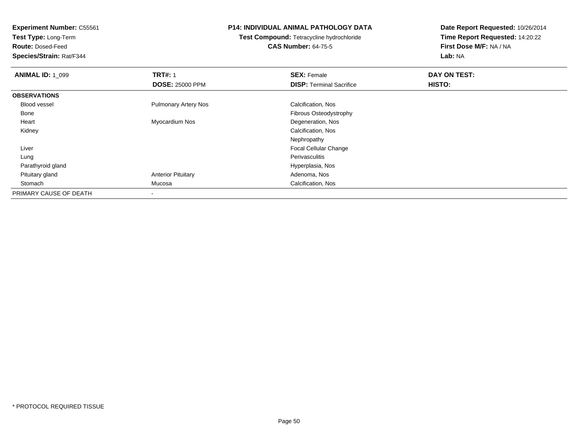**Test Type:** Long-Term

**Route:** Dosed-Feed

**Species/Strain:** Rat/F344

### **P14: INDIVIDUAL ANIMAL PATHOLOGY DATA**

**Test Compound:** Tetracycline hydrochloride**CAS Number:** 64-75-5

| <b>ANIMAL ID: 1_099</b> | <b>TRT#: 1</b>              | <b>SEX: Female</b>              | DAY ON TEST: |  |
|-------------------------|-----------------------------|---------------------------------|--------------|--|
|                         | <b>DOSE: 25000 PPM</b>      | <b>DISP: Terminal Sacrifice</b> | HISTO:       |  |
| <b>OBSERVATIONS</b>     |                             |                                 |              |  |
| <b>Blood vessel</b>     | <b>Pulmonary Artery Nos</b> | Calcification, Nos              |              |  |
| Bone                    |                             | Fibrous Osteodystrophy          |              |  |
| Heart                   | Myocardium Nos              | Degeneration, Nos               |              |  |
| Kidney                  |                             | Calcification, Nos              |              |  |
|                         |                             | Nephropathy                     |              |  |
| Liver                   |                             | Focal Cellular Change           |              |  |
| Lung                    |                             | Perivasculitis                  |              |  |
| Parathyroid gland       |                             | Hyperplasia, Nos                |              |  |
| Pituitary gland         | <b>Anterior Pituitary</b>   | Adenoma, Nos                    |              |  |
| Stomach                 | Mucosa                      | Calcification, Nos              |              |  |
| PRIMARY CAUSE OF DEATH  |                             |                                 |              |  |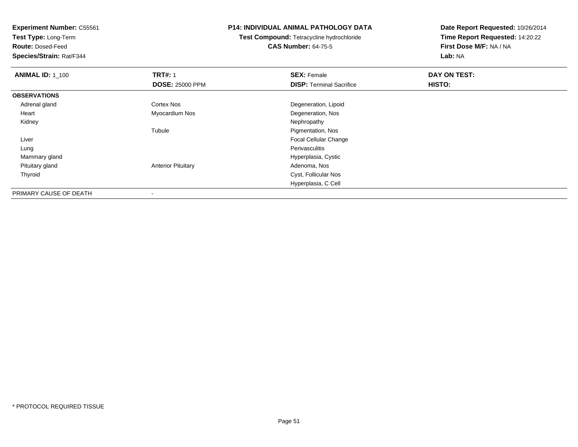**Test Type:** Long-Term

**Route:** Dosed-Feed

**Species/Strain:** Rat/F344

### **P14: INDIVIDUAL ANIMAL PATHOLOGY DATA**

**Test Compound:** Tetracycline hydrochloride**CAS Number:** 64-75-5

| <b>ANIMAL ID: 1 100</b> | <b>TRT#: 1</b>            | <b>SEX: Female</b>              | DAY ON TEST: |  |
|-------------------------|---------------------------|---------------------------------|--------------|--|
|                         | <b>DOSE: 25000 PPM</b>    | <b>DISP: Terminal Sacrifice</b> | HISTO:       |  |
| <b>OBSERVATIONS</b>     |                           |                                 |              |  |
| Adrenal gland           | Cortex Nos                | Degeneration, Lipoid            |              |  |
| Heart                   | Myocardium Nos            | Degeneration, Nos               |              |  |
| Kidney                  |                           | Nephropathy                     |              |  |
|                         | Tubule                    | Pigmentation, Nos               |              |  |
| Liver                   |                           | <b>Focal Cellular Change</b>    |              |  |
| Lung                    |                           | Perivasculitis                  |              |  |
| Mammary gland           |                           | Hyperplasia, Cystic             |              |  |
| Pituitary gland         | <b>Anterior Pituitary</b> | Adenoma, Nos                    |              |  |
| Thyroid                 |                           | Cyst, Follicular Nos            |              |  |
|                         |                           | Hyperplasia, C Cell             |              |  |
| PRIMARY CAUSE OF DEATH  | ۰                         |                                 |              |  |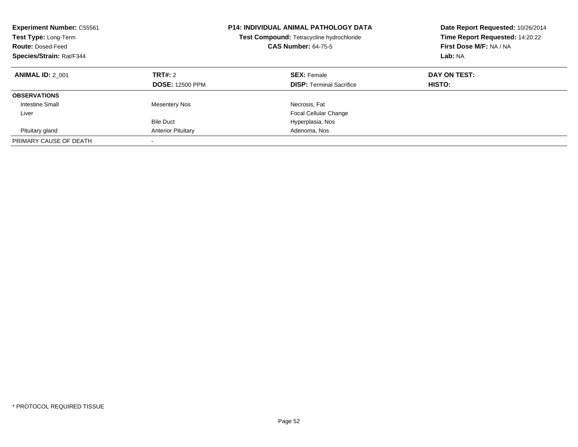| <b>Experiment Number: C55561</b><br>Test Type: Long-Term<br><b>Route: Dosed-Feed</b><br>Species/Strain: Rat/F344 |                                   | <b>P14: INDIVIDUAL ANIMAL PATHOLOGY DATA</b><br>Test Compound: Tetracycline hydrochloride<br><b>CAS Number: 64-75-5</b> | Date Report Requested: 10/26/2014<br>Time Report Requested: 14:20:22<br>First Dose M/F: NA / NA<br>Lab: NA |
|------------------------------------------------------------------------------------------------------------------|-----------------------------------|-------------------------------------------------------------------------------------------------------------------------|------------------------------------------------------------------------------------------------------------|
| <b>ANIMAL ID: 2 001</b>                                                                                          | TRT#: 2<br><b>DOSE: 12500 PPM</b> | <b>SEX: Female</b><br><b>DISP:</b> Terminal Sacrifice                                                                   | DAY ON TEST:<br>HISTO:                                                                                     |
| <b>OBSERVATIONS</b>                                                                                              |                                   |                                                                                                                         |                                                                                                            |
| <b>Intestine Small</b>                                                                                           | <b>Mesentery Nos</b>              | Necrosis, Fat                                                                                                           |                                                                                                            |
| Liver                                                                                                            |                                   | <b>Focal Cellular Change</b>                                                                                            |                                                                                                            |
|                                                                                                                  | <b>Bile Duct</b>                  | Hyperplasia, Nos                                                                                                        |                                                                                                            |
| Pituitary gland                                                                                                  | <b>Anterior Pituitary</b>         | Adenoma, Nos                                                                                                            |                                                                                                            |
| PRIMARY CAUSE OF DEATH                                                                                           | $\overline{\phantom{a}}$          |                                                                                                                         |                                                                                                            |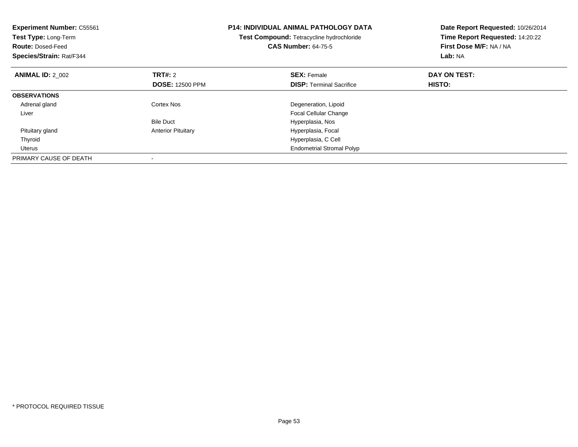| <b>Experiment Number: C55561</b><br>Test Type: Long-Term<br><b>Route: Dosed-Feed</b><br>Species/Strain: Rat/F344 |                           | <b>P14: INDIVIDUAL ANIMAL PATHOLOGY DATA</b><br>Test Compound: Tetracycline hydrochloride<br><b>CAS Number: 64-75-5</b> | Date Report Requested: 10/26/2014<br>Time Report Requested: 14:20:22<br>First Dose M/F: NA / NA<br>Lab: NA |
|------------------------------------------------------------------------------------------------------------------|---------------------------|-------------------------------------------------------------------------------------------------------------------------|------------------------------------------------------------------------------------------------------------|
| <b>ANIMAL ID: 2 002</b>                                                                                          | <b>TRT#:</b> 2            | <b>SEX: Female</b>                                                                                                      | DAY ON TEST:                                                                                               |
|                                                                                                                  | <b>DOSE: 12500 PPM</b>    | <b>DISP:</b> Terminal Sacrifice                                                                                         | HISTO:                                                                                                     |
| <b>OBSERVATIONS</b>                                                                                              |                           |                                                                                                                         |                                                                                                            |
| Adrenal gland                                                                                                    | Cortex Nos                | Degeneration, Lipoid                                                                                                    |                                                                                                            |
| Liver                                                                                                            |                           | <b>Focal Cellular Change</b>                                                                                            |                                                                                                            |
|                                                                                                                  | <b>Bile Duct</b>          | Hyperplasia, Nos                                                                                                        |                                                                                                            |
| Pituitary gland                                                                                                  | <b>Anterior Pituitary</b> | Hyperplasia, Focal                                                                                                      |                                                                                                            |
| Thyroid                                                                                                          |                           | Hyperplasia, C Cell                                                                                                     |                                                                                                            |
| Uterus                                                                                                           |                           | <b>Endometrial Stromal Polyp</b>                                                                                        |                                                                                                            |
| PRIMARY CAUSE OF DEATH                                                                                           |                           |                                                                                                                         |                                                                                                            |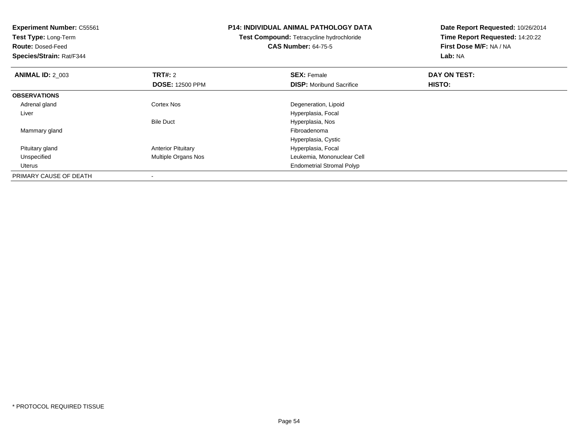| <b>Experiment Number: C55561</b><br>Test Type: Long-Term<br><b>Route: Dosed-Feed</b><br>Species/Strain: Rat/F344 |                           | <b>P14: INDIVIDUAL ANIMAL PATHOLOGY DATA</b><br>Test Compound: Tetracycline hydrochloride<br><b>CAS Number: 64-75-5</b> | Date Report Requested: 10/26/2014<br>Time Report Requested: 14:20:22<br>First Dose M/F: NA / NA<br>Lab: NA |
|------------------------------------------------------------------------------------------------------------------|---------------------------|-------------------------------------------------------------------------------------------------------------------------|------------------------------------------------------------------------------------------------------------|
| <b>ANIMAL ID: 2 003</b>                                                                                          | <b>TRT#: 2</b>            | <b>SEX: Female</b>                                                                                                      | DAY ON TEST:                                                                                               |
|                                                                                                                  | <b>DOSE: 12500 PPM</b>    | <b>DISP:</b> Moribund Sacrifice                                                                                         | HISTO:                                                                                                     |
| <b>OBSERVATIONS</b>                                                                                              |                           |                                                                                                                         |                                                                                                            |
| Adrenal gland                                                                                                    | <b>Cortex Nos</b>         | Degeneration, Lipoid                                                                                                    |                                                                                                            |
| Liver                                                                                                            |                           | Hyperplasia, Focal                                                                                                      |                                                                                                            |
|                                                                                                                  | <b>Bile Duct</b>          | Hyperplasia, Nos                                                                                                        |                                                                                                            |
| Mammary gland                                                                                                    |                           | Fibroadenoma                                                                                                            |                                                                                                            |
|                                                                                                                  |                           | Hyperplasia, Cystic                                                                                                     |                                                                                                            |
| Pituitary gland                                                                                                  | <b>Anterior Pituitary</b> | Hyperplasia, Focal                                                                                                      |                                                                                                            |
| Unspecified                                                                                                      | Multiple Organs Nos       | Leukemia, Mononuclear Cell                                                                                              |                                                                                                            |
| <b>Uterus</b>                                                                                                    |                           | <b>Endometrial Stromal Polyp</b>                                                                                        |                                                                                                            |
| PRIMARY CAUSE OF DEATH                                                                                           |                           |                                                                                                                         |                                                                                                            |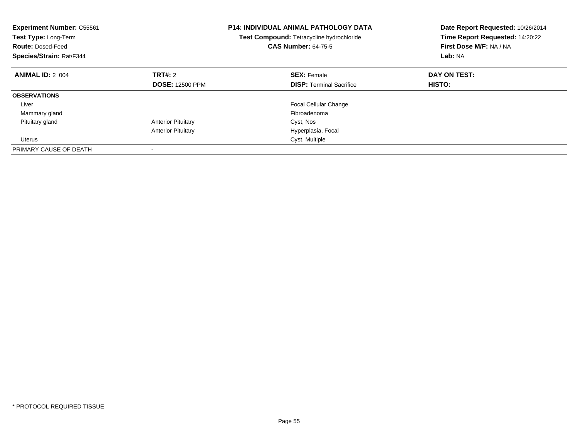| <b>Experiment Number: C55561</b><br>Test Type: Long-Term<br><b>Route: Dosed-Feed</b><br>Species/Strain: Rat/F344 |                           | <b>P14: INDIVIDUAL ANIMAL PATHOLOGY DATA</b><br>Test Compound: Tetracycline hydrochloride<br><b>CAS Number: 64-75-5</b> | Date Report Requested: 10/26/2014<br>Time Report Requested: 14:20:22<br>First Dose M/F: NA / NA<br>Lab: NA |
|------------------------------------------------------------------------------------------------------------------|---------------------------|-------------------------------------------------------------------------------------------------------------------------|------------------------------------------------------------------------------------------------------------|
| <b>ANIMAL ID: 2 004</b>                                                                                          | TRT#: 2                   | <b>SEX: Female</b>                                                                                                      | DAY ON TEST:                                                                                               |
|                                                                                                                  | <b>DOSE: 12500 PPM</b>    | <b>DISP:</b> Terminal Sacrifice                                                                                         | HISTO:                                                                                                     |
| <b>OBSERVATIONS</b>                                                                                              |                           |                                                                                                                         |                                                                                                            |
| Liver                                                                                                            |                           | <b>Focal Cellular Change</b>                                                                                            |                                                                                                            |
| Mammary gland                                                                                                    |                           | Fibroadenoma                                                                                                            |                                                                                                            |
| Pituitary gland                                                                                                  | <b>Anterior Pituitary</b> | Cyst, Nos                                                                                                               |                                                                                                            |
|                                                                                                                  | <b>Anterior Pituitary</b> | Hyperplasia, Focal                                                                                                      |                                                                                                            |
| <b>Uterus</b>                                                                                                    |                           | Cyst, Multiple                                                                                                          |                                                                                                            |
| PRIMARY CAUSE OF DEATH                                                                                           |                           |                                                                                                                         |                                                                                                            |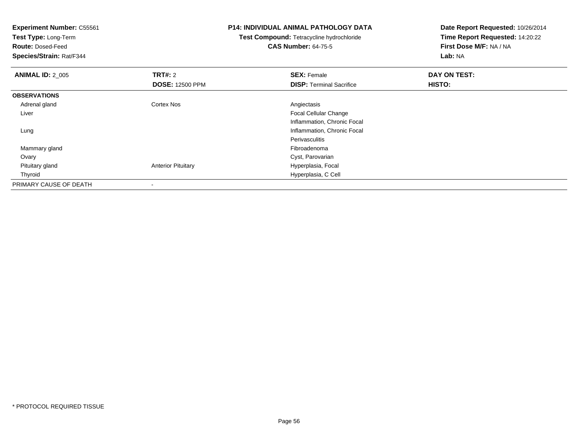| <b>Experiment Number: C55561</b><br>Test Type: Long-Term<br><b>Route: Dosed-Feed</b><br>Species/Strain: Rat/F344 |                           | <b>P14: INDIVIDUAL ANIMAL PATHOLOGY DATA</b><br>Test Compound: Tetracycline hydrochloride<br><b>CAS Number: 64-75-5</b> | Date Report Requested: 10/26/2014<br>Time Report Requested: 14:20:22<br>First Dose M/F: NA / NA<br>Lab: NA |
|------------------------------------------------------------------------------------------------------------------|---------------------------|-------------------------------------------------------------------------------------------------------------------------|------------------------------------------------------------------------------------------------------------|
| <b>ANIMAL ID: 2_005</b>                                                                                          | <b>TRT#: 2</b>            | <b>SEX: Female</b>                                                                                                      | DAY ON TEST:                                                                                               |
|                                                                                                                  | <b>DOSE: 12500 PPM</b>    | <b>DISP: Terminal Sacrifice</b>                                                                                         | HISTO:                                                                                                     |
| <b>OBSERVATIONS</b>                                                                                              |                           |                                                                                                                         |                                                                                                            |
| Adrenal gland                                                                                                    | Cortex Nos                | Angiectasis                                                                                                             |                                                                                                            |
| Liver                                                                                                            |                           | Focal Cellular Change                                                                                                   |                                                                                                            |
|                                                                                                                  |                           | Inflammation, Chronic Focal                                                                                             |                                                                                                            |
| Lung                                                                                                             |                           | Inflammation, Chronic Focal                                                                                             |                                                                                                            |
|                                                                                                                  |                           | <b>Perivasculitis</b>                                                                                                   |                                                                                                            |
| Mammary gland                                                                                                    |                           | Fibroadenoma                                                                                                            |                                                                                                            |
| Ovary                                                                                                            |                           | Cyst, Parovarian                                                                                                        |                                                                                                            |
| Pituitary gland                                                                                                  | <b>Anterior Pituitary</b> | Hyperplasia, Focal                                                                                                      |                                                                                                            |
| Thyroid                                                                                                          |                           | Hyperplasia, C Cell                                                                                                     |                                                                                                            |
| PRIMARY CAUSE OF DEATH                                                                                           |                           |                                                                                                                         |                                                                                                            |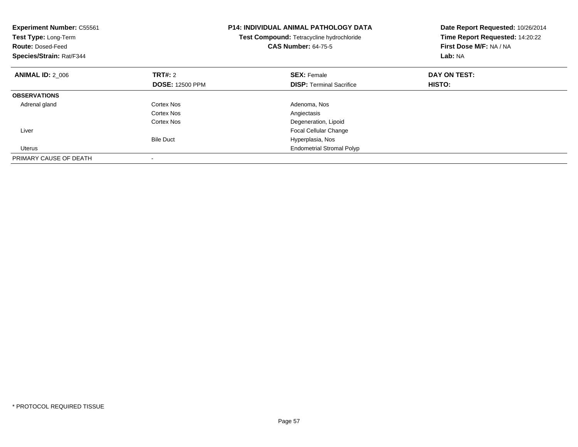| <b>Experiment Number: C55561</b><br>Test Type: Long-Term<br><b>Route: Dosed-Feed</b><br>Species/Strain: Rat/F344 |                        | <b>P14: INDIVIDUAL ANIMAL PATHOLOGY DATA</b><br>Test Compound: Tetracycline hydrochloride<br><b>CAS Number: 64-75-5</b> | Date Report Requested: 10/26/2014<br>Time Report Requested: 14:20:22<br>First Dose M/F: NA / NA<br>Lab: NA |
|------------------------------------------------------------------------------------------------------------------|------------------------|-------------------------------------------------------------------------------------------------------------------------|------------------------------------------------------------------------------------------------------------|
| <b>ANIMAL ID: 2 006</b>                                                                                          | TRT#: 2                | <b>SEX: Female</b>                                                                                                      | DAY ON TEST:                                                                                               |
|                                                                                                                  | <b>DOSE: 12500 PPM</b> | <b>DISP:</b> Terminal Sacrifice                                                                                         | HISTO:                                                                                                     |
| <b>OBSERVATIONS</b>                                                                                              |                        |                                                                                                                         |                                                                                                            |
| Adrenal gland                                                                                                    | Cortex Nos             | Adenoma, Nos                                                                                                            |                                                                                                            |
|                                                                                                                  | Cortex Nos             | Angiectasis                                                                                                             |                                                                                                            |
|                                                                                                                  | Cortex Nos             | Degeneration, Lipoid                                                                                                    |                                                                                                            |
| Liver                                                                                                            |                        | <b>Focal Cellular Change</b>                                                                                            |                                                                                                            |
|                                                                                                                  | <b>Bile Duct</b>       | Hyperplasia, Nos                                                                                                        |                                                                                                            |
| Uterus                                                                                                           |                        | <b>Endometrial Stromal Polyp</b>                                                                                        |                                                                                                            |
| PRIMARY CAUSE OF DEATH                                                                                           |                        |                                                                                                                         |                                                                                                            |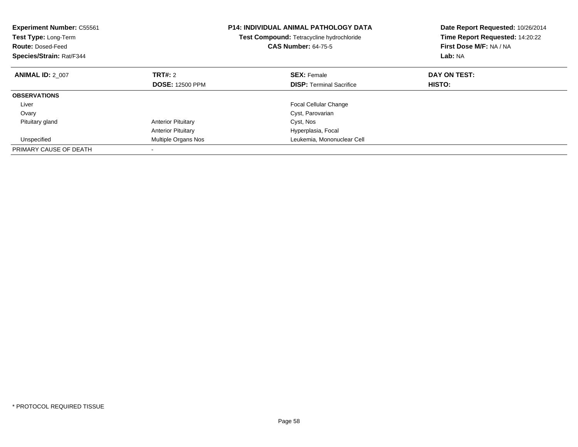| <b>Experiment Number: C55561</b><br>Test Type: Long-Term<br><b>Route: Dosed-Feed</b><br>Species/Strain: Rat/F344 |                           | <b>P14: INDIVIDUAL ANIMAL PATHOLOGY DATA</b><br>Test Compound: Tetracycline hydrochloride<br><b>CAS Number: 64-75-5</b> | Date Report Requested: 10/26/2014<br>Time Report Requested: 14:20:22<br>First Dose M/F: NA / NA<br>Lab: NA |
|------------------------------------------------------------------------------------------------------------------|---------------------------|-------------------------------------------------------------------------------------------------------------------------|------------------------------------------------------------------------------------------------------------|
| <b>ANIMAL ID: 2 007</b>                                                                                          | <b>TRT#: 2</b>            | <b>SEX: Female</b>                                                                                                      | DAY ON TEST:                                                                                               |
|                                                                                                                  | <b>DOSE: 12500 PPM</b>    | <b>DISP:</b> Terminal Sacrifice                                                                                         | HISTO:                                                                                                     |
| <b>OBSERVATIONS</b>                                                                                              |                           |                                                                                                                         |                                                                                                            |
| Liver                                                                                                            |                           | <b>Focal Cellular Change</b>                                                                                            |                                                                                                            |
| Ovary                                                                                                            |                           | Cyst, Parovarian                                                                                                        |                                                                                                            |
| Pituitary gland                                                                                                  | <b>Anterior Pituitary</b> | Cyst, Nos                                                                                                               |                                                                                                            |
|                                                                                                                  | <b>Anterior Pituitary</b> | Hyperplasia, Focal                                                                                                      |                                                                                                            |
| Unspecified                                                                                                      | Multiple Organs Nos       | Leukemia, Mononuclear Cell                                                                                              |                                                                                                            |
| PRIMARY CAUSE OF DEATH                                                                                           |                           |                                                                                                                         |                                                                                                            |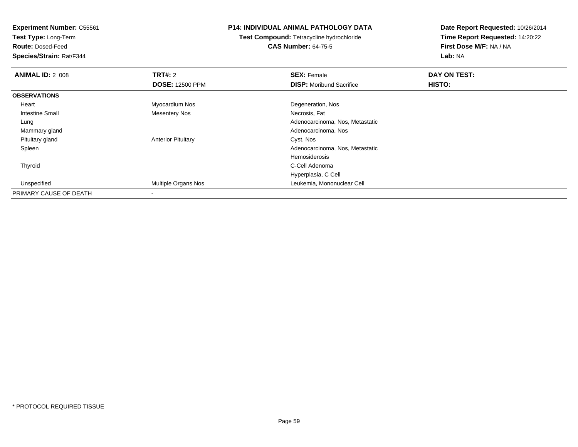**Test Type:** Long-Term

**Route:** Dosed-Feed

**Species/Strain:** Rat/F344

### **P14: INDIVIDUAL ANIMAL PATHOLOGY DATA**

**Test Compound:** Tetracycline hydrochloride**CAS Number:** 64-75-5

| <b>ANIMAL ID: 2_008</b> | TRT#: 2                    | <b>SEX: Female</b>              | DAY ON TEST: |  |
|-------------------------|----------------------------|---------------------------------|--------------|--|
|                         | <b>DOSE: 12500 PPM</b>     | <b>DISP:</b> Moribund Sacrifice | HISTO:       |  |
| <b>OBSERVATIONS</b>     |                            |                                 |              |  |
| Heart                   | Myocardium Nos             | Degeneration, Nos               |              |  |
| <b>Intestine Small</b>  | Mesentery Nos              | Necrosis, Fat                   |              |  |
| Lung                    |                            | Adenocarcinoma, Nos, Metastatic |              |  |
| Mammary gland           |                            | Adenocarcinoma, Nos             |              |  |
| Pituitary gland         | <b>Anterior Pituitary</b>  | Cyst, Nos                       |              |  |
| Spleen                  |                            | Adenocarcinoma, Nos, Metastatic |              |  |
|                         |                            | Hemosiderosis                   |              |  |
| Thyroid                 |                            | C-Cell Adenoma                  |              |  |
|                         |                            | Hyperplasia, C Cell             |              |  |
| Unspecified             | <b>Multiple Organs Nos</b> | Leukemia, Mononuclear Cell      |              |  |
| PRIMARY CAUSE OF DEATH  |                            |                                 |              |  |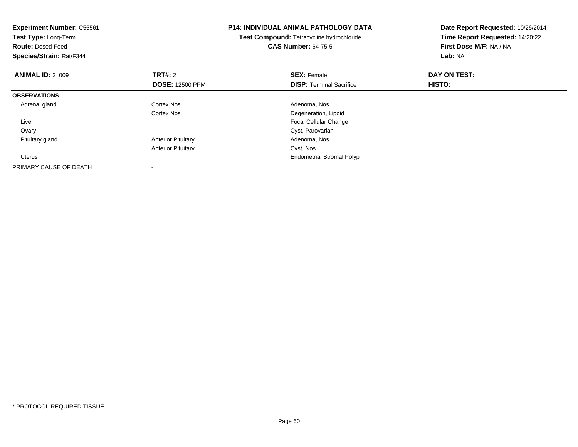| <b>Experiment Number: C55561</b><br>Test Type: Long-Term<br><b>Route: Dosed-Feed</b><br>Species/Strain: Rat/F344 |                                          | <b>P14: INDIVIDUAL ANIMAL PATHOLOGY DATA</b><br>Test Compound: Tetracycline hydrochloride<br><b>CAS Number: 64-75-5</b> | Date Report Requested: 10/26/2014<br>Time Report Requested: 14:20:22<br>First Dose M/F: NA / NA<br>Lab: NA |
|------------------------------------------------------------------------------------------------------------------|------------------------------------------|-------------------------------------------------------------------------------------------------------------------------|------------------------------------------------------------------------------------------------------------|
| <b>ANIMAL ID: 2 009</b>                                                                                          | <b>TRT#: 2</b><br><b>DOSE: 12500 PPM</b> | <b>SEX: Female</b><br><b>DISP:</b> Terminal Sacrifice                                                                   | DAY ON TEST:<br>HISTO:                                                                                     |
| <b>OBSERVATIONS</b>                                                                                              |                                          |                                                                                                                         |                                                                                                            |
| Adrenal gland                                                                                                    | Cortex Nos                               | Adenoma, Nos                                                                                                            |                                                                                                            |
|                                                                                                                  | Cortex Nos                               | Degeneration, Lipoid                                                                                                    |                                                                                                            |
| Liver                                                                                                            |                                          | Focal Cellular Change                                                                                                   |                                                                                                            |
| Ovary                                                                                                            |                                          | Cyst, Parovarian                                                                                                        |                                                                                                            |
| Pituitary gland                                                                                                  | <b>Anterior Pituitary</b>                | Adenoma, Nos                                                                                                            |                                                                                                            |
|                                                                                                                  | <b>Anterior Pituitary</b>                | Cyst, Nos                                                                                                               |                                                                                                            |
| <b>Uterus</b>                                                                                                    |                                          | <b>Endometrial Stromal Polyp</b>                                                                                        |                                                                                                            |
| PRIMARY CAUSE OF DEATH                                                                                           |                                          |                                                                                                                         |                                                                                                            |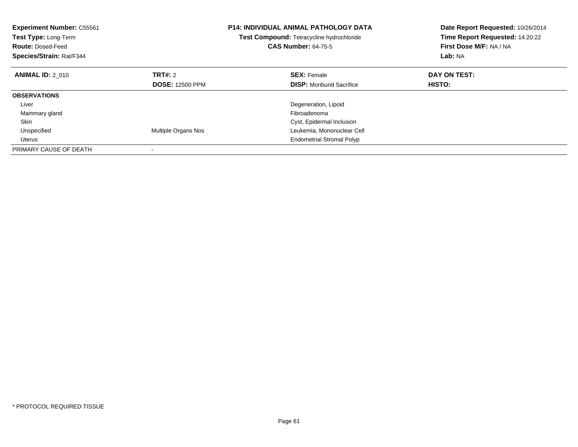| <b>Experiment Number: C55561</b><br>Test Type: Long-Term<br><b>Route: Dosed-Feed</b><br>Species/Strain: Rat/F344 |                        | <b>P14: INDIVIDUAL ANIMAL PATHOLOGY DATA</b><br>Test Compound: Tetracycline hydrochloride<br><b>CAS Number: 64-75-5</b> | Date Report Requested: 10/26/2014<br>Time Report Requested: 14:20:22<br>First Dose M/F: NA / NA<br>Lab: NA |
|------------------------------------------------------------------------------------------------------------------|------------------------|-------------------------------------------------------------------------------------------------------------------------|------------------------------------------------------------------------------------------------------------|
| <b>ANIMAL ID: 2 010</b>                                                                                          | TRT#: 2                | <b>SEX: Female</b>                                                                                                      | DAY ON TEST:                                                                                               |
|                                                                                                                  | <b>DOSE: 12500 PPM</b> | <b>DISP:</b> Moribund Sacrifice                                                                                         | HISTO:                                                                                                     |
| <b>OBSERVATIONS</b>                                                                                              |                        |                                                                                                                         |                                                                                                            |
| Liver                                                                                                            |                        | Degeneration, Lipoid                                                                                                    |                                                                                                            |
| Mammary gland                                                                                                    |                        | Fibroadenoma                                                                                                            |                                                                                                            |
| Skin                                                                                                             |                        | Cyst, Epidermal Inclusion                                                                                               |                                                                                                            |
| Unspecified                                                                                                      | Multiple Organs Nos    | Leukemia, Mononuclear Cell                                                                                              |                                                                                                            |
| Uterus                                                                                                           |                        | <b>Endometrial Stromal Polyp</b>                                                                                        |                                                                                                            |
| PRIMARY CAUSE OF DEATH                                                                                           |                        |                                                                                                                         |                                                                                                            |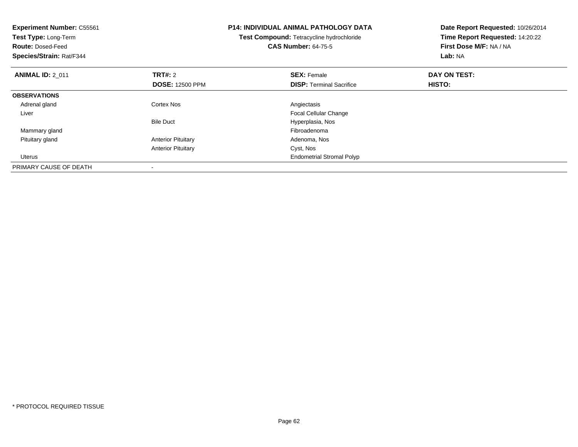| <b>Experiment Number: C55561</b><br>Test Type: Long-Term<br><b>Route: Dosed-Feed</b><br>Species/Strain: Rat/F344 |                           | <b>P14: INDIVIDUAL ANIMAL PATHOLOGY DATA</b><br>Test Compound: Tetracycline hydrochloride<br><b>CAS Number: 64-75-5</b> | Date Report Requested: 10/26/2014<br>Time Report Requested: 14:20:22<br>First Dose M/F: NA / NA<br>Lab: NA |
|------------------------------------------------------------------------------------------------------------------|---------------------------|-------------------------------------------------------------------------------------------------------------------------|------------------------------------------------------------------------------------------------------------|
| <b>ANIMAL ID: 2 011</b>                                                                                          | <b>TRT#: 2</b>            | <b>SEX: Female</b>                                                                                                      | DAY ON TEST:                                                                                               |
|                                                                                                                  | <b>DOSE: 12500 PPM</b>    | <b>DISP:</b> Terminal Sacrifice                                                                                         | HISTO:                                                                                                     |
| <b>OBSERVATIONS</b>                                                                                              |                           |                                                                                                                         |                                                                                                            |
| Adrenal gland                                                                                                    | Cortex Nos                | Angiectasis                                                                                                             |                                                                                                            |
| Liver                                                                                                            |                           | Focal Cellular Change                                                                                                   |                                                                                                            |
|                                                                                                                  | <b>Bile Duct</b>          | Hyperplasia, Nos                                                                                                        |                                                                                                            |
| Mammary gland                                                                                                    |                           | Fibroadenoma                                                                                                            |                                                                                                            |
| Pituitary gland                                                                                                  | <b>Anterior Pituitary</b> | Adenoma, Nos                                                                                                            |                                                                                                            |
|                                                                                                                  | <b>Anterior Pituitary</b> | Cyst, Nos                                                                                                               |                                                                                                            |
| Uterus                                                                                                           |                           | <b>Endometrial Stromal Polyp</b>                                                                                        |                                                                                                            |
| PRIMARY CAUSE OF DEATH                                                                                           |                           |                                                                                                                         |                                                                                                            |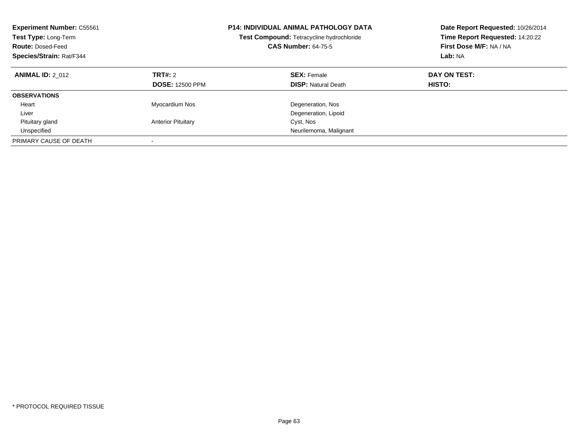| <b>Experiment Number: C55561</b><br>Test Type: Long-Term<br><b>Route: Dosed-Feed</b><br>Species/Strain: Rat/F344 |                                   | <b>P14: INDIVIDUAL ANIMAL PATHOLOGY DATA</b><br>Test Compound: Tetracycline hydrochloride<br><b>CAS Number: 64-75-5</b> | Date Report Requested: 10/26/2014<br>Time Report Requested: 14:20:22<br>First Dose M/F: NA / NA<br>Lab: NA |
|------------------------------------------------------------------------------------------------------------------|-----------------------------------|-------------------------------------------------------------------------------------------------------------------------|------------------------------------------------------------------------------------------------------------|
| <b>ANIMAL ID: 2 012</b>                                                                                          | TRT#: 2<br><b>DOSE: 12500 PPM</b> | <b>SEX: Female</b><br><b>DISP: Natural Death</b>                                                                        | DAY ON TEST:<br>HISTO:                                                                                     |
| <b>OBSERVATIONS</b>                                                                                              |                                   |                                                                                                                         |                                                                                                            |
| Heart                                                                                                            | Myocardium Nos                    | Degeneration, Nos                                                                                                       |                                                                                                            |
| Liver                                                                                                            |                                   | Degeneration, Lipoid                                                                                                    |                                                                                                            |
| Pituitary gland                                                                                                  | <b>Anterior Pituitary</b>         | Cyst, Nos                                                                                                               |                                                                                                            |
| Unspecified                                                                                                      |                                   | Neurilemoma, Malignant                                                                                                  |                                                                                                            |
| PRIMARY CAUSE OF DEATH                                                                                           |                                   |                                                                                                                         |                                                                                                            |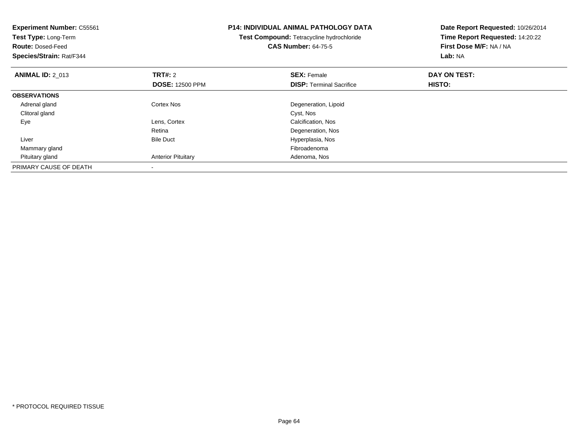| <b>Experiment Number: C55561</b><br>Test Type: Long-Term<br><b>Route: Dosed-Feed</b><br>Species/Strain: Rat/F344 |                           | <b>P14: INDIVIDUAL ANIMAL PATHOLOGY DATA</b><br>Test Compound: Tetracycline hydrochloride<br><b>CAS Number: 64-75-5</b> | Date Report Requested: 10/26/2014<br>Time Report Requested: 14:20:22<br>First Dose M/F: NA / NA<br>Lab: NA |  |
|------------------------------------------------------------------------------------------------------------------|---------------------------|-------------------------------------------------------------------------------------------------------------------------|------------------------------------------------------------------------------------------------------------|--|
| <b>ANIMAL ID: 2 013</b>                                                                                          | <b>TRT#:</b> 2            | <b>SEX: Female</b>                                                                                                      | DAY ON TEST:                                                                                               |  |
|                                                                                                                  | <b>DOSE: 12500 PPM</b>    | <b>DISP:</b> Terminal Sacrifice                                                                                         | HISTO:                                                                                                     |  |
| <b>OBSERVATIONS</b>                                                                                              |                           |                                                                                                                         |                                                                                                            |  |
| Adrenal gland                                                                                                    | Cortex Nos                | Degeneration, Lipoid                                                                                                    |                                                                                                            |  |
| Clitoral gland                                                                                                   |                           | Cyst, Nos                                                                                                               |                                                                                                            |  |
| Eye                                                                                                              | Lens, Cortex              | Calcification, Nos                                                                                                      |                                                                                                            |  |
|                                                                                                                  | Retina                    | Degeneration, Nos                                                                                                       |                                                                                                            |  |
| Liver                                                                                                            | <b>Bile Duct</b>          | Hyperplasia, Nos                                                                                                        |                                                                                                            |  |
| Mammary gland                                                                                                    |                           | Fibroadenoma                                                                                                            |                                                                                                            |  |
| Pituitary gland                                                                                                  | <b>Anterior Pituitary</b> | Adenoma, Nos                                                                                                            |                                                                                                            |  |
| PRIMARY CAUSE OF DEATH                                                                                           |                           |                                                                                                                         |                                                                                                            |  |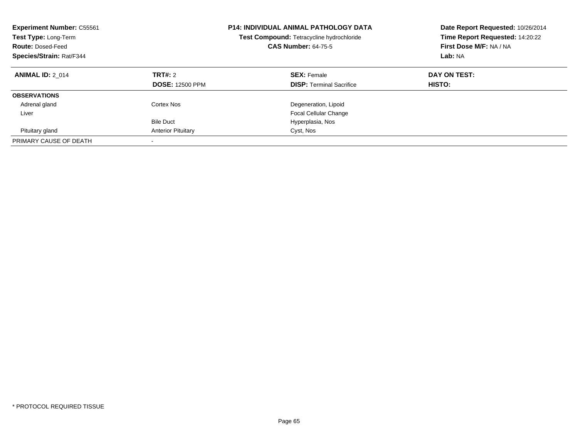| <b>Experiment Number: C55561</b><br>Test Type: Long-Term<br><b>CAS Number: 64-75-5</b><br><b>Route: Dosed-Feed</b><br>Species/Strain: Rat/F344 |                                   | <b>P14: INDIVIDUAL ANIMAL PATHOLOGY DATA</b><br>Test Compound: Tetracycline hydrochloride | Date Report Requested: 10/26/2014<br>Time Report Requested: 14:20:22<br>First Dose M/F: NA / NA<br>Lab: NA |
|------------------------------------------------------------------------------------------------------------------------------------------------|-----------------------------------|-------------------------------------------------------------------------------------------|------------------------------------------------------------------------------------------------------------|
| <b>ANIMAL ID: 2 014</b>                                                                                                                        | TRT#: 2<br><b>DOSE: 12500 PPM</b> | <b>SEX: Female</b><br><b>DISP:</b> Terminal Sacrifice                                     | DAY ON TEST:<br>HISTO:                                                                                     |
| <b>OBSERVATIONS</b>                                                                                                                            |                                   |                                                                                           |                                                                                                            |
| Adrenal gland                                                                                                                                  | Cortex Nos                        | Degeneration, Lipoid                                                                      |                                                                                                            |
| Liver                                                                                                                                          |                                   | <b>Focal Cellular Change</b>                                                              |                                                                                                            |
|                                                                                                                                                | <b>Bile Duct</b>                  | Hyperplasia, Nos                                                                          |                                                                                                            |
| Pituitary gland                                                                                                                                | <b>Anterior Pituitary</b>         | Cyst, Nos                                                                                 |                                                                                                            |
| PRIMARY CAUSE OF DEATH                                                                                                                         |                                   |                                                                                           |                                                                                                            |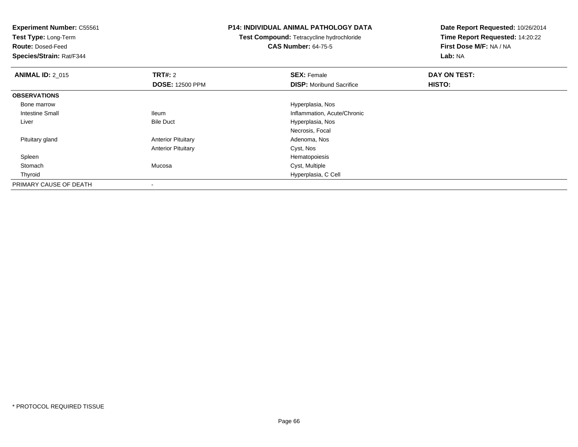**Experiment Number:** C55561**Test Type:** Long-Term**Route:** Dosed-Feed **Species/Strain:** Rat/F344**P14: INDIVIDUAL ANIMAL PATHOLOGY DATATest Compound:** Tetracycline hydrochloride**CAS Number:** 64-75-5**Date Report Requested:** 10/26/2014**Time Report Requested:** 14:20:22**First Dose M/F:** NA / NA**Lab:** NA**ANIMAL ID: 2 015 TRT#:** 2 **SEX:** Female **DAY ON TEST: DOSE:** 12500 PPM**DISP:** Moribund Sacrifice **HISTO: OBSERVATIONS** Bone marrow Hyperplasia, Nos Intestine Small Ileum Inflammation, Acute/Chronic LiverHyperplasia, Nos Necrosis, Focal Pituitary glandAnterior Pituitary **Adenoma, Nos** Adenoma, Nos Anterior Pituitary Cyst, Nos SpleenHematopoiesis<br>Mucosa Cyst, Multiple Stomach Mucosa Cyst, Multiple Thyroid Hyperplasia, C Cell PRIMARY CAUSE OF DEATH

-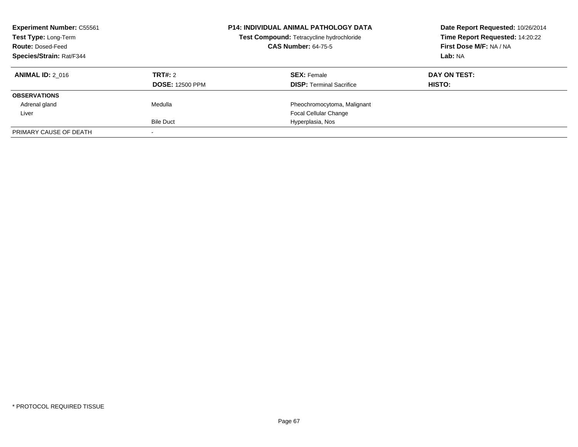| <b>Experiment Number: C55561</b><br>Test Type: Long-Term<br><b>Route: Dosed-Feed</b> |                        | P14: INDIVIDUAL ANIMAL PATHOLOGY DATA<br>Test Compound: Tetracycline hydrochloride<br><b>CAS Number: 64-75-5</b> | Date Report Requested: 10/26/2014<br>Time Report Requested: 14:20:22<br>First Dose M/F: NA / NA |  |
|--------------------------------------------------------------------------------------|------------------------|------------------------------------------------------------------------------------------------------------------|-------------------------------------------------------------------------------------------------|--|
| <b>Species/Strain: Rat/F344</b>                                                      |                        |                                                                                                                  | Lab: NA                                                                                         |  |
| <b>ANIMAL ID: 2 016</b>                                                              | TRT#: 2                | <b>SEX: Female</b>                                                                                               | DAY ON TEST:                                                                                    |  |
|                                                                                      | <b>DOSE: 12500 PPM</b> | <b>DISP:</b> Terminal Sacrifice                                                                                  | <b>HISTO:</b>                                                                                   |  |
| <b>OBSERVATIONS</b>                                                                  |                        |                                                                                                                  |                                                                                                 |  |
| Adrenal gland                                                                        | Medulla                | Pheochromocytoma, Malignant                                                                                      |                                                                                                 |  |
| Liver                                                                                |                        | <b>Focal Cellular Change</b>                                                                                     |                                                                                                 |  |
|                                                                                      | <b>Bile Duct</b>       | Hyperplasia, Nos                                                                                                 |                                                                                                 |  |
| PRIMARY CAUSE OF DEATH                                                               |                        |                                                                                                                  |                                                                                                 |  |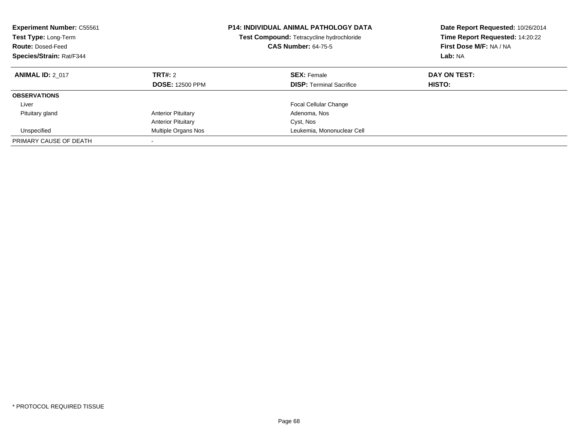| <b>Experiment Number: C55561</b><br>Test Type: Long-Term<br><b>Route: Dosed-Feed</b><br>Species/Strain: Rat/F344 |                                          | <b>P14: INDIVIDUAL ANIMAL PATHOLOGY DATA</b><br>Test Compound: Tetracycline hydrochloride<br><b>CAS Number: 64-75-5</b> | Date Report Requested: 10/26/2014<br>Time Report Requested: 14:20:22<br>First Dose M/F: NA / NA<br>Lab: NA |
|------------------------------------------------------------------------------------------------------------------|------------------------------------------|-------------------------------------------------------------------------------------------------------------------------|------------------------------------------------------------------------------------------------------------|
| <b>ANIMAL ID: 2 017</b>                                                                                          | <b>TRT#: 2</b><br><b>DOSE: 12500 PPM</b> | <b>SEX: Female</b><br><b>DISP:</b> Terminal Sacrifice                                                                   | DAY ON TEST:<br>HISTO:                                                                                     |
| <b>OBSERVATIONS</b>                                                                                              |                                          |                                                                                                                         |                                                                                                            |
| Liver                                                                                                            |                                          | Focal Cellular Change                                                                                                   |                                                                                                            |
| Pituitary gland                                                                                                  | <b>Anterior Pituitary</b>                | Adenoma, Nos                                                                                                            |                                                                                                            |
|                                                                                                                  | <b>Anterior Pituitary</b>                | Cyst, Nos                                                                                                               |                                                                                                            |
| Unspecified                                                                                                      | Multiple Organs Nos                      | Leukemia, Mononuclear Cell                                                                                              |                                                                                                            |
| PRIMARY CAUSE OF DEATH                                                                                           | -                                        |                                                                                                                         |                                                                                                            |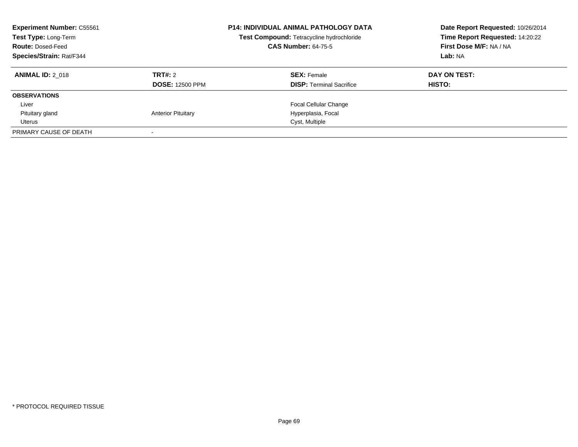| <b>Experiment Number: C55561</b><br>Test Type: Long-Term<br><b>Route: Dosed-Feed</b><br>Species/Strain: Rat/F344 |                                   | <b>P14: INDIVIDUAL ANIMAL PATHOLOGY DATA</b><br>Test Compound: Tetracycline hydrochloride<br><b>CAS Number: 64-75-5</b> | Date Report Requested: 10/26/2014<br>Time Report Requested: 14:20:22<br>First Dose M/F: NA / NA<br>Lab: NA |  |
|------------------------------------------------------------------------------------------------------------------|-----------------------------------|-------------------------------------------------------------------------------------------------------------------------|------------------------------------------------------------------------------------------------------------|--|
| <b>ANIMAL ID: 2 018</b>                                                                                          | TRT#: 2<br><b>DOSE: 12500 PPM</b> | <b>SEX: Female</b><br><b>DISP:</b> Terminal Sacrifice                                                                   | DAY ON TEST:<br><b>HISTO:</b>                                                                              |  |
| <b>OBSERVATIONS</b>                                                                                              |                                   |                                                                                                                         |                                                                                                            |  |
| Liver                                                                                                            |                                   | <b>Focal Cellular Change</b>                                                                                            |                                                                                                            |  |
| Pituitary gland                                                                                                  | <b>Anterior Pituitary</b>         | Hyperplasia, Focal                                                                                                      |                                                                                                            |  |
| Uterus                                                                                                           |                                   | Cyst, Multiple                                                                                                          |                                                                                                            |  |
| PRIMARY CAUSE OF DEATH                                                                                           |                                   |                                                                                                                         |                                                                                                            |  |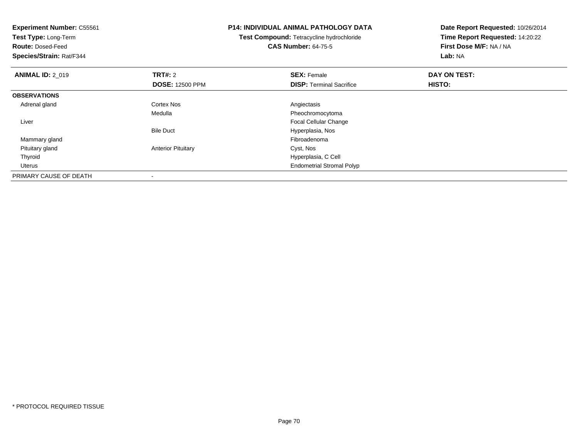| <b>Experiment Number: C55561</b><br>Test Type: Long-Term<br><b>Route: Dosed-Feed</b><br>Species/Strain: Rat/F344 |                           | <b>P14: INDIVIDUAL ANIMAL PATHOLOGY DATA</b><br>Test Compound: Tetracycline hydrochloride<br><b>CAS Number: 64-75-5</b> | Date Report Requested: 10/26/2014<br>Time Report Requested: 14:20:22<br>First Dose M/F: NA / NA<br>Lab: NA |  |
|------------------------------------------------------------------------------------------------------------------|---------------------------|-------------------------------------------------------------------------------------------------------------------------|------------------------------------------------------------------------------------------------------------|--|
| <b>ANIMAL ID: 2 019</b>                                                                                          | <b>TRT#: 2</b>            | <b>SEX: Female</b>                                                                                                      | DAY ON TEST:                                                                                               |  |
|                                                                                                                  | <b>DOSE: 12500 PPM</b>    | <b>DISP:</b> Terminal Sacrifice                                                                                         | HISTO:                                                                                                     |  |
| <b>OBSERVATIONS</b>                                                                                              |                           |                                                                                                                         |                                                                                                            |  |
| Adrenal gland                                                                                                    | Cortex Nos                | Angiectasis                                                                                                             |                                                                                                            |  |
|                                                                                                                  | Medulla                   | Pheochromocytoma                                                                                                        |                                                                                                            |  |
| Liver                                                                                                            |                           | <b>Focal Cellular Change</b>                                                                                            |                                                                                                            |  |
|                                                                                                                  | <b>Bile Duct</b>          | Hyperplasia, Nos                                                                                                        |                                                                                                            |  |
| Mammary gland                                                                                                    |                           | Fibroadenoma                                                                                                            |                                                                                                            |  |
| Pituitary gland                                                                                                  | <b>Anterior Pituitary</b> | Cyst, Nos                                                                                                               |                                                                                                            |  |
| Thyroid                                                                                                          |                           | Hyperplasia, C Cell                                                                                                     |                                                                                                            |  |
| Uterus                                                                                                           |                           | <b>Endometrial Stromal Polyp</b>                                                                                        |                                                                                                            |  |
| PRIMARY CAUSE OF DEATH                                                                                           |                           |                                                                                                                         |                                                                                                            |  |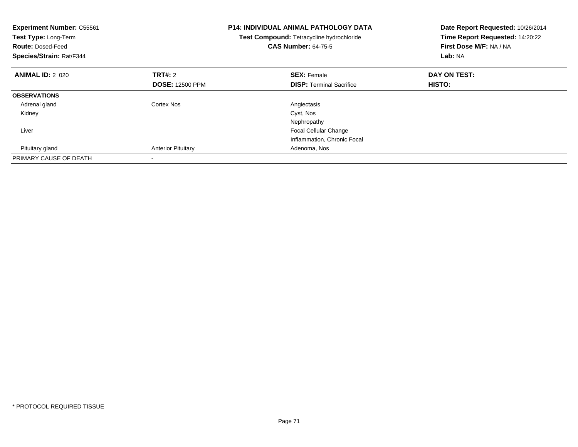| <b>Experiment Number: C55561</b><br>Test Type: Long-Term<br><b>Route: Dosed-Feed</b><br>Species/Strain: Rat/F344 |                           | <b>P14: INDIVIDUAL ANIMAL PATHOLOGY DATA</b><br>Test Compound: Tetracycline hydrochloride<br><b>CAS Number: 64-75-5</b> | Date Report Requested: 10/26/2014<br>Time Report Requested: 14:20:22<br>First Dose M/F: NA / NA<br>Lab: NA |  |
|------------------------------------------------------------------------------------------------------------------|---------------------------|-------------------------------------------------------------------------------------------------------------------------|------------------------------------------------------------------------------------------------------------|--|
| <b>ANIMAL ID: 2 020</b>                                                                                          | <b>TRT#: 2</b>            | <b>SEX: Female</b>                                                                                                      | DAY ON TEST:                                                                                               |  |
|                                                                                                                  | <b>DOSE: 12500 PPM</b>    | <b>DISP:</b> Terminal Sacrifice                                                                                         | <b>HISTO:</b>                                                                                              |  |
| <b>OBSERVATIONS</b>                                                                                              |                           |                                                                                                                         |                                                                                                            |  |
| Adrenal gland                                                                                                    | Cortex Nos                | Angiectasis                                                                                                             |                                                                                                            |  |
| Kidney                                                                                                           |                           | Cyst, Nos                                                                                                               |                                                                                                            |  |
|                                                                                                                  |                           | Nephropathy                                                                                                             |                                                                                                            |  |
| Liver                                                                                                            |                           | <b>Focal Cellular Change</b>                                                                                            |                                                                                                            |  |
|                                                                                                                  |                           | Inflammation, Chronic Focal                                                                                             |                                                                                                            |  |
| Pituitary gland                                                                                                  | <b>Anterior Pituitary</b> | Adenoma, Nos                                                                                                            |                                                                                                            |  |
| PRIMARY CAUSE OF DEATH                                                                                           |                           |                                                                                                                         |                                                                                                            |  |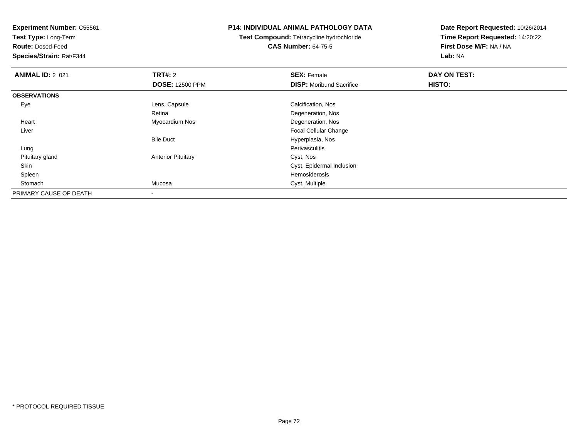**Test Type:** Long-Term

**Route:** Dosed-Feed

**Species/Strain:** Rat/F344

### **P14: INDIVIDUAL ANIMAL PATHOLOGY DATA**

**Test Compound:** Tetracycline hydrochloride**CAS Number:** 64-75-5

| <b>ANIMAL ID: 2_021</b> | <b>TRT#: 2</b>            | <b>SEX: Female</b>              | DAY ON TEST: |  |
|-------------------------|---------------------------|---------------------------------|--------------|--|
|                         | <b>DOSE: 12500 PPM</b>    | <b>DISP:</b> Moribund Sacrifice | HISTO:       |  |
| <b>OBSERVATIONS</b>     |                           |                                 |              |  |
| Eye                     | Lens, Capsule             | Calcification, Nos              |              |  |
|                         | Retina                    | Degeneration, Nos               |              |  |
| Heart                   | Myocardium Nos            | Degeneration, Nos               |              |  |
| Liver                   |                           | <b>Focal Cellular Change</b>    |              |  |
|                         | <b>Bile Duct</b>          | Hyperplasia, Nos                |              |  |
| Lung                    |                           | Perivasculitis                  |              |  |
| Pituitary gland         | <b>Anterior Pituitary</b> | Cyst, Nos                       |              |  |
| Skin                    |                           | Cyst, Epidermal Inclusion       |              |  |
| Spleen                  |                           | Hemosiderosis                   |              |  |
| Stomach                 | Mucosa                    | Cyst, Multiple                  |              |  |
| PRIMARY CAUSE OF DEATH  |                           |                                 |              |  |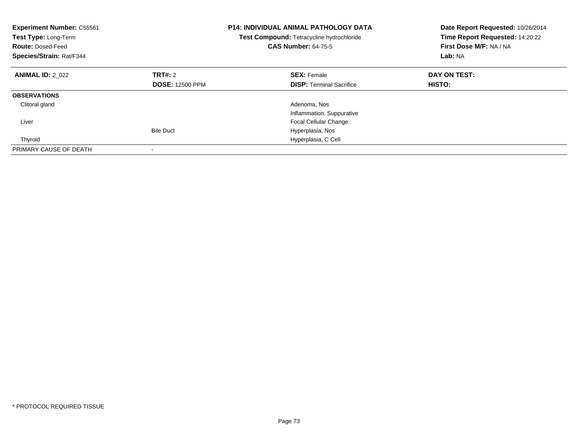| <b>Experiment Number: C55561</b><br>Test Type: Long-Term<br><b>Route: Dosed-Feed</b><br>Species/Strain: Rat/F344 |                        | <b>P14: INDIVIDUAL ANIMAL PATHOLOGY DATA</b><br>Test Compound: Tetracycline hydrochloride<br><b>CAS Number: 64-75-5</b> | Date Report Requested: 10/26/2014<br>Time Report Requested: 14:20:22<br>First Dose M/F: NA / NA<br>Lab: NA |
|------------------------------------------------------------------------------------------------------------------|------------------------|-------------------------------------------------------------------------------------------------------------------------|------------------------------------------------------------------------------------------------------------|
| <b>ANIMAL ID: 2 022</b>                                                                                          | TRT#: 2                | <b>SEX: Female</b>                                                                                                      | DAY ON TEST:                                                                                               |
|                                                                                                                  | <b>DOSE: 12500 PPM</b> | <b>DISP:</b> Terminal Sacrifice                                                                                         | <b>HISTO:</b>                                                                                              |
| <b>OBSERVATIONS</b>                                                                                              |                        |                                                                                                                         |                                                                                                            |
| Clitoral gland                                                                                                   |                        | Adenoma, Nos                                                                                                            |                                                                                                            |
|                                                                                                                  |                        | Inflammation, Suppurative                                                                                               |                                                                                                            |
| Liver                                                                                                            |                        | <b>Focal Cellular Change</b>                                                                                            |                                                                                                            |
|                                                                                                                  | <b>Bile Duct</b>       | Hyperplasia, Nos                                                                                                        |                                                                                                            |
| Thyroid                                                                                                          |                        | Hyperplasia, C Cell                                                                                                     |                                                                                                            |
| PRIMARY CAUSE OF DEATH                                                                                           |                        |                                                                                                                         |                                                                                                            |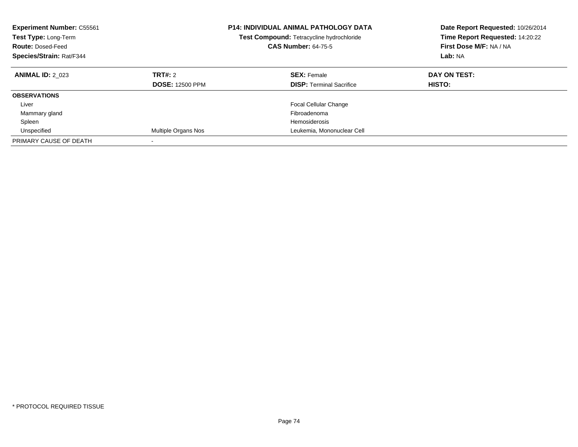| <b>Experiment Number: C55561</b><br>Test Type: Long-Term<br><b>Route: Dosed-Feed</b><br>Species/Strain: Rat/F344 |                                          | <b>P14: INDIVIDUAL ANIMAL PATHOLOGY DATA</b><br>Test Compound: Tetracycline hydrochloride<br><b>CAS Number: 64-75-5</b> | Date Report Requested: 10/26/2014<br>Time Report Requested: 14:20:22<br>First Dose M/F: NA / NA<br>Lab: NA |
|------------------------------------------------------------------------------------------------------------------|------------------------------------------|-------------------------------------------------------------------------------------------------------------------------|------------------------------------------------------------------------------------------------------------|
| <b>ANIMAL ID: 2 023</b>                                                                                          | <b>TRT#: 2</b><br><b>DOSE: 12500 PPM</b> | <b>SEX: Female</b><br><b>DISP:</b> Terminal Sacrifice                                                                   | DAY ON TEST:<br>HISTO:                                                                                     |
| <b>OBSERVATIONS</b>                                                                                              |                                          |                                                                                                                         |                                                                                                            |
| Liver                                                                                                            |                                          | <b>Focal Cellular Change</b>                                                                                            |                                                                                                            |
| Mammary gland                                                                                                    |                                          | Fibroadenoma                                                                                                            |                                                                                                            |
| Spleen                                                                                                           |                                          | Hemosiderosis                                                                                                           |                                                                                                            |
| Unspecified                                                                                                      | Multiple Organs Nos                      | Leukemia, Mononuclear Cell                                                                                              |                                                                                                            |
| PRIMARY CAUSE OF DEATH                                                                                           |                                          |                                                                                                                         |                                                                                                            |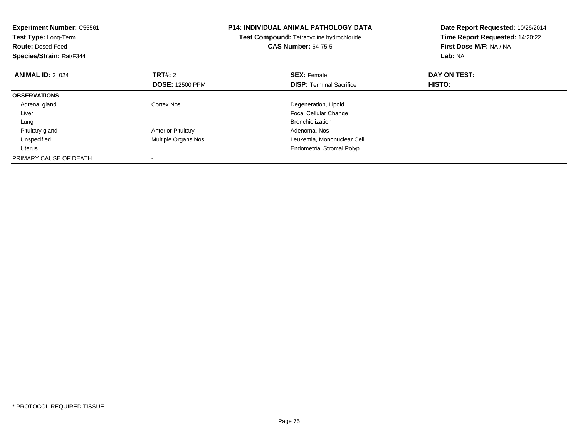| <b>Experiment Number: C55561</b><br>Test Type: Long-Term<br><b>Route: Dosed-Feed</b><br>Species/Strain: Rat/F344 |                           | <b>P14: INDIVIDUAL ANIMAL PATHOLOGY DATA</b><br>Test Compound: Tetracycline hydrochloride<br><b>CAS Number: 64-75-5</b> | Date Report Requested: 10/26/2014<br>Time Report Requested: 14:20:22<br>First Dose M/F: NA / NA<br>Lab: NA |
|------------------------------------------------------------------------------------------------------------------|---------------------------|-------------------------------------------------------------------------------------------------------------------------|------------------------------------------------------------------------------------------------------------|
| <b>ANIMAL ID: 2 024</b>                                                                                          | <b>TRT#: 2</b>            | <b>SEX: Female</b>                                                                                                      | DAY ON TEST:                                                                                               |
|                                                                                                                  | <b>DOSE: 12500 PPM</b>    | <b>DISP:</b> Terminal Sacrifice                                                                                         | <b>HISTO:</b>                                                                                              |
| <b>OBSERVATIONS</b>                                                                                              |                           |                                                                                                                         |                                                                                                            |
| Adrenal gland                                                                                                    | Cortex Nos                | Degeneration, Lipoid                                                                                                    |                                                                                                            |
| Liver                                                                                                            |                           | <b>Focal Cellular Change</b>                                                                                            |                                                                                                            |
| Lung                                                                                                             |                           | <b>Bronchiolization</b>                                                                                                 |                                                                                                            |
| Pituitary gland                                                                                                  | <b>Anterior Pituitary</b> | Adenoma, Nos                                                                                                            |                                                                                                            |
| Unspecified                                                                                                      | Multiple Organs Nos       | Leukemia, Mononuclear Cell                                                                                              |                                                                                                            |
| Uterus                                                                                                           |                           | <b>Endometrial Stromal Polyp</b>                                                                                        |                                                                                                            |
| PRIMARY CAUSE OF DEATH                                                                                           |                           |                                                                                                                         |                                                                                                            |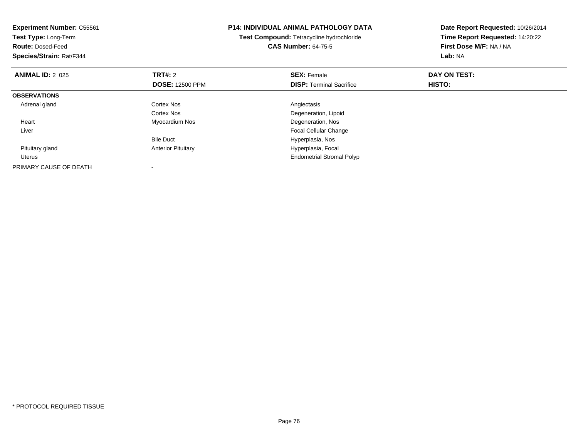| <b>Experiment Number: C55561</b><br>Test Type: Long-Term<br><b>Route: Dosed-Feed</b><br>Species/Strain: Rat/F344 |                           | <b>P14: INDIVIDUAL ANIMAL PATHOLOGY DATA</b><br>Test Compound: Tetracycline hydrochloride<br><b>CAS Number: 64-75-5</b> | Date Report Requested: 10/26/2014<br>Time Report Requested: 14:20:22<br>First Dose M/F: NA / NA<br>Lab: NA |
|------------------------------------------------------------------------------------------------------------------|---------------------------|-------------------------------------------------------------------------------------------------------------------------|------------------------------------------------------------------------------------------------------------|
| <b>ANIMAL ID: 2 025</b>                                                                                          | <b>TRT#: 2</b>            | <b>SEX: Female</b>                                                                                                      | DAY ON TEST:                                                                                               |
|                                                                                                                  | <b>DOSE: 12500 PPM</b>    | <b>DISP:</b> Terminal Sacrifice                                                                                         | HISTO:                                                                                                     |
| <b>OBSERVATIONS</b>                                                                                              |                           |                                                                                                                         |                                                                                                            |
| Adrenal gland                                                                                                    | Cortex Nos                | Angiectasis                                                                                                             |                                                                                                            |
|                                                                                                                  | Cortex Nos                | Degeneration, Lipoid                                                                                                    |                                                                                                            |
| Heart                                                                                                            | Myocardium Nos            | Degeneration, Nos                                                                                                       |                                                                                                            |
| Liver                                                                                                            |                           | <b>Focal Cellular Change</b>                                                                                            |                                                                                                            |
|                                                                                                                  | <b>Bile Duct</b>          | Hyperplasia, Nos                                                                                                        |                                                                                                            |
| Pituitary gland                                                                                                  | <b>Anterior Pituitary</b> | Hyperplasia, Focal                                                                                                      |                                                                                                            |
| Uterus                                                                                                           |                           | <b>Endometrial Stromal Polyp</b>                                                                                        |                                                                                                            |
| PRIMARY CAUSE OF DEATH                                                                                           |                           |                                                                                                                         |                                                                                                            |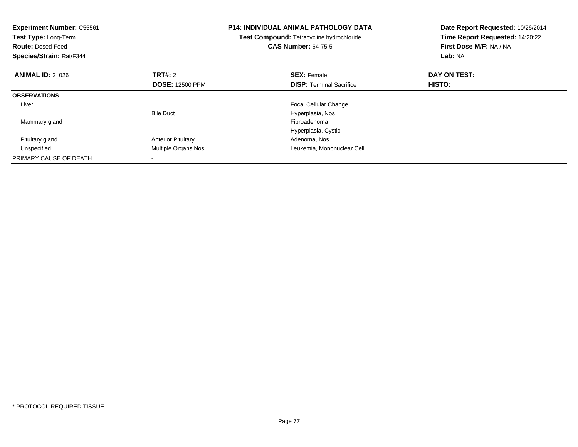| <b>Experiment Number: C55561</b><br><b>Test Type: Long-Term</b><br><b>Route: Dosed-Feed</b><br>Species/Strain: Rat/F344 |                           | <b>P14: INDIVIDUAL ANIMAL PATHOLOGY DATA</b><br>Test Compound: Tetracycline hydrochloride<br><b>CAS Number: 64-75-5</b> | Date Report Requested: 10/26/2014<br>Time Report Requested: 14:20:22<br>First Dose M/F: NA / NA<br>Lab: NA |
|-------------------------------------------------------------------------------------------------------------------------|---------------------------|-------------------------------------------------------------------------------------------------------------------------|------------------------------------------------------------------------------------------------------------|
| <b>ANIMAL ID: 2 026</b>                                                                                                 | TRT#: 2                   | <b>SEX: Female</b>                                                                                                      | DAY ON TEST:                                                                                               |
|                                                                                                                         | <b>DOSE: 12500 PPM</b>    | <b>DISP:</b> Terminal Sacrifice                                                                                         | HISTO:                                                                                                     |
| <b>OBSERVATIONS</b>                                                                                                     |                           |                                                                                                                         |                                                                                                            |
| Liver                                                                                                                   |                           | <b>Focal Cellular Change</b>                                                                                            |                                                                                                            |
|                                                                                                                         | <b>Bile Duct</b>          | Hyperplasia, Nos                                                                                                        |                                                                                                            |
| Mammary gland                                                                                                           |                           | Fibroadenoma                                                                                                            |                                                                                                            |
|                                                                                                                         |                           | Hyperplasia, Cystic                                                                                                     |                                                                                                            |
| Pituitary gland                                                                                                         | <b>Anterior Pituitary</b> | Adenoma, Nos                                                                                                            |                                                                                                            |
| Unspecified                                                                                                             | Multiple Organs Nos       | Leukemia, Mononuclear Cell                                                                                              |                                                                                                            |
| PRIMARY CAUSE OF DEATH                                                                                                  |                           |                                                                                                                         |                                                                                                            |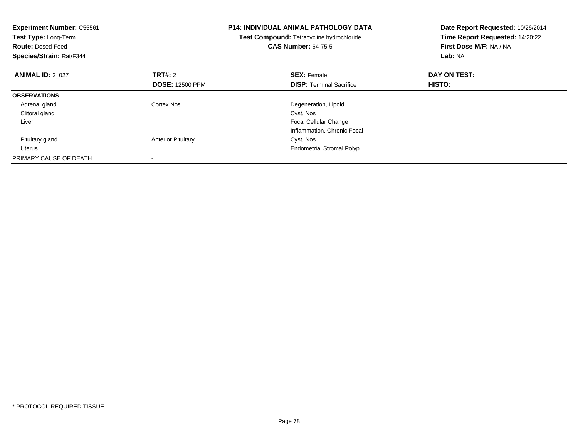| <b>Experiment Number: C55561</b><br>Test Type: Long-Term<br><b>Route: Dosed-Feed</b><br>Species/Strain: Rat/F344 |                           | <b>P14: INDIVIDUAL ANIMAL PATHOLOGY DATA</b><br>Test Compound: Tetracycline hydrochloride<br><b>CAS Number: 64-75-5</b> | Date Report Requested: 10/26/2014<br>Time Report Requested: 14:20:22<br>First Dose M/F: NA / NA<br>Lab: NA |
|------------------------------------------------------------------------------------------------------------------|---------------------------|-------------------------------------------------------------------------------------------------------------------------|------------------------------------------------------------------------------------------------------------|
| <b>ANIMAL ID: 2 027</b>                                                                                          | TRT#: 2                   | <b>SEX: Female</b>                                                                                                      | DAY ON TEST:                                                                                               |
|                                                                                                                  | <b>DOSE: 12500 PPM</b>    | <b>DISP:</b> Terminal Sacrifice                                                                                         | HISTO:                                                                                                     |
| <b>OBSERVATIONS</b>                                                                                              |                           |                                                                                                                         |                                                                                                            |
| Adrenal gland                                                                                                    | Cortex Nos                | Degeneration, Lipoid                                                                                                    |                                                                                                            |
| Clitoral gland                                                                                                   |                           | Cyst, Nos                                                                                                               |                                                                                                            |
| Liver                                                                                                            |                           | <b>Focal Cellular Change</b>                                                                                            |                                                                                                            |
|                                                                                                                  |                           | Inflammation, Chronic Focal                                                                                             |                                                                                                            |
| Pituitary gland                                                                                                  | <b>Anterior Pituitary</b> | Cyst, Nos                                                                                                               |                                                                                                            |
| Uterus                                                                                                           |                           | <b>Endometrial Stromal Polyp</b>                                                                                        |                                                                                                            |
| PRIMARY CAUSE OF DEATH                                                                                           |                           |                                                                                                                         |                                                                                                            |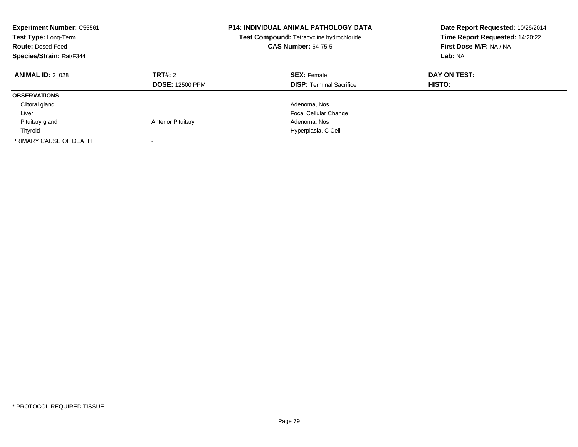| <b>Experiment Number: C55561</b><br>Test Type: Long-Term<br><b>Route: Dosed-Feed</b><br>Species/Strain: Rat/F344 |                                   | <b>P14: INDIVIDUAL ANIMAL PATHOLOGY DATA</b><br>Test Compound: Tetracycline hydrochloride<br><b>CAS Number: 64-75-5</b> | Date Report Requested: 10/26/2014<br>Time Report Requested: 14:20:22<br>First Dose M/F: NA / NA<br>Lab: NA |
|------------------------------------------------------------------------------------------------------------------|-----------------------------------|-------------------------------------------------------------------------------------------------------------------------|------------------------------------------------------------------------------------------------------------|
| <b>ANIMAL ID: 2 028</b>                                                                                          | TRT#: 2<br><b>DOSE: 12500 PPM</b> | <b>SEX: Female</b><br><b>DISP:</b> Terminal Sacrifice                                                                   | DAY ON TEST:<br>HISTO:                                                                                     |
| <b>OBSERVATIONS</b>                                                                                              |                                   |                                                                                                                         |                                                                                                            |
| Clitoral gland                                                                                                   |                                   | Adenoma, Nos                                                                                                            |                                                                                                            |
| Liver                                                                                                            |                                   | <b>Focal Cellular Change</b>                                                                                            |                                                                                                            |
| Pituitary gland                                                                                                  | <b>Anterior Pituitary</b>         | Adenoma, Nos                                                                                                            |                                                                                                            |
| Thyroid                                                                                                          |                                   | Hyperplasia, C Cell                                                                                                     |                                                                                                            |
| PRIMARY CAUSE OF DEATH                                                                                           |                                   |                                                                                                                         |                                                                                                            |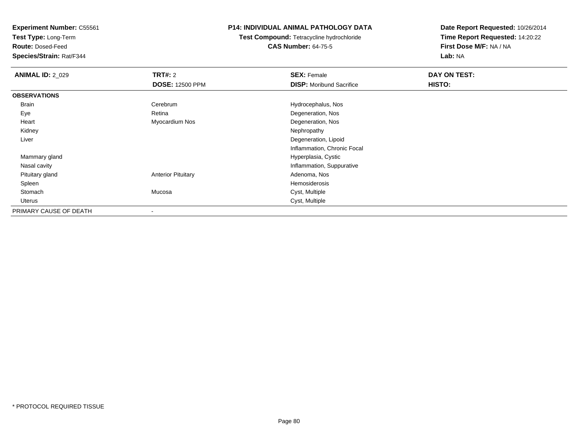**Test Type:** Long-Term

**Route:** Dosed-Feed

**Species/Strain:** Rat/F344

## **P14: INDIVIDUAL ANIMAL PATHOLOGY DATA**

**Test Compound:** Tetracycline hydrochloride**CAS Number:** 64-75-5

| <b>ANIMAL ID: 2_029</b> | TRT#: 2                   | <b>SEX: Female</b>              | DAY ON TEST: |  |
|-------------------------|---------------------------|---------------------------------|--------------|--|
|                         | <b>DOSE: 12500 PPM</b>    | <b>DISP:</b> Moribund Sacrifice | HISTO:       |  |
| <b>OBSERVATIONS</b>     |                           |                                 |              |  |
| Brain                   | Cerebrum                  | Hydrocephalus, Nos              |              |  |
| Eye                     | Retina                    | Degeneration, Nos               |              |  |
| Heart                   | Myocardium Nos            | Degeneration, Nos               |              |  |
| Kidney                  |                           | Nephropathy                     |              |  |
| Liver                   |                           | Degeneration, Lipoid            |              |  |
|                         |                           | Inflammation, Chronic Focal     |              |  |
| Mammary gland           |                           | Hyperplasia, Cystic             |              |  |
| Nasal cavity            |                           | Inflammation, Suppurative       |              |  |
| Pituitary gland         | <b>Anterior Pituitary</b> | Adenoma, Nos                    |              |  |
| Spleen                  |                           | Hemosiderosis                   |              |  |
| Stomach                 | Mucosa                    | Cyst, Multiple                  |              |  |
| Uterus                  |                           | Cyst, Multiple                  |              |  |
| PRIMARY CAUSE OF DEATH  | $\overline{\phantom{a}}$  |                                 |              |  |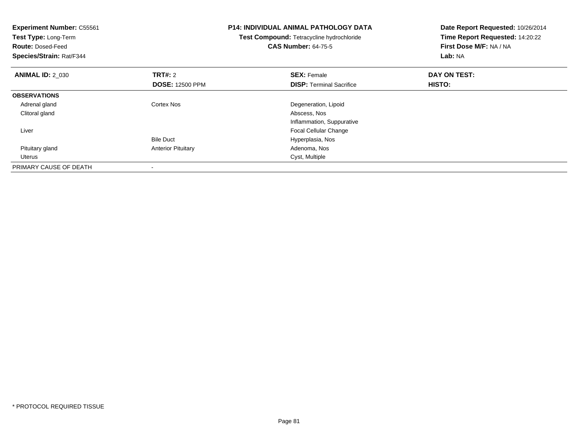| <b>Experiment Number: C55561</b><br>Test Type: Long-Term<br><b>Route: Dosed-Feed</b><br>Species/Strain: Rat/F344 |                           | <b>P14: INDIVIDUAL ANIMAL PATHOLOGY DATA</b><br>Test Compound: Tetracycline hydrochloride<br><b>CAS Number: 64-75-5</b> | Date Report Requested: 10/26/2014<br>Time Report Requested: 14:20:22<br>First Dose M/F: NA / NA<br>Lab: NA |
|------------------------------------------------------------------------------------------------------------------|---------------------------|-------------------------------------------------------------------------------------------------------------------------|------------------------------------------------------------------------------------------------------------|
| <b>ANIMAL ID: 2 030</b>                                                                                          | <b>TRT#: 2</b>            | <b>SEX: Female</b>                                                                                                      | DAY ON TEST:                                                                                               |
|                                                                                                                  | <b>DOSE: 12500 PPM</b>    | <b>DISP:</b> Terminal Sacrifice                                                                                         | HISTO:                                                                                                     |
| <b>OBSERVATIONS</b>                                                                                              |                           |                                                                                                                         |                                                                                                            |
| Adrenal gland                                                                                                    | Cortex Nos                | Degeneration, Lipoid                                                                                                    |                                                                                                            |
| Clitoral gland                                                                                                   |                           | Abscess, Nos                                                                                                            |                                                                                                            |
|                                                                                                                  |                           | Inflammation, Suppurative                                                                                               |                                                                                                            |
| Liver                                                                                                            |                           | <b>Focal Cellular Change</b>                                                                                            |                                                                                                            |
|                                                                                                                  | <b>Bile Duct</b>          | Hyperplasia, Nos                                                                                                        |                                                                                                            |
| Pituitary gland                                                                                                  | <b>Anterior Pituitary</b> | Adenoma, Nos                                                                                                            |                                                                                                            |
| Uterus                                                                                                           |                           | Cyst, Multiple                                                                                                          |                                                                                                            |
| PRIMARY CAUSE OF DEATH                                                                                           |                           |                                                                                                                         |                                                                                                            |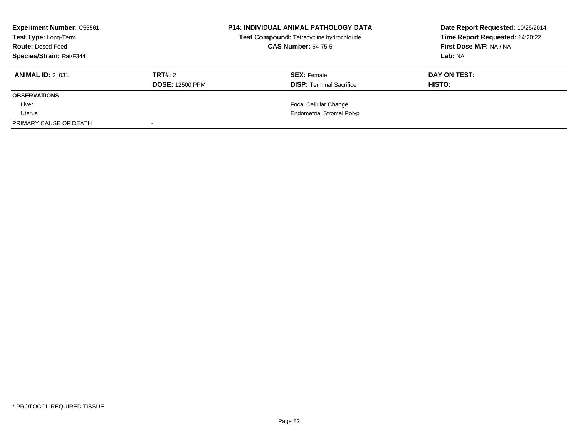| <b>Experiment Number: C55561</b><br>Test Type: Long-Term<br><b>Route: Dosed-Feed</b><br>Species/Strain: Rat/F344 |                                   | <b>P14: INDIVIDUAL ANIMAL PATHOLOGY DATA</b><br>Test Compound: Tetracycline hydrochloride<br><b>CAS Number: 64-75-5</b> | Date Report Requested: 10/26/2014<br>Time Report Requested: 14:20:22<br>First Dose M/F: NA / NA<br>Lab: NA |
|------------------------------------------------------------------------------------------------------------------|-----------------------------------|-------------------------------------------------------------------------------------------------------------------------|------------------------------------------------------------------------------------------------------------|
| <b>ANIMAL ID: 2 031</b>                                                                                          | TRT#: 2<br><b>DOSE: 12500 PPM</b> | <b>SEX:</b> Female<br><b>DISP:</b> Terminal Sacrifice                                                                   | DAY ON TEST:<br>HISTO:                                                                                     |
| <b>OBSERVATIONS</b>                                                                                              |                                   |                                                                                                                         |                                                                                                            |
| Liver                                                                                                            |                                   | <b>Focal Cellular Change</b>                                                                                            |                                                                                                            |
| Uterus                                                                                                           |                                   | <b>Endometrial Stromal Polyp</b>                                                                                        |                                                                                                            |
| PRIMARY CAUSE OF DEATH                                                                                           |                                   |                                                                                                                         |                                                                                                            |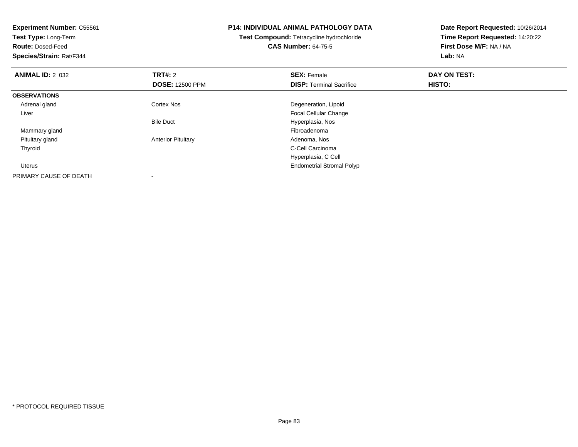| <b>Experiment Number: C55561</b><br>Test Type: Long-Term<br><b>Route: Dosed-Feed</b><br>Species/Strain: Rat/F344 |                           | <b>P14: INDIVIDUAL ANIMAL PATHOLOGY DATA</b><br><b>Test Compound: Tetracycline hydrochloride</b><br><b>CAS Number: 64-75-5</b> | Date Report Requested: 10/26/2014<br>Time Report Requested: 14:20:22<br>First Dose M/F: NA / NA<br>Lab: NA |
|------------------------------------------------------------------------------------------------------------------|---------------------------|--------------------------------------------------------------------------------------------------------------------------------|------------------------------------------------------------------------------------------------------------|
| <b>ANIMAL ID: 2_032</b>                                                                                          | <b>TRT#: 2</b>            | <b>SEX: Female</b>                                                                                                             | DAY ON TEST:                                                                                               |
|                                                                                                                  | <b>DOSE: 12500 PPM</b>    | <b>DISP:</b> Terminal Sacrifice                                                                                                | <b>HISTO:</b>                                                                                              |
| <b>OBSERVATIONS</b>                                                                                              |                           |                                                                                                                                |                                                                                                            |
| Adrenal gland                                                                                                    | <b>Cortex Nos</b>         | Degeneration, Lipoid                                                                                                           |                                                                                                            |
| Liver                                                                                                            |                           | <b>Focal Cellular Change</b>                                                                                                   |                                                                                                            |
|                                                                                                                  | <b>Bile Duct</b>          | Hyperplasia, Nos                                                                                                               |                                                                                                            |
| Mammary gland                                                                                                    |                           | Fibroadenoma                                                                                                                   |                                                                                                            |
| Pituitary gland                                                                                                  | <b>Anterior Pituitary</b> | Adenoma, Nos                                                                                                                   |                                                                                                            |
| Thyroid                                                                                                          |                           | C-Cell Carcinoma                                                                                                               |                                                                                                            |
|                                                                                                                  |                           | Hyperplasia, C Cell                                                                                                            |                                                                                                            |
| Uterus                                                                                                           |                           | <b>Endometrial Stromal Polyp</b>                                                                                               |                                                                                                            |
| PRIMARY CAUSE OF DEATH                                                                                           | $\,$                      |                                                                                                                                |                                                                                                            |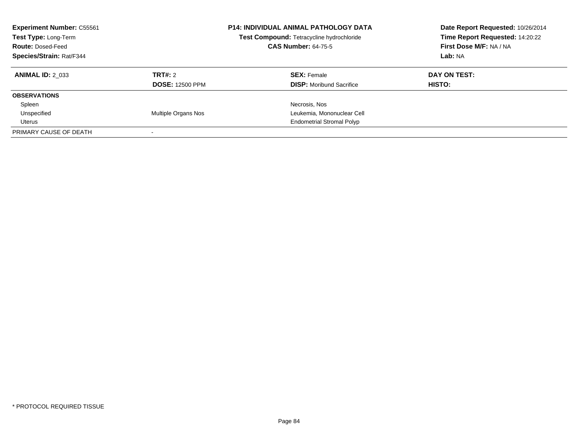| <b>Experiment Number: C55561</b><br>Test Type: Long-Term<br><b>Route: Dosed-Feed</b><br>Species/Strain: Rat/F344 |                                   | <b>P14: INDIVIDUAL ANIMAL PATHOLOGY DATA</b><br>Test Compound: Tetracycline hydrochloride<br><b>CAS Number: 64-75-5</b> | Date Report Requested: 10/26/2014<br>Time Report Requested: 14:20:22<br>First Dose M/F: NA / NA<br>Lab: NA |  |
|------------------------------------------------------------------------------------------------------------------|-----------------------------------|-------------------------------------------------------------------------------------------------------------------------|------------------------------------------------------------------------------------------------------------|--|
| <b>ANIMAL ID: 2 033</b>                                                                                          | TRT#: 2<br><b>DOSE: 12500 PPM</b> | <b>SEX: Female</b><br><b>DISP:</b> Moribund Sacrifice                                                                   | DAY ON TEST:<br>HISTO:                                                                                     |  |
| <b>OBSERVATIONS</b>                                                                                              |                                   |                                                                                                                         |                                                                                                            |  |
| Spleen                                                                                                           |                                   | Necrosis, Nos                                                                                                           |                                                                                                            |  |
| Unspecified                                                                                                      | Multiple Organs Nos               | Leukemia, Mononuclear Cell                                                                                              |                                                                                                            |  |
| Uterus                                                                                                           |                                   | <b>Endometrial Stromal Polyp</b>                                                                                        |                                                                                                            |  |
| PRIMARY CAUSE OF DEATH                                                                                           |                                   |                                                                                                                         |                                                                                                            |  |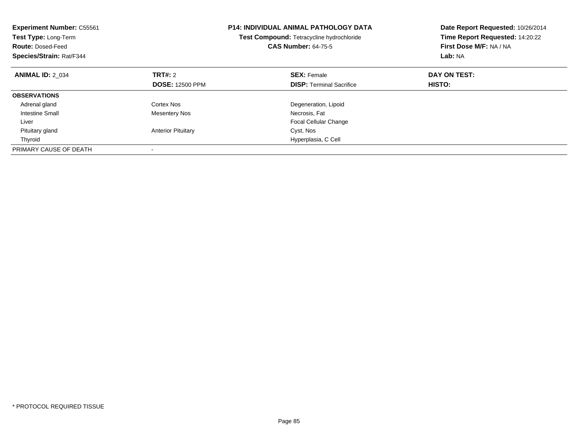| <b>Experiment Number: C55561</b><br>Test Type: Long-Term<br><b>Route: Dosed-Feed</b><br>Species/Strain: Rat/F344 |                           | <b>P14: INDIVIDUAL ANIMAL PATHOLOGY DATA</b><br>Test Compound: Tetracycline hydrochloride<br><b>CAS Number: 64-75-5</b> | Date Report Requested: 10/26/2014<br>Time Report Requested: 14:20:22<br>First Dose M/F: NA / NA<br>Lab: NA |
|------------------------------------------------------------------------------------------------------------------|---------------------------|-------------------------------------------------------------------------------------------------------------------------|------------------------------------------------------------------------------------------------------------|
| <b>ANIMAL ID: 2 034</b>                                                                                          | TRT#: 2                   | <b>SEX: Female</b>                                                                                                      | DAY ON TEST:                                                                                               |
|                                                                                                                  | <b>DOSE: 12500 PPM</b>    | <b>DISP:</b> Terminal Sacrifice                                                                                         | HISTO:                                                                                                     |
| <b>OBSERVATIONS</b>                                                                                              |                           |                                                                                                                         |                                                                                                            |
| Adrenal gland                                                                                                    | Cortex Nos                | Degeneration, Lipoid                                                                                                    |                                                                                                            |
| Intestine Small                                                                                                  | <b>Mesentery Nos</b>      | Necrosis, Fat                                                                                                           |                                                                                                            |
| Liver                                                                                                            |                           | <b>Focal Cellular Change</b>                                                                                            |                                                                                                            |
| Pituitary gland                                                                                                  | <b>Anterior Pituitary</b> | Cyst, Nos                                                                                                               |                                                                                                            |
| Thyroid                                                                                                          |                           | Hyperplasia, C Cell                                                                                                     |                                                                                                            |
| PRIMARY CAUSE OF DEATH                                                                                           |                           |                                                                                                                         |                                                                                                            |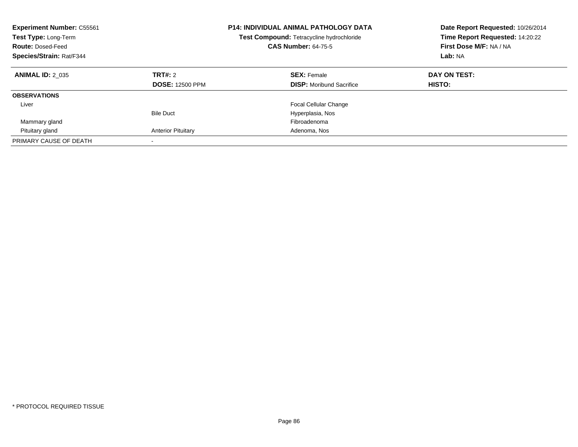| <b>Experiment Number: C55561</b><br>Test Type: Long-Term<br><b>Route: Dosed-Feed</b><br>Species/Strain: Rat/F344 |                                   | <b>P14: INDIVIDUAL ANIMAL PATHOLOGY DATA</b><br>Test Compound: Tetracycline hydrochloride<br><b>CAS Number: 64-75-5</b> | Date Report Requested: 10/26/2014<br>Time Report Requested: 14:20:22<br>First Dose M/F: NA / NA<br>Lab: NA |
|------------------------------------------------------------------------------------------------------------------|-----------------------------------|-------------------------------------------------------------------------------------------------------------------------|------------------------------------------------------------------------------------------------------------|
| <b>ANIMAL ID: 2 035</b>                                                                                          | TRT#: 2<br><b>DOSE: 12500 PPM</b> | <b>SEX: Female</b><br><b>DISP:</b> Moribund Sacrifice                                                                   | DAY ON TEST:<br>HISTO:                                                                                     |
| <b>OBSERVATIONS</b>                                                                                              |                                   |                                                                                                                         |                                                                                                            |
| Liver                                                                                                            |                                   | <b>Focal Cellular Change</b>                                                                                            |                                                                                                            |
|                                                                                                                  | <b>Bile Duct</b>                  | Hyperplasia, Nos                                                                                                        |                                                                                                            |
| Mammary gland                                                                                                    |                                   | Fibroadenoma                                                                                                            |                                                                                                            |
| Pituitary gland                                                                                                  | <b>Anterior Pituitary</b>         | Adenoma, Nos                                                                                                            |                                                                                                            |
| PRIMARY CAUSE OF DEATH                                                                                           | $\overline{\phantom{a}}$          |                                                                                                                         |                                                                                                            |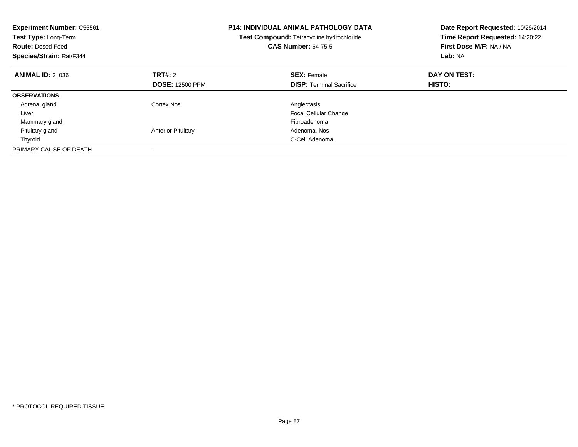| <b>Experiment Number: C55561</b><br>Test Type: Long-Term<br><b>Route: Dosed-Feed</b><br>Species/Strain: Rat/F344 |                                   | <b>P14: INDIVIDUAL ANIMAL PATHOLOGY DATA</b><br>Test Compound: Tetracycline hydrochloride<br><b>CAS Number: 64-75-5</b> | Date Report Requested: 10/26/2014<br>Time Report Requested: 14:20:22<br>First Dose M/F: NA / NA<br>Lab: NA |
|------------------------------------------------------------------------------------------------------------------|-----------------------------------|-------------------------------------------------------------------------------------------------------------------------|------------------------------------------------------------------------------------------------------------|
| <b>ANIMAL ID: 2 036</b>                                                                                          | TRT#: 2<br><b>DOSE: 12500 PPM</b> | <b>SEX: Female</b><br><b>DISP:</b> Terminal Sacrifice                                                                   | DAY ON TEST:<br>HISTO:                                                                                     |
| <b>OBSERVATIONS</b>                                                                                              |                                   |                                                                                                                         |                                                                                                            |
|                                                                                                                  | Cortex Nos                        |                                                                                                                         |                                                                                                            |
| Adrenal gland                                                                                                    |                                   | Angiectasis                                                                                                             |                                                                                                            |
| Liver                                                                                                            |                                   | <b>Focal Cellular Change</b>                                                                                            |                                                                                                            |
| Mammary gland                                                                                                    |                                   | Fibroadenoma                                                                                                            |                                                                                                            |
| Pituitary gland                                                                                                  | <b>Anterior Pituitary</b>         | Adenoma, Nos                                                                                                            |                                                                                                            |
| Thyroid                                                                                                          |                                   | C-Cell Adenoma                                                                                                          |                                                                                                            |
| PRIMARY CAUSE OF DEATH                                                                                           |                                   |                                                                                                                         |                                                                                                            |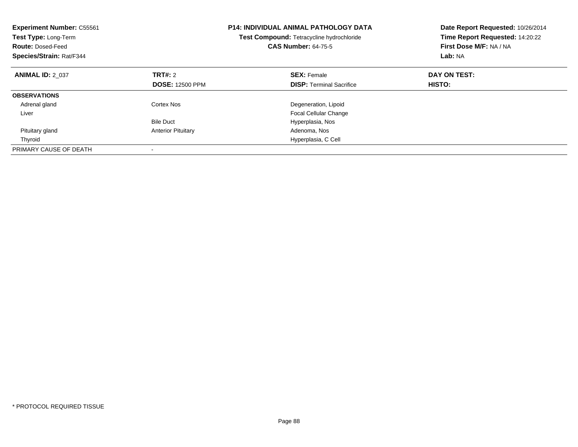| <b>Experiment Number: C55561</b><br>Test Type: Long-Term<br><b>Route: Dosed-Feed</b><br>Species/Strain: Rat/F344 |                                          | <b>P14: INDIVIDUAL ANIMAL PATHOLOGY DATA</b><br>Test Compound: Tetracycline hydrochloride<br><b>CAS Number: 64-75-5</b> | Date Report Requested: 10/26/2014<br>Time Report Requested: 14:20:22<br>First Dose M/F: NA / NA<br>Lab: NA |
|------------------------------------------------------------------------------------------------------------------|------------------------------------------|-------------------------------------------------------------------------------------------------------------------------|------------------------------------------------------------------------------------------------------------|
| <b>ANIMAL ID: 2 037</b>                                                                                          | <b>TRT#:</b> 2<br><b>DOSE: 12500 PPM</b> | <b>SEX: Female</b><br><b>DISP:</b> Terminal Sacrifice                                                                   | DAY ON TEST:<br>HISTO:                                                                                     |
| <b>OBSERVATIONS</b>                                                                                              |                                          |                                                                                                                         |                                                                                                            |
| Adrenal gland                                                                                                    | Cortex Nos                               | Degeneration, Lipoid                                                                                                    |                                                                                                            |
| Liver                                                                                                            |                                          | <b>Focal Cellular Change</b>                                                                                            |                                                                                                            |
|                                                                                                                  | <b>Bile Duct</b>                         | Hyperplasia, Nos                                                                                                        |                                                                                                            |
| Pituitary gland                                                                                                  | <b>Anterior Pituitary</b>                | Adenoma, Nos                                                                                                            |                                                                                                            |
| Thyroid                                                                                                          |                                          | Hyperplasia, C Cell                                                                                                     |                                                                                                            |
| PRIMARY CAUSE OF DEATH                                                                                           |                                          |                                                                                                                         |                                                                                                            |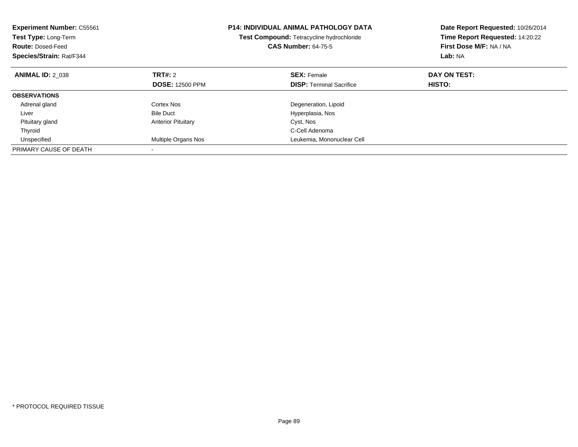| <b>Experiment Number: C55561</b><br>Test Type: Long-Term<br><b>Route: Dosed-Feed</b><br>Species/Strain: Rat/F344 |                            | <b>P14: INDIVIDUAL ANIMAL PATHOLOGY DATA</b><br>Test Compound: Tetracycline hydrochloride<br><b>CAS Number: 64-75-5</b> | Date Report Requested: 10/26/2014<br>Time Report Requested: 14:20:22<br>First Dose M/F: NA / NA<br>Lab: NA |
|------------------------------------------------------------------------------------------------------------------|----------------------------|-------------------------------------------------------------------------------------------------------------------------|------------------------------------------------------------------------------------------------------------|
| <b>ANIMAL ID: 2 038</b>                                                                                          | TRT#: 2                    | <b>SEX: Female</b>                                                                                                      | DAY ON TEST:                                                                                               |
|                                                                                                                  | <b>DOSE: 12500 PPM</b>     | <b>DISP:</b> Terminal Sacrifice                                                                                         | HISTO:                                                                                                     |
| <b>OBSERVATIONS</b>                                                                                              |                            |                                                                                                                         |                                                                                                            |
| Adrenal gland                                                                                                    | Cortex Nos                 | Degeneration, Lipoid                                                                                                    |                                                                                                            |
| Liver                                                                                                            | <b>Bile Duct</b>           | Hyperplasia, Nos                                                                                                        |                                                                                                            |
| Pituitary gland                                                                                                  | <b>Anterior Pituitary</b>  | Cyst, Nos                                                                                                               |                                                                                                            |
| Thyroid                                                                                                          |                            | C-Cell Adenoma                                                                                                          |                                                                                                            |
| Unspecified                                                                                                      | <b>Multiple Organs Nos</b> | Leukemia, Mononuclear Cell                                                                                              |                                                                                                            |
| PRIMARY CAUSE OF DEATH                                                                                           |                            |                                                                                                                         |                                                                                                            |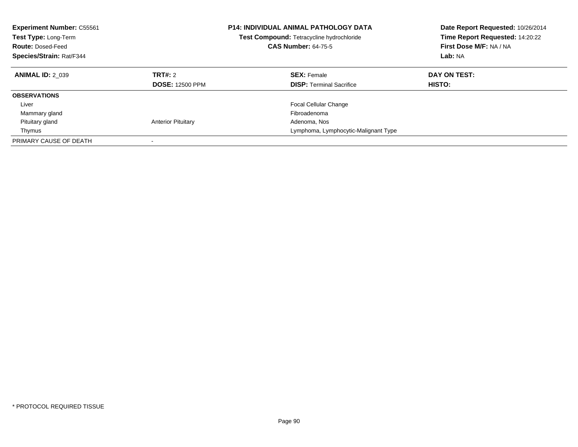| <b>Experiment Number: C55561</b><br>Test Type: Long-Term<br><b>Route: Dosed-Feed</b><br>Species/Strain: Rat/F344 |                                   | <b>P14: INDIVIDUAL ANIMAL PATHOLOGY DATA</b><br>Test Compound: Tetracycline hydrochloride<br><b>CAS Number: 64-75-5</b> | Date Report Requested: 10/26/2014<br>Time Report Requested: 14:20:22<br>First Dose M/F: NA / NA<br>Lab: NA |
|------------------------------------------------------------------------------------------------------------------|-----------------------------------|-------------------------------------------------------------------------------------------------------------------------|------------------------------------------------------------------------------------------------------------|
| <b>ANIMAL ID: 2 039</b>                                                                                          | TRT#: 2<br><b>DOSE: 12500 PPM</b> | <b>SEX: Female</b><br><b>DISP:</b> Terminal Sacrifice                                                                   | DAY ON TEST:<br><b>HISTO:</b>                                                                              |
| <b>OBSERVATIONS</b>                                                                                              |                                   |                                                                                                                         |                                                                                                            |
| Liver                                                                                                            |                                   | <b>Focal Cellular Change</b>                                                                                            |                                                                                                            |
| Mammary gland                                                                                                    |                                   | Fibroadenoma                                                                                                            |                                                                                                            |
| Pituitary gland                                                                                                  | <b>Anterior Pituitary</b>         | Adenoma, Nos                                                                                                            |                                                                                                            |
| Thymus                                                                                                           |                                   | Lymphoma, Lymphocytic-Malignant Type                                                                                    |                                                                                                            |
| PRIMARY CAUSE OF DEATH                                                                                           |                                   |                                                                                                                         |                                                                                                            |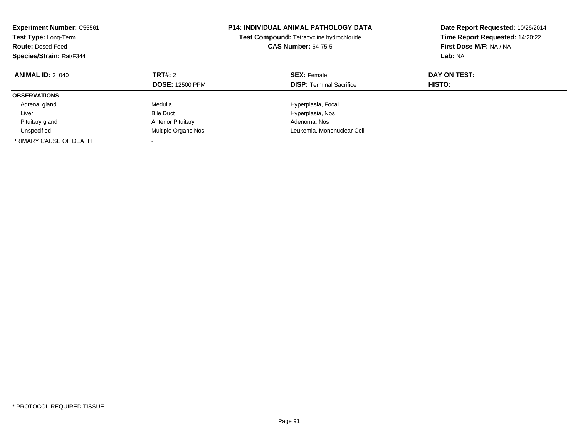| <b>Experiment Number: C55561</b><br>Test Type: Long-Term<br><b>Route: Dosed-Feed</b><br>Species/Strain: Rat/F344 |                                          | <b>P14: INDIVIDUAL ANIMAL PATHOLOGY DATA</b><br>Test Compound: Tetracycline hydrochloride<br><b>CAS Number: 64-75-5</b> | Date Report Requested: 10/26/2014<br>Time Report Requested: 14:20:22<br>First Dose M/F: NA / NA<br>Lab: NA |
|------------------------------------------------------------------------------------------------------------------|------------------------------------------|-------------------------------------------------------------------------------------------------------------------------|------------------------------------------------------------------------------------------------------------|
| <b>ANIMAL ID: 2 040</b>                                                                                          | <b>TRT#: 2</b><br><b>DOSE: 12500 PPM</b> | <b>SEX: Female</b><br><b>DISP:</b> Terminal Sacrifice                                                                   | DAY ON TEST:<br>HISTO:                                                                                     |
| <b>OBSERVATIONS</b>                                                                                              |                                          |                                                                                                                         |                                                                                                            |
| Adrenal gland                                                                                                    | Medulla                                  | Hyperplasia, Focal                                                                                                      |                                                                                                            |
| Liver                                                                                                            | <b>Bile Duct</b>                         | Hyperplasia, Nos                                                                                                        |                                                                                                            |
| Pituitary gland                                                                                                  | <b>Anterior Pituitary</b>                | Adenoma, Nos                                                                                                            |                                                                                                            |
| Unspecified                                                                                                      | Multiple Organs Nos                      | Leukemia, Mononuclear Cell                                                                                              |                                                                                                            |
| PRIMARY CAUSE OF DEATH                                                                                           | -                                        |                                                                                                                         |                                                                                                            |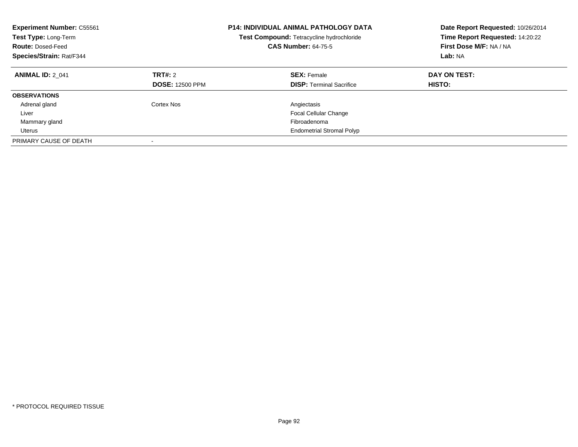| <b>Experiment Number: C55561</b><br>Test Type: Long-Term<br><b>Route: Dosed-Feed</b><br>Species/Strain: Rat/F344 |                                   | <b>P14: INDIVIDUAL ANIMAL PATHOLOGY DATA</b><br>Test Compound: Tetracycline hydrochloride<br><b>CAS Number: 64-75-5</b> | Date Report Requested: 10/26/2014<br>Time Report Requested: 14:20:22<br>First Dose M/F: NA / NA<br>Lab: NA |
|------------------------------------------------------------------------------------------------------------------|-----------------------------------|-------------------------------------------------------------------------------------------------------------------------|------------------------------------------------------------------------------------------------------------|
| <b>ANIMAL ID: 2 041</b>                                                                                          | TRT#: 2<br><b>DOSE: 12500 PPM</b> | <b>SEX: Female</b><br><b>DISP:</b> Terminal Sacrifice                                                                   | DAY ON TEST:<br><b>HISTO:</b>                                                                              |
| <b>OBSERVATIONS</b>                                                                                              |                                   |                                                                                                                         |                                                                                                            |
| Adrenal gland                                                                                                    | Cortex Nos                        | Angiectasis                                                                                                             |                                                                                                            |
| Liver                                                                                                            |                                   | <b>Focal Cellular Change</b>                                                                                            |                                                                                                            |
| Mammary gland                                                                                                    |                                   | Fibroadenoma                                                                                                            |                                                                                                            |
| Uterus                                                                                                           |                                   | <b>Endometrial Stromal Polyp</b>                                                                                        |                                                                                                            |
| PRIMARY CAUSE OF DEATH                                                                                           |                                   |                                                                                                                         |                                                                                                            |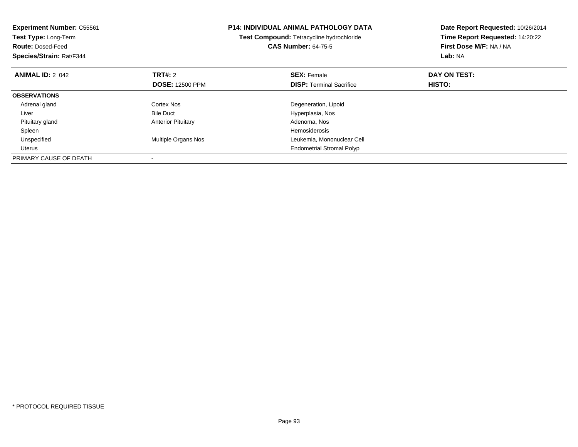| <b>Experiment Number: C55561</b><br>Test Type: Long-Term<br><b>Route: Dosed-Feed</b><br>Species/Strain: Rat/F344 |                           | <b>P14: INDIVIDUAL ANIMAL PATHOLOGY DATA</b><br>Test Compound: Tetracycline hydrochloride<br><b>CAS Number: 64-75-5</b> | Date Report Requested: 10/26/2014<br>Time Report Requested: 14:20:22<br>First Dose M/F: NA / NA<br>Lab: NA |
|------------------------------------------------------------------------------------------------------------------|---------------------------|-------------------------------------------------------------------------------------------------------------------------|------------------------------------------------------------------------------------------------------------|
| <b>ANIMAL ID: 2 042</b>                                                                                          | <b>TRT#: 2</b>            | <b>SEX: Female</b>                                                                                                      | DAY ON TEST:                                                                                               |
|                                                                                                                  | <b>DOSE: 12500 PPM</b>    | <b>DISP:</b> Terminal Sacrifice                                                                                         | <b>HISTO:</b>                                                                                              |
| <b>OBSERVATIONS</b>                                                                                              |                           |                                                                                                                         |                                                                                                            |
| Adrenal gland                                                                                                    | Cortex Nos                | Degeneration, Lipoid                                                                                                    |                                                                                                            |
| Liver                                                                                                            | <b>Bile Duct</b>          | Hyperplasia, Nos                                                                                                        |                                                                                                            |
| Pituitary gland                                                                                                  | <b>Anterior Pituitary</b> | Adenoma, Nos                                                                                                            |                                                                                                            |
| Spleen                                                                                                           |                           | <b>Hemosiderosis</b>                                                                                                    |                                                                                                            |
| Unspecified                                                                                                      | Multiple Organs Nos       | Leukemia, Mononuclear Cell                                                                                              |                                                                                                            |
| Uterus                                                                                                           |                           | <b>Endometrial Stromal Polyp</b>                                                                                        |                                                                                                            |
| PRIMARY CAUSE OF DEATH                                                                                           |                           |                                                                                                                         |                                                                                                            |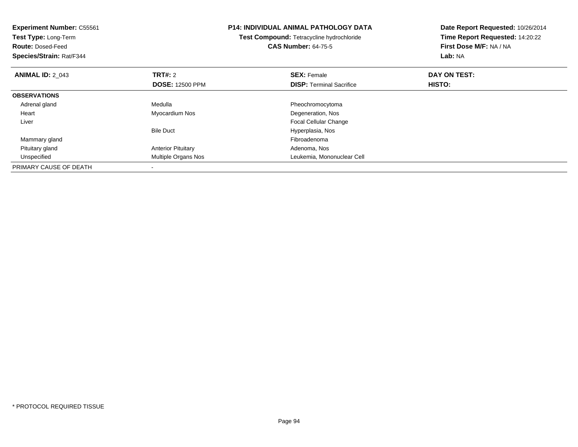| <b>Experiment Number: C55561</b><br>Test Type: Long-Term<br><b>Route: Dosed-Feed</b><br>Species/Strain: Rat/F344 |                           | <b>P14: INDIVIDUAL ANIMAL PATHOLOGY DATA</b><br>Test Compound: Tetracycline hydrochloride<br><b>CAS Number: 64-75-5</b> | Date Report Requested: 10/26/2014<br>Time Report Requested: 14:20:22<br>First Dose M/F: NA / NA<br>Lab: NA |
|------------------------------------------------------------------------------------------------------------------|---------------------------|-------------------------------------------------------------------------------------------------------------------------|------------------------------------------------------------------------------------------------------------|
| <b>ANIMAL ID: 2 043</b>                                                                                          | <b>TRT#:</b> 2            | <b>SEX: Female</b>                                                                                                      | DAY ON TEST:                                                                                               |
|                                                                                                                  | <b>DOSE: 12500 PPM</b>    | <b>DISP:</b> Terminal Sacrifice                                                                                         | HISTO:                                                                                                     |
| <b>OBSERVATIONS</b>                                                                                              |                           |                                                                                                                         |                                                                                                            |
| Adrenal gland                                                                                                    | Medulla                   | Pheochromocytoma                                                                                                        |                                                                                                            |
| Heart                                                                                                            | Myocardium Nos            | Degeneration, Nos                                                                                                       |                                                                                                            |
| Liver                                                                                                            |                           | Focal Cellular Change                                                                                                   |                                                                                                            |
|                                                                                                                  | <b>Bile Duct</b>          | Hyperplasia, Nos                                                                                                        |                                                                                                            |
| Mammary gland                                                                                                    |                           | Fibroadenoma                                                                                                            |                                                                                                            |
| Pituitary gland                                                                                                  | <b>Anterior Pituitary</b> | Adenoma, Nos                                                                                                            |                                                                                                            |
| Unspecified                                                                                                      | Multiple Organs Nos       | Leukemia, Mononuclear Cell                                                                                              |                                                                                                            |
| PRIMARY CAUSE OF DEATH                                                                                           |                           |                                                                                                                         |                                                                                                            |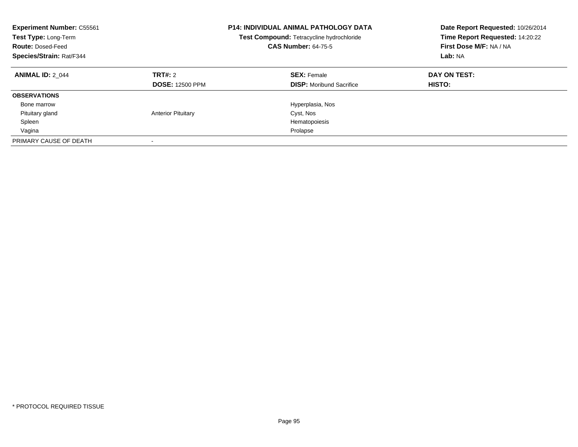| <b>Experiment Number: C55561</b><br>Test Type: Long-Term<br><b>Route: Dosed-Feed</b><br>Species/Strain: Rat/F344 |                                   | <b>P14: INDIVIDUAL ANIMAL PATHOLOGY DATA</b><br>Test Compound: Tetracycline hydrochloride<br><b>CAS Number: 64-75-5</b> | Date Report Requested: 10/26/2014<br>Time Report Requested: 14:20:22<br>First Dose M/F: NA / NA<br>Lab: NA |
|------------------------------------------------------------------------------------------------------------------|-----------------------------------|-------------------------------------------------------------------------------------------------------------------------|------------------------------------------------------------------------------------------------------------|
| <b>ANIMAL ID: 2 044</b>                                                                                          | TRT#: 2<br><b>DOSE: 12500 PPM</b> | <b>SEX: Female</b><br><b>DISP:</b> Moribund Sacrifice                                                                   | DAY ON TEST:<br>HISTO:                                                                                     |
| <b>OBSERVATIONS</b>                                                                                              |                                   |                                                                                                                         |                                                                                                            |
| Bone marrow                                                                                                      |                                   | Hyperplasia, Nos                                                                                                        |                                                                                                            |
| Pituitary gland                                                                                                  | <b>Anterior Pituitary</b>         | Cyst, Nos                                                                                                               |                                                                                                            |
| Spleen                                                                                                           |                                   | Hematopoiesis                                                                                                           |                                                                                                            |
| Vagina                                                                                                           |                                   | Prolapse                                                                                                                |                                                                                                            |
| PRIMARY CAUSE OF DEATH                                                                                           |                                   |                                                                                                                         |                                                                                                            |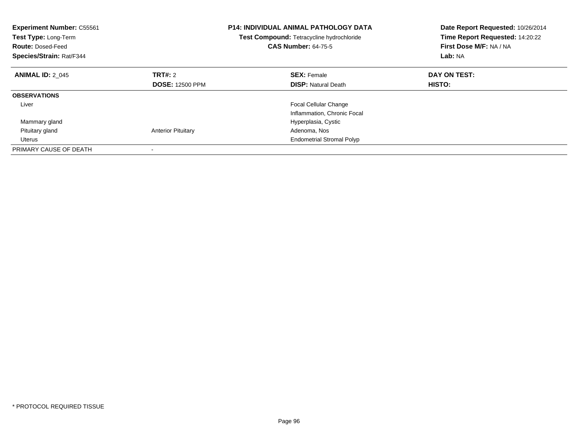| <b>Experiment Number: C55561</b><br>Test Type: Long-Term<br><b>Route: Dosed-Feed</b><br>Species/Strain: Rat/F344 |                           | <b>P14: INDIVIDUAL ANIMAL PATHOLOGY DATA</b><br>Test Compound: Tetracycline hydrochloride<br><b>CAS Number: 64-75-5</b> | Date Report Requested: 10/26/2014<br>Time Report Requested: 14:20:22<br>First Dose M/F: NA / NA<br>Lab: NA |
|------------------------------------------------------------------------------------------------------------------|---------------------------|-------------------------------------------------------------------------------------------------------------------------|------------------------------------------------------------------------------------------------------------|
| <b>ANIMAL ID: 2 045</b>                                                                                          | TRT#: 2                   | <b>SEX: Female</b>                                                                                                      | DAY ON TEST:                                                                                               |
|                                                                                                                  | <b>DOSE: 12500 PPM</b>    | <b>DISP:</b> Natural Death                                                                                              | HISTO:                                                                                                     |
| <b>OBSERVATIONS</b>                                                                                              |                           |                                                                                                                         |                                                                                                            |
| Liver                                                                                                            |                           | Focal Cellular Change                                                                                                   |                                                                                                            |
|                                                                                                                  |                           | Inflammation, Chronic Focal                                                                                             |                                                                                                            |
| Mammary gland                                                                                                    |                           | Hyperplasia, Cystic                                                                                                     |                                                                                                            |
| Pituitary gland                                                                                                  | <b>Anterior Pituitary</b> | Adenoma, Nos                                                                                                            |                                                                                                            |
| <b>Uterus</b>                                                                                                    |                           | <b>Endometrial Stromal Polyp</b>                                                                                        |                                                                                                            |
| PRIMARY CAUSE OF DEATH                                                                                           |                           |                                                                                                                         |                                                                                                            |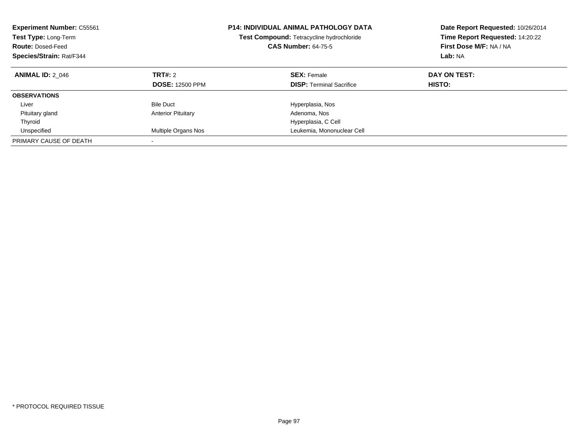| <b>Experiment Number: C55561</b><br>Test Type: Long-Term<br><b>Route: Dosed-Feed</b><br>Species/Strain: Rat/F344 |                                               | <b>P14: INDIVIDUAL ANIMAL PATHOLOGY DATA</b><br>Test Compound: Tetracycline hydrochloride<br><b>CAS Number: 64-75-5</b> | Date Report Requested: 10/26/2014<br>Time Report Requested: 14:20:22<br>First Dose M/F: NA / NA<br>Lab: NA |
|------------------------------------------------------------------------------------------------------------------|-----------------------------------------------|-------------------------------------------------------------------------------------------------------------------------|------------------------------------------------------------------------------------------------------------|
| <b>ANIMAL ID: 2 046</b>                                                                                          | <b>TRT#: 2</b><br><b>DOSE: 12500 PPM</b>      | <b>SEX: Female</b><br><b>DISP:</b> Terminal Sacrifice                                                                   | DAY ON TEST:<br>HISTO:                                                                                     |
| <b>OBSERVATIONS</b>                                                                                              |                                               |                                                                                                                         |                                                                                                            |
| Liver<br>Pituitary gland                                                                                         | <b>Bile Duct</b><br><b>Anterior Pituitary</b> | Hyperplasia, Nos<br>Adenoma, Nos                                                                                        |                                                                                                            |
| Thyroid                                                                                                          |                                               | Hyperplasia, C Cell                                                                                                     |                                                                                                            |
| Unspecified                                                                                                      | Multiple Organs Nos                           | Leukemia, Mononuclear Cell                                                                                              |                                                                                                            |
| PRIMARY CAUSE OF DEATH                                                                                           |                                               |                                                                                                                         |                                                                                                            |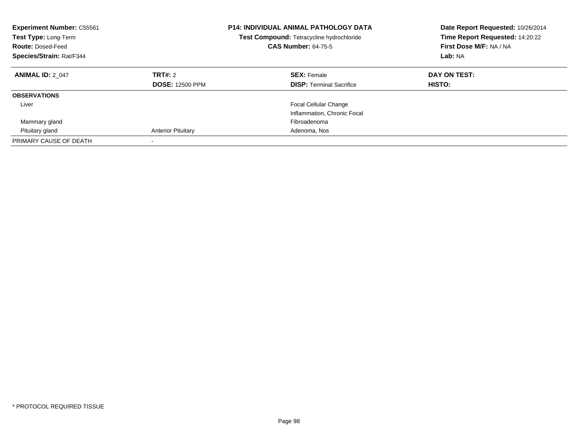| <b>Experiment Number: C55561</b><br><b>Test Type: Long-Term</b><br><b>Route: Dosed-Feed</b><br>Species/Strain: Rat/F344 |                                   | <b>P14: INDIVIDUAL ANIMAL PATHOLOGY DATA</b><br>Test Compound: Tetracycline hydrochloride<br><b>CAS Number: 64-75-5</b> | Date Report Requested: 10/26/2014<br>Time Report Requested: 14:20:22<br>First Dose M/F: NA / NA<br>Lab: NA |
|-------------------------------------------------------------------------------------------------------------------------|-----------------------------------|-------------------------------------------------------------------------------------------------------------------------|------------------------------------------------------------------------------------------------------------|
| <b>ANIMAL ID: 2 047</b>                                                                                                 | TRT#: 2<br><b>DOSE: 12500 PPM</b> | <b>SEX: Female</b><br><b>DISP:</b> Terminal Sacrifice                                                                   | DAY ON TEST:<br>HISTO:                                                                                     |
| <b>OBSERVATIONS</b>                                                                                                     |                                   |                                                                                                                         |                                                                                                            |
| Liver                                                                                                                   |                                   | Focal Cellular Change<br>Inflammation, Chronic Focal                                                                    |                                                                                                            |
| Mammary gland                                                                                                           |                                   | Fibroadenoma                                                                                                            |                                                                                                            |
| Pituitary gland                                                                                                         | <b>Anterior Pituitary</b>         | Adenoma, Nos                                                                                                            |                                                                                                            |
| PRIMARY CAUSE OF DEATH                                                                                                  |                                   |                                                                                                                         |                                                                                                            |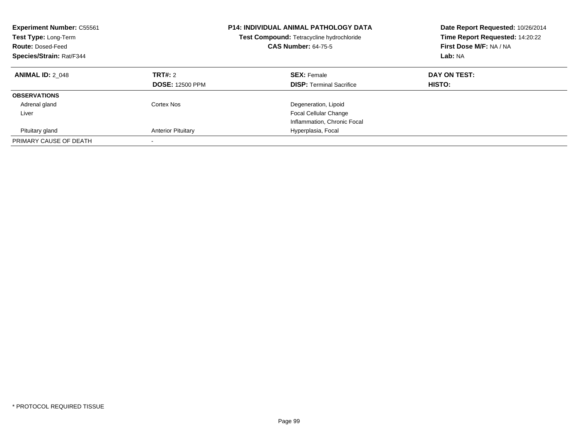| <b>Experiment Number: C55561</b><br><b>Test Type: Long-Term</b><br><b>Route: Dosed-Feed</b><br>Species/Strain: Rat/F344 |                                   | <b>P14: INDIVIDUAL ANIMAL PATHOLOGY DATA</b><br>Test Compound: Tetracycline hydrochloride<br><b>CAS Number: 64-75-5</b> | Date Report Requested: 10/26/2014<br>Time Report Requested: 14:20:22<br>First Dose M/F: NA / NA<br>Lab: NA |
|-------------------------------------------------------------------------------------------------------------------------|-----------------------------------|-------------------------------------------------------------------------------------------------------------------------|------------------------------------------------------------------------------------------------------------|
| <b>ANIMAL ID: 2 048</b>                                                                                                 | TRT#: 2<br><b>DOSE: 12500 PPM</b> | <b>SEX: Female</b><br><b>DISP:</b> Terminal Sacrifice                                                                   | DAY ON TEST:<br>HISTO:                                                                                     |
| <b>OBSERVATIONS</b>                                                                                                     |                                   |                                                                                                                         |                                                                                                            |
| Adrenal gland                                                                                                           | Cortex Nos                        | Degeneration, Lipoid                                                                                                    |                                                                                                            |
| Liver                                                                                                                   |                                   | <b>Focal Cellular Change</b>                                                                                            |                                                                                                            |
|                                                                                                                         |                                   | Inflammation, Chronic Focal                                                                                             |                                                                                                            |
| Pituitary gland                                                                                                         | <b>Anterior Pituitary</b>         | Hyperplasia, Focal                                                                                                      |                                                                                                            |
| PRIMARY CAUSE OF DEATH                                                                                                  | $\overline{\phantom{a}}$          |                                                                                                                         |                                                                                                            |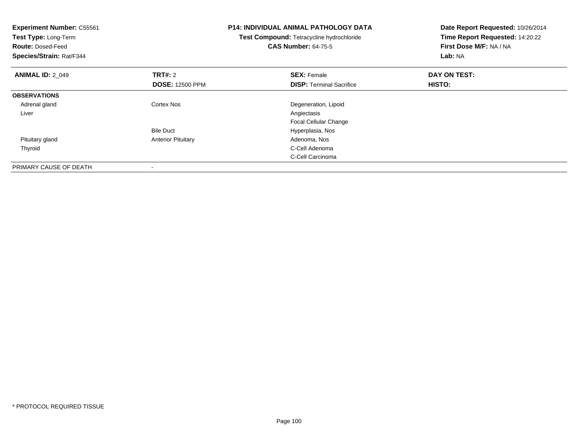| <b>Experiment Number: C55561</b><br>Test Type: Long-Term<br><b>Route: Dosed-Feed</b><br>Species/Strain: Rat/F344 |                           | <b>P14: INDIVIDUAL ANIMAL PATHOLOGY DATA</b><br>Test Compound: Tetracycline hydrochloride<br><b>CAS Number: 64-75-5</b> | Date Report Requested: 10/26/2014<br>Time Report Requested: 14:20:22<br>First Dose M/F: NA / NA<br>Lab: NA |
|------------------------------------------------------------------------------------------------------------------|---------------------------|-------------------------------------------------------------------------------------------------------------------------|------------------------------------------------------------------------------------------------------------|
| <b>ANIMAL ID: 2 049</b>                                                                                          | <b>TRT#:</b> 2            | <b>SEX: Female</b>                                                                                                      | DAY ON TEST:                                                                                               |
|                                                                                                                  | <b>DOSE: 12500 PPM</b>    | <b>DISP:</b> Terminal Sacrifice                                                                                         | HISTO:                                                                                                     |
| <b>OBSERVATIONS</b>                                                                                              |                           |                                                                                                                         |                                                                                                            |
| Adrenal gland                                                                                                    | Cortex Nos                | Degeneration, Lipoid                                                                                                    |                                                                                                            |
| Liver                                                                                                            |                           | Angiectasis                                                                                                             |                                                                                                            |
|                                                                                                                  |                           | <b>Focal Cellular Change</b>                                                                                            |                                                                                                            |
|                                                                                                                  | <b>Bile Duct</b>          | Hyperplasia, Nos                                                                                                        |                                                                                                            |
| Pituitary gland                                                                                                  | <b>Anterior Pituitary</b> | Adenoma, Nos                                                                                                            |                                                                                                            |
| Thyroid                                                                                                          |                           | C-Cell Adenoma                                                                                                          |                                                                                                            |
|                                                                                                                  |                           | C-Cell Carcinoma                                                                                                        |                                                                                                            |
| PRIMARY CAUSE OF DEATH                                                                                           |                           |                                                                                                                         |                                                                                                            |

-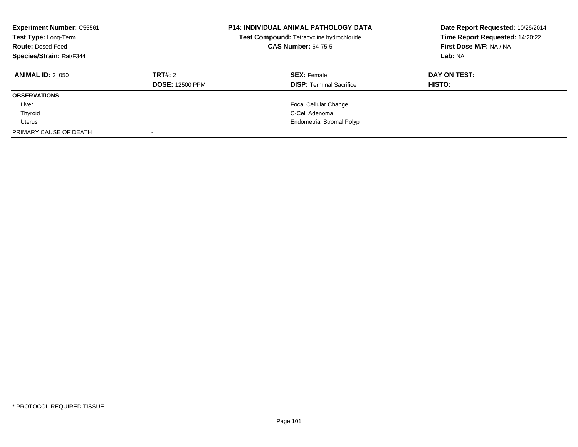| <b>Experiment Number: C55561</b><br>Test Type: Long-Term<br><b>Route: Dosed-Feed</b><br>Species/Strain: Rat/F344 |                        | <b>P14: INDIVIDUAL ANIMAL PATHOLOGY DATA</b><br>Test Compound: Tetracycline hydrochloride<br><b>CAS Number: 64-75-5</b> | Date Report Requested: 10/26/2014<br>Time Report Requested: 14:20:22<br>First Dose M/F: NA / NA<br>Lab: NA |
|------------------------------------------------------------------------------------------------------------------|------------------------|-------------------------------------------------------------------------------------------------------------------------|------------------------------------------------------------------------------------------------------------|
| <b>ANIMAL ID: 2 050</b>                                                                                          | TRT#: 2                | <b>SEX: Female</b>                                                                                                      | DAY ON TEST:                                                                                               |
|                                                                                                                  | <b>DOSE: 12500 PPM</b> | <b>DISP: Terminal Sacrifice</b>                                                                                         | HISTO:                                                                                                     |
| <b>OBSERVATIONS</b>                                                                                              |                        |                                                                                                                         |                                                                                                            |
| Liver                                                                                                            |                        | <b>Focal Cellular Change</b>                                                                                            |                                                                                                            |
| Thyroid                                                                                                          |                        | C-Cell Adenoma                                                                                                          |                                                                                                            |
| Uterus                                                                                                           |                        | <b>Endometrial Stromal Polyp</b>                                                                                        |                                                                                                            |
| PRIMARY CAUSE OF DEATH                                                                                           |                        |                                                                                                                         |                                                                                                            |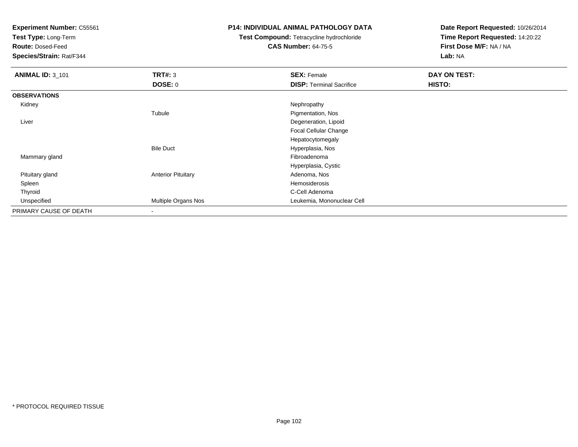**Test Type:** Long-Term

**Route:** Dosed-Feed

**Species/Strain:** Rat/F344

## **P14: INDIVIDUAL ANIMAL PATHOLOGY DATA**

# **Test Compound:** Tetracycline hydrochloride**CAS Number:** 64-75-5

| <b>ANIMAL ID: 3_101</b> | TRT#: 3                   | <b>SEX: Female</b>              | <b>DAY ON TEST:</b> |  |
|-------------------------|---------------------------|---------------------------------|---------------------|--|
|                         | <b>DOSE: 0</b>            | <b>DISP:</b> Terminal Sacrifice | HISTO:              |  |
| <b>OBSERVATIONS</b>     |                           |                                 |                     |  |
| Kidney                  |                           | Nephropathy                     |                     |  |
|                         | Tubule                    | Pigmentation, Nos               |                     |  |
| Liver                   |                           | Degeneration, Lipoid            |                     |  |
|                         |                           | Focal Cellular Change           |                     |  |
|                         |                           | Hepatocytomegaly                |                     |  |
|                         | <b>Bile Duct</b>          | Hyperplasia, Nos                |                     |  |
| Mammary gland           |                           | Fibroadenoma                    |                     |  |
|                         |                           | Hyperplasia, Cystic             |                     |  |
| Pituitary gland         | <b>Anterior Pituitary</b> | Adenoma, Nos                    |                     |  |
| Spleen                  |                           | Hemosiderosis                   |                     |  |
| Thyroid                 |                           | C-Cell Adenoma                  |                     |  |
| Unspecified             | Multiple Organs Nos       | Leukemia, Mononuclear Cell      |                     |  |
| PRIMARY CAUSE OF DEATH  |                           |                                 |                     |  |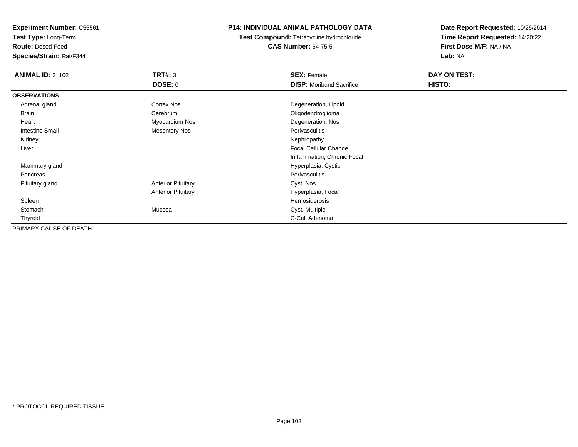**Test Type:** Long-Term

**Route:** Dosed-Feed

**Species/Strain:** Rat/F344

## **P14: INDIVIDUAL ANIMAL PATHOLOGY DATA**

**Test Compound:** Tetracycline hydrochloride**CAS Number:** 64-75-5

| <b>ANIMAL ID: 3_102</b> | <b>TRT#: 3</b>            | <b>SEX: Female</b>              | DAY ON TEST: |  |
|-------------------------|---------------------------|---------------------------------|--------------|--|
|                         | <b>DOSE: 0</b>            | <b>DISP:</b> Moribund Sacrifice | HISTO:       |  |
| <b>OBSERVATIONS</b>     |                           |                                 |              |  |
| Adrenal gland           | Cortex Nos                | Degeneration, Lipoid            |              |  |
| Brain                   | Cerebrum                  | Oligodendroglioma               |              |  |
| Heart                   | Myocardium Nos            | Degeneration, Nos               |              |  |
| <b>Intestine Small</b>  | <b>Mesentery Nos</b>      | Perivasculitis                  |              |  |
| Kidney                  |                           | Nephropathy                     |              |  |
| Liver                   |                           | Focal Cellular Change           |              |  |
|                         |                           | Inflammation, Chronic Focal     |              |  |
| Mammary gland           |                           | Hyperplasia, Cystic             |              |  |
| Pancreas                |                           | Perivasculitis                  |              |  |
| Pituitary gland         | <b>Anterior Pituitary</b> | Cyst, Nos                       |              |  |
|                         | <b>Anterior Pituitary</b> | Hyperplasia, Focal              |              |  |
| Spleen                  |                           | Hemosiderosis                   |              |  |
| Stomach                 | Mucosa                    | Cyst, Multiple                  |              |  |
| Thyroid                 |                           | C-Cell Adenoma                  |              |  |
| PRIMARY CAUSE OF DEATH  |                           |                                 |              |  |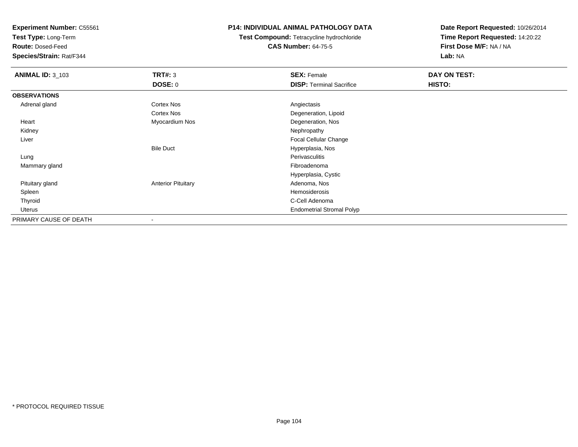**Test Type:** Long-Term

**Route:** Dosed-Feed

**Species/Strain:** Rat/F344

## **P14: INDIVIDUAL ANIMAL PATHOLOGY DATA**

**Test Compound:** Tetracycline hydrochloride**CAS Number:** 64-75-5

| <b>ANIMAL ID: 3_103</b> | <b>TRT#: 3</b>            | <b>SEX: Female</b>               | DAY ON TEST: |  |
|-------------------------|---------------------------|----------------------------------|--------------|--|
|                         | <b>DOSE: 0</b>            | <b>DISP: Terminal Sacrifice</b>  | HISTO:       |  |
| <b>OBSERVATIONS</b>     |                           |                                  |              |  |
| Adrenal gland           | <b>Cortex Nos</b>         | Angiectasis                      |              |  |
|                         | Cortex Nos                | Degeneration, Lipoid             |              |  |
| Heart                   | Myocardium Nos            | Degeneration, Nos                |              |  |
| Kidney                  |                           | Nephropathy                      |              |  |
| Liver                   |                           | Focal Cellular Change            |              |  |
|                         | <b>Bile Duct</b>          | Hyperplasia, Nos                 |              |  |
| Lung                    |                           | Perivasculitis                   |              |  |
| Mammary gland           |                           | Fibroadenoma                     |              |  |
|                         |                           | Hyperplasia, Cystic              |              |  |
| Pituitary gland         | <b>Anterior Pituitary</b> | Adenoma, Nos                     |              |  |
| Spleen                  |                           | Hemosiderosis                    |              |  |
| Thyroid                 |                           | C-Cell Adenoma                   |              |  |
| Uterus                  |                           | <b>Endometrial Stromal Polyp</b> |              |  |
| PRIMARY CAUSE OF DEATH  |                           |                                  |              |  |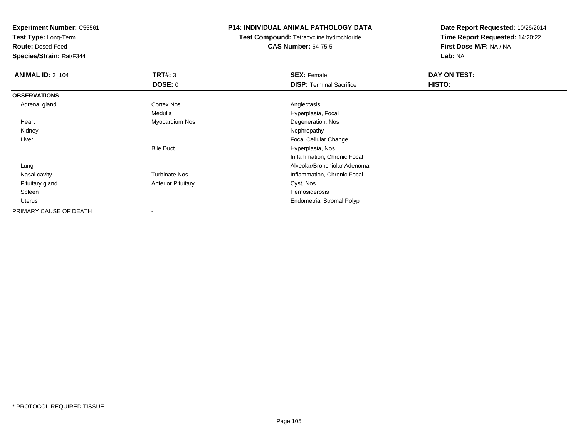**Test Type:** Long-Term

**Route:** Dosed-Feed

**Species/Strain:** Rat/F344

## **P14: INDIVIDUAL ANIMAL PATHOLOGY DATA**

**Test Compound:** Tetracycline hydrochloride**CAS Number:** 64-75-5

| <b>ANIMAL ID: 3_104</b> | TRT#: 3                   | <b>SEX: Female</b>               | DAY ON TEST: |  |
|-------------------------|---------------------------|----------------------------------|--------------|--|
|                         | <b>DOSE: 0</b>            | <b>DISP: Terminal Sacrifice</b>  | HISTO:       |  |
| <b>OBSERVATIONS</b>     |                           |                                  |              |  |
| Adrenal gland           | <b>Cortex Nos</b>         | Angiectasis                      |              |  |
|                         | Medulla                   | Hyperplasia, Focal               |              |  |
| Heart                   | Myocardium Nos            | Degeneration, Nos                |              |  |
| Kidney                  |                           | Nephropathy                      |              |  |
| Liver                   |                           | Focal Cellular Change            |              |  |
|                         | <b>Bile Duct</b>          | Hyperplasia, Nos                 |              |  |
|                         |                           | Inflammation, Chronic Focal      |              |  |
| Lung                    |                           | Alveolar/Bronchiolar Adenoma     |              |  |
| Nasal cavity            | <b>Turbinate Nos</b>      | Inflammation, Chronic Focal      |              |  |
| Pituitary gland         | <b>Anterior Pituitary</b> | Cyst, Nos                        |              |  |
| Spleen                  |                           | Hemosiderosis                    |              |  |
| Uterus                  |                           | <b>Endometrial Stromal Polyp</b> |              |  |
| PRIMARY CAUSE OF DEATH  |                           |                                  |              |  |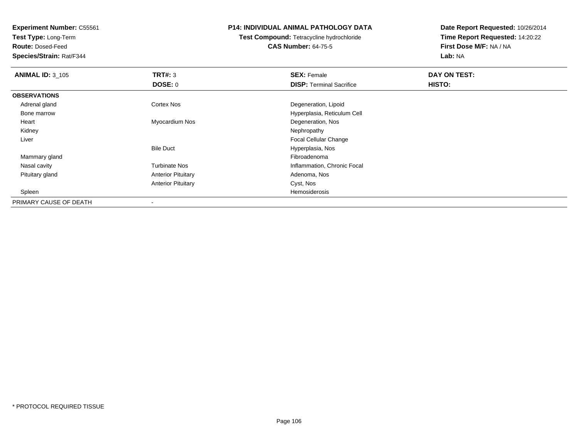**Test Type:** Long-Term

**Route:** Dosed-Feed

**Species/Strain:** Rat/F344

## **P14: INDIVIDUAL ANIMAL PATHOLOGY DATA**

**Test Compound:** Tetracycline hydrochloride**CAS Number:** 64-75-5

| <b>ANIMAL ID: 3_105</b> | TRT#: 3                   | <b>SEX: Female</b>              | DAY ON TEST: |  |
|-------------------------|---------------------------|---------------------------------|--------------|--|
|                         | DOSE: 0                   | <b>DISP:</b> Terminal Sacrifice | HISTO:       |  |
| <b>OBSERVATIONS</b>     |                           |                                 |              |  |
| Adrenal gland           | Cortex Nos                | Degeneration, Lipoid            |              |  |
| Bone marrow             |                           | Hyperplasia, Reticulum Cell     |              |  |
| Heart                   | Myocardium Nos            | Degeneration, Nos               |              |  |
| Kidney                  |                           | Nephropathy                     |              |  |
| Liver                   |                           | <b>Focal Cellular Change</b>    |              |  |
|                         | <b>Bile Duct</b>          | Hyperplasia, Nos                |              |  |
| Mammary gland           |                           | Fibroadenoma                    |              |  |
| Nasal cavity            | <b>Turbinate Nos</b>      | Inflammation, Chronic Focal     |              |  |
| Pituitary gland         | <b>Anterior Pituitary</b> | Adenoma, Nos                    |              |  |
|                         | <b>Anterior Pituitary</b> | Cyst, Nos                       |              |  |
| Spleen                  |                           | Hemosiderosis                   |              |  |
| PRIMARY CAUSE OF DEATH  |                           |                                 |              |  |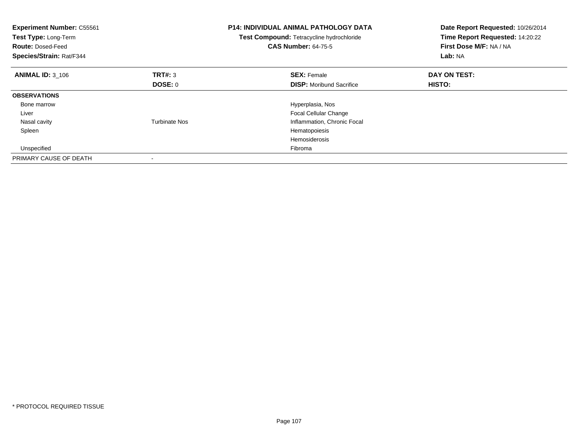| <b>Experiment Number: C55561</b><br>Test Type: Long-Term<br><b>Route: Dosed-Feed</b><br>Species/Strain: Rat/F344 |                      | <b>P14: INDIVIDUAL ANIMAL PATHOLOGY DATA</b><br>Test Compound: Tetracycline hydrochloride<br><b>CAS Number: 64-75-5</b> | Date Report Requested: 10/26/2014<br>Time Report Requested: 14:20:22<br>First Dose M/F: NA / NA<br>Lab: NA |
|------------------------------------------------------------------------------------------------------------------|----------------------|-------------------------------------------------------------------------------------------------------------------------|------------------------------------------------------------------------------------------------------------|
| <b>ANIMAL ID: 3_106</b>                                                                                          | <b>TRT#: 3</b>       | <b>SEX: Female</b>                                                                                                      | DAY ON TEST:                                                                                               |
|                                                                                                                  | DOSE: 0              | <b>DISP:</b> Moribund Sacrifice                                                                                         | HISTO:                                                                                                     |
| <b>OBSERVATIONS</b>                                                                                              |                      |                                                                                                                         |                                                                                                            |
| Bone marrow                                                                                                      |                      | Hyperplasia, Nos                                                                                                        |                                                                                                            |
| Liver                                                                                                            |                      | Focal Cellular Change                                                                                                   |                                                                                                            |
| Nasal cavity                                                                                                     | <b>Turbinate Nos</b> | Inflammation, Chronic Focal                                                                                             |                                                                                                            |
| Spleen                                                                                                           |                      | Hematopoiesis                                                                                                           |                                                                                                            |
|                                                                                                                  |                      | <b>Hemosiderosis</b>                                                                                                    |                                                                                                            |
| Unspecified                                                                                                      |                      | Fibroma                                                                                                                 |                                                                                                            |
| PRIMARY CAUSE OF DEATH                                                                                           |                      |                                                                                                                         |                                                                                                            |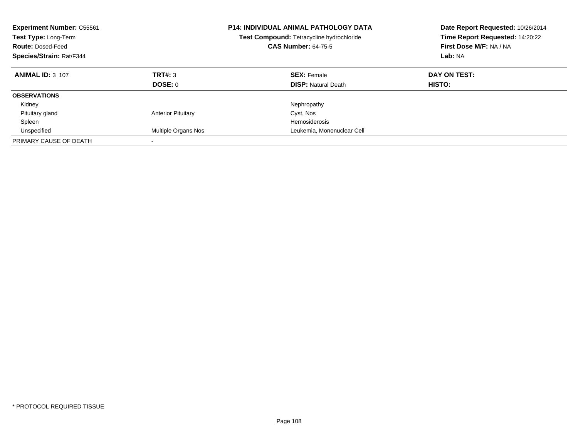| <b>Experiment Number: C55561</b><br><b>Test Type: Long-Term</b><br><b>Route: Dosed-Feed</b><br>Species/Strain: Rat/F344 |                           | <b>P14: INDIVIDUAL ANIMAL PATHOLOGY DATA</b><br><b>Test Compound: Tetracycline hydrochloride</b><br><b>CAS Number: 64-75-5</b> | Date Report Requested: 10/26/2014<br>Time Report Requested: 14:20:22<br>First Dose M/F: NA / NA<br>Lab: NA |
|-------------------------------------------------------------------------------------------------------------------------|---------------------------|--------------------------------------------------------------------------------------------------------------------------------|------------------------------------------------------------------------------------------------------------|
| <b>ANIMAL ID: 3 107</b>                                                                                                 | TRT#: 3<br><b>DOSE: 0</b> | <b>SEX: Female</b><br><b>DISP:</b> Natural Death                                                                               | DAY ON TEST:<br><b>HISTO:</b>                                                                              |
| <b>OBSERVATIONS</b>                                                                                                     |                           |                                                                                                                                |                                                                                                            |
| Kidney                                                                                                                  |                           | Nephropathy                                                                                                                    |                                                                                                            |
| Pituitary gland                                                                                                         | <b>Anterior Pituitary</b> | Cyst, Nos                                                                                                                      |                                                                                                            |
| Spleen                                                                                                                  |                           | Hemosiderosis                                                                                                                  |                                                                                                            |
| Unspecified                                                                                                             | Multiple Organs Nos       | Leukemia, Mononuclear Cell                                                                                                     |                                                                                                            |
| PRIMARY CAUSE OF DEATH                                                                                                  | $\overline{\phantom{a}}$  |                                                                                                                                |                                                                                                            |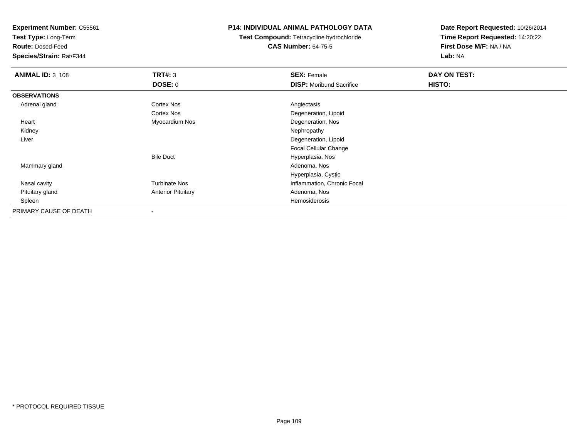**Test Type:** Long-Term

**Route:** Dosed-Feed

**Species/Strain:** Rat/F344

## **P14: INDIVIDUAL ANIMAL PATHOLOGY DATA**

**Test Compound:** Tetracycline hydrochloride**CAS Number:** 64-75-5

| <b>ANIMAL ID: 3_108</b> | TRT#: 3                   | <b>SEX: Female</b>              | DAY ON TEST: |  |
|-------------------------|---------------------------|---------------------------------|--------------|--|
|                         | <b>DOSE: 0</b>            | <b>DISP:</b> Moribund Sacrifice | HISTO:       |  |
| <b>OBSERVATIONS</b>     |                           |                                 |              |  |
| Adrenal gland           | Cortex Nos                | Angiectasis                     |              |  |
|                         | Cortex Nos                | Degeneration, Lipoid            |              |  |
| Heart                   | Myocardium Nos            | Degeneration, Nos               |              |  |
| Kidney                  |                           | Nephropathy                     |              |  |
| Liver                   |                           | Degeneration, Lipoid            |              |  |
|                         |                           | <b>Focal Cellular Change</b>    |              |  |
|                         | <b>Bile Duct</b>          | Hyperplasia, Nos                |              |  |
| Mammary gland           |                           | Adenoma, Nos                    |              |  |
|                         |                           | Hyperplasia, Cystic             |              |  |
| Nasal cavity            | <b>Turbinate Nos</b>      | Inflammation, Chronic Focal     |              |  |
| Pituitary gland         | <b>Anterior Pituitary</b> | Adenoma, Nos                    |              |  |
| Spleen                  |                           | Hemosiderosis                   |              |  |
| PRIMARY CAUSE OF DEATH  |                           |                                 |              |  |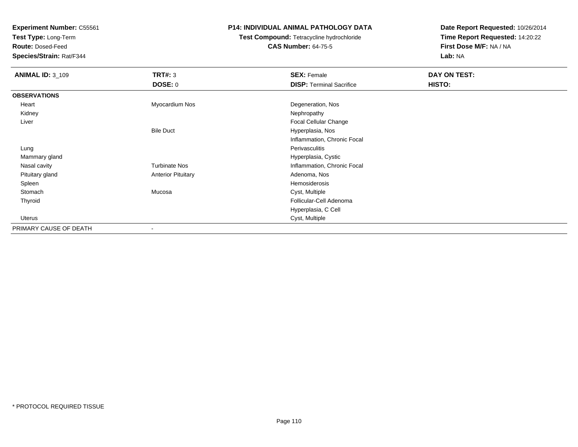**Test Type:** Long-Term

**Route:** Dosed-Feed

**Species/Strain:** Rat/F344

## **P14: INDIVIDUAL ANIMAL PATHOLOGY DATA**

# **Test Compound:** Tetracycline hydrochloride**CAS Number:** 64-75-5

| <b>ANIMAL ID: 3_109</b> | <b>TRT#: 3</b>            | <b>SEX: Female</b>              | DAY ON TEST: |  |
|-------------------------|---------------------------|---------------------------------|--------------|--|
|                         | DOSE: 0                   | <b>DISP: Terminal Sacrifice</b> | HISTO:       |  |
| <b>OBSERVATIONS</b>     |                           |                                 |              |  |
| Heart                   | Myocardium Nos            | Degeneration, Nos               |              |  |
| Kidney                  |                           | Nephropathy                     |              |  |
| Liver                   |                           | Focal Cellular Change           |              |  |
|                         | <b>Bile Duct</b>          | Hyperplasia, Nos                |              |  |
|                         |                           | Inflammation, Chronic Focal     |              |  |
| Lung                    |                           | Perivasculitis                  |              |  |
| Mammary gland           |                           | Hyperplasia, Cystic             |              |  |
| Nasal cavity            | <b>Turbinate Nos</b>      | Inflammation, Chronic Focal     |              |  |
| Pituitary gland         | <b>Anterior Pituitary</b> | Adenoma, Nos                    |              |  |
| Spleen                  |                           | Hemosiderosis                   |              |  |
| Stomach                 | Mucosa                    | Cyst, Multiple                  |              |  |
| Thyroid                 |                           | Follicular-Cell Adenoma         |              |  |
|                         |                           | Hyperplasia, C Cell             |              |  |
| Uterus                  |                           | Cyst, Multiple                  |              |  |
| PRIMARY CAUSE OF DEATH  | ۰                         |                                 |              |  |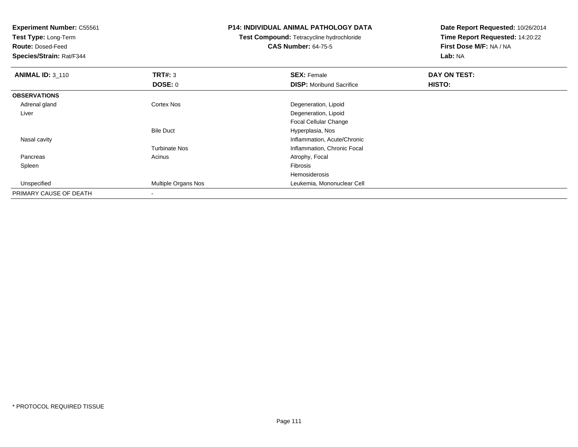**Experiment Number:** C55561**Test Type:** Long-Term**Route:** Dosed-Feed **Species/Strain:** Rat/F344**P14: INDIVIDUAL ANIMAL PATHOLOGY DATATest Compound:** Tetracycline hydrochloride**CAS Number:** 64-75-5**Date Report Requested:** 10/26/2014**Time Report Requested:** 14:20:22**First Dose M/F:** NA / NA**Lab:** NA**ANIMAL ID: 3 110 C SEX:** Female **DAY ON TEST: DAY ON TEST: DOSE:** 0**DISP:** Moribund Sacrifice **HISTO: OBSERVATIONS** Adrenal glandCortex Nos **Cortex Nos** Degeneration, Lipoid Liver Degeneration, Lipoid Focal Cellular ChangeBile Duct Hyperplasia, Nos**Inflammation, Acute/Chronic**  Nasal cavityTurbinate Nos Inflammation, Chronic Focal PancreasAcinus **Acinus** Atrophy, Focal Spleenn and the contract of the contract of the contract of the contract of the contract of the contract of the contract of the contract of the contract of the contract of the contract of the contract of the contract of the cont Hemosiderosisd **Multiple Organs Nos Leukemia, Mononuclear Cell**  UnspecifiedPRIMARY CAUSE OF DEATH-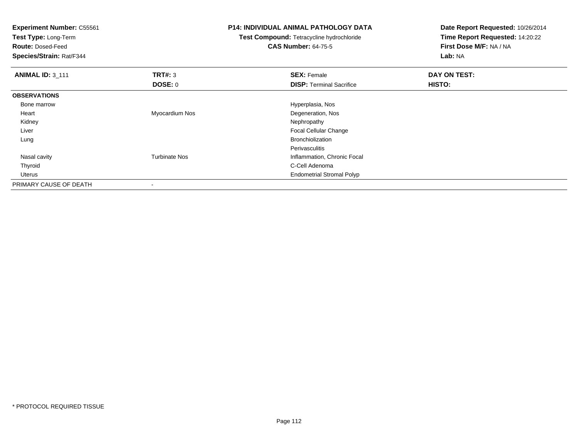| <b>Experiment Number: C55561</b><br>Test Type: Long-Term<br><b>Route: Dosed-Feed</b><br>Species/Strain: Rat/F344 |                      | <b>P14: INDIVIDUAL ANIMAL PATHOLOGY DATA</b><br>Test Compound: Tetracycline hydrochloride<br><b>CAS Number: 64-75-5</b> | Date Report Requested: 10/26/2014<br>Time Report Requested: 14:20:22<br>First Dose M/F: NA / NA<br>Lab: NA |
|------------------------------------------------------------------------------------------------------------------|----------------------|-------------------------------------------------------------------------------------------------------------------------|------------------------------------------------------------------------------------------------------------|
| <b>ANIMAL ID: 3_111</b>                                                                                          | TRT#: 3              | <b>SEX: Female</b>                                                                                                      | DAY ON TEST:                                                                                               |
|                                                                                                                  | DOSE: 0              | <b>DISP:</b> Terminal Sacrifice                                                                                         | HISTO:                                                                                                     |
| <b>OBSERVATIONS</b>                                                                                              |                      |                                                                                                                         |                                                                                                            |
| Bone marrow                                                                                                      |                      | Hyperplasia, Nos                                                                                                        |                                                                                                            |
| Heart                                                                                                            | Myocardium Nos       | Degeneration, Nos                                                                                                       |                                                                                                            |
| Kidney                                                                                                           |                      | Nephropathy                                                                                                             |                                                                                                            |
| Liver                                                                                                            |                      | Focal Cellular Change                                                                                                   |                                                                                                            |
| Lung                                                                                                             |                      | <b>Bronchiolization</b>                                                                                                 |                                                                                                            |
|                                                                                                                  |                      | <b>Perivasculitis</b>                                                                                                   |                                                                                                            |
| Nasal cavity                                                                                                     | <b>Turbinate Nos</b> | Inflammation, Chronic Focal                                                                                             |                                                                                                            |
| Thyroid                                                                                                          |                      | C-Cell Adenoma                                                                                                          |                                                                                                            |
| Uterus                                                                                                           |                      | <b>Endometrial Stromal Polyp</b>                                                                                        |                                                                                                            |
| PRIMARY CAUSE OF DEATH                                                                                           |                      |                                                                                                                         |                                                                                                            |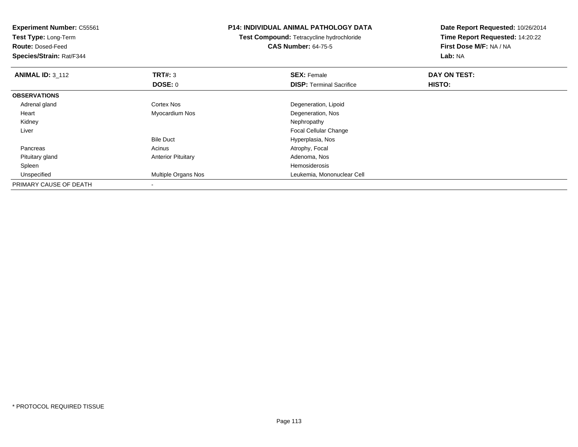| <b>Experiment Number: C55561</b><br>Test Type: Long-Term<br><b>Route: Dosed-Feed</b><br>Species/Strain: Rat/F344 |                            | <b>P14: INDIVIDUAL ANIMAL PATHOLOGY DATA</b><br>Test Compound: Tetracycline hydrochloride<br><b>CAS Number: 64-75-5</b> | Date Report Requested: 10/26/2014<br>Time Report Requested: 14:20:22<br>First Dose M/F: NA / NA<br>Lab: NA |
|------------------------------------------------------------------------------------------------------------------|----------------------------|-------------------------------------------------------------------------------------------------------------------------|------------------------------------------------------------------------------------------------------------|
| <b>ANIMAL ID: 3_112</b>                                                                                          | TRT#: 3                    | <b>SEX: Female</b>                                                                                                      | DAY ON TEST:                                                                                               |
|                                                                                                                  | DOSE: 0                    | <b>DISP:</b> Terminal Sacrifice                                                                                         | <b>HISTO:</b>                                                                                              |
| <b>OBSERVATIONS</b>                                                                                              |                            |                                                                                                                         |                                                                                                            |
| Adrenal gland                                                                                                    | Cortex Nos                 | Degeneration, Lipoid                                                                                                    |                                                                                                            |
| Heart                                                                                                            | Myocardium Nos             | Degeneration, Nos                                                                                                       |                                                                                                            |
| Kidney                                                                                                           |                            | Nephropathy                                                                                                             |                                                                                                            |
| Liver                                                                                                            |                            | Focal Cellular Change                                                                                                   |                                                                                                            |
|                                                                                                                  | <b>Bile Duct</b>           | Hyperplasia, Nos                                                                                                        |                                                                                                            |
| Pancreas                                                                                                         | Acinus                     | Atrophy, Focal                                                                                                          |                                                                                                            |
| Pituitary gland                                                                                                  | <b>Anterior Pituitary</b>  | Adenoma, Nos                                                                                                            |                                                                                                            |
| Spleen                                                                                                           |                            | Hemosiderosis                                                                                                           |                                                                                                            |
| Unspecified                                                                                                      | <b>Multiple Organs Nos</b> | Leukemia, Mononuclear Cell                                                                                              |                                                                                                            |
| PRIMARY CAUSE OF DEATH                                                                                           |                            |                                                                                                                         |                                                                                                            |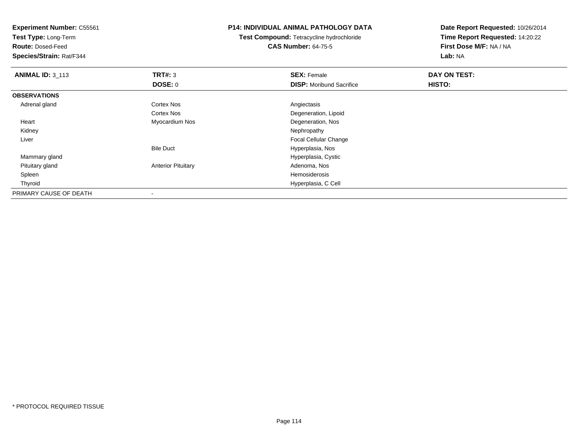**Test Type:** Long-Term

**Route:** Dosed-Feed

**Species/Strain:** Rat/F344

## **P14: INDIVIDUAL ANIMAL PATHOLOGY DATA**

**Test Compound:** Tetracycline hydrochloride**CAS Number:** 64-75-5

| <b>ANIMAL ID: 3_113</b> | TRT#: 3                   | <b>SEX: Female</b>              | DAY ON TEST: |  |
|-------------------------|---------------------------|---------------------------------|--------------|--|
|                         | <b>DOSE: 0</b>            | <b>DISP:</b> Moribund Sacrifice | HISTO:       |  |
| <b>OBSERVATIONS</b>     |                           |                                 |              |  |
| Adrenal gland           | <b>Cortex Nos</b>         | Angiectasis                     |              |  |
|                         | <b>Cortex Nos</b>         | Degeneration, Lipoid            |              |  |
| Heart                   | Myocardium Nos            | Degeneration, Nos               |              |  |
| Kidney                  |                           | Nephropathy                     |              |  |
| Liver                   |                           | <b>Focal Cellular Change</b>    |              |  |
|                         | <b>Bile Duct</b>          | Hyperplasia, Nos                |              |  |
| Mammary gland           |                           | Hyperplasia, Cystic             |              |  |
| Pituitary gland         | <b>Anterior Pituitary</b> | Adenoma, Nos                    |              |  |
| Spleen                  |                           | Hemosiderosis                   |              |  |
| Thyroid                 |                           | Hyperplasia, C Cell             |              |  |
| PRIMARY CAUSE OF DEATH  |                           |                                 |              |  |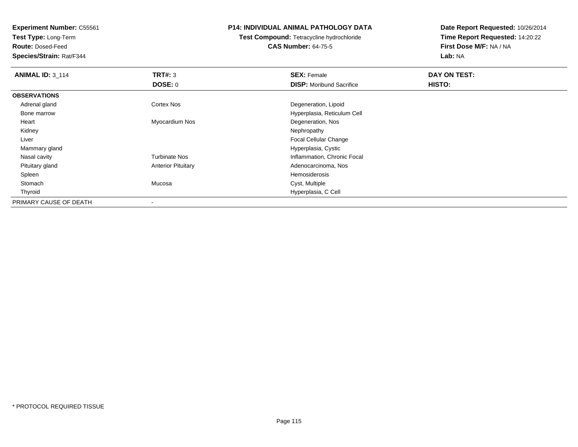**Test Type:** Long-Term

**Route:** Dosed-Feed

**Species/Strain:** Rat/F344

## **P14: INDIVIDUAL ANIMAL PATHOLOGY DATA**

**Test Compound:** Tetracycline hydrochloride**CAS Number:** 64-75-5

| <b>ANIMAL ID: 3_114</b> | TRT#: 3                   | <b>SEX: Female</b>              | DAY ON TEST: |  |
|-------------------------|---------------------------|---------------------------------|--------------|--|
|                         | DOSE: 0                   | <b>DISP:</b> Moribund Sacrifice | HISTO:       |  |
| <b>OBSERVATIONS</b>     |                           |                                 |              |  |
| Adrenal gland           | <b>Cortex Nos</b>         | Degeneration, Lipoid            |              |  |
| Bone marrow             |                           | Hyperplasia, Reticulum Cell     |              |  |
| Heart                   | Myocardium Nos            | Degeneration, Nos               |              |  |
| Kidney                  |                           | Nephropathy                     |              |  |
| Liver                   |                           | <b>Focal Cellular Change</b>    |              |  |
| Mammary gland           |                           | Hyperplasia, Cystic             |              |  |
| Nasal cavity            | <b>Turbinate Nos</b>      | Inflammation, Chronic Focal     |              |  |
| Pituitary gland         | <b>Anterior Pituitary</b> | Adenocarcinoma, Nos             |              |  |
| Spleen                  |                           | Hemosiderosis                   |              |  |
| Stomach                 | Mucosa                    | Cyst, Multiple                  |              |  |
| Thyroid                 |                           | Hyperplasia, C Cell             |              |  |
| PRIMARY CAUSE OF DEATH  |                           |                                 |              |  |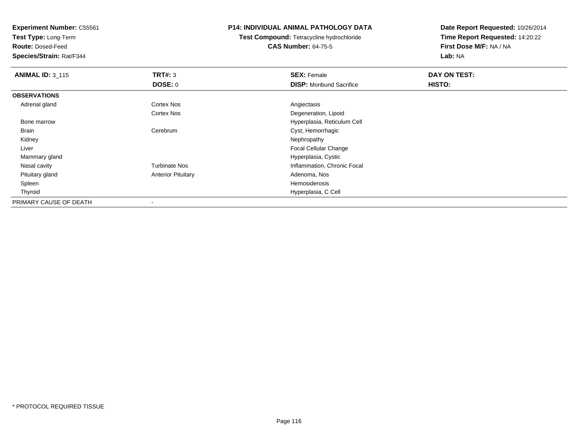**Test Type:** Long-Term

**Route:** Dosed-Feed

**Species/Strain:** Rat/F344

## **P14: INDIVIDUAL ANIMAL PATHOLOGY DATA**

**Test Compound:** Tetracycline hydrochloride**CAS Number:** 64-75-5

| <b>ANIMAL ID: 3_115</b> | TRT#: 3                   | <b>SEX: Female</b>              | DAY ON TEST: |  |
|-------------------------|---------------------------|---------------------------------|--------------|--|
|                         | <b>DOSE: 0</b>            | <b>DISP:</b> Moribund Sacrifice | HISTO:       |  |
| <b>OBSERVATIONS</b>     |                           |                                 |              |  |
| Adrenal gland           | Cortex Nos                | Angiectasis                     |              |  |
|                         | Cortex Nos                | Degeneration, Lipoid            |              |  |
| Bone marrow             |                           | Hyperplasia, Reticulum Cell     |              |  |
| Brain                   | Cerebrum                  | Cyst, Hemorrhagic               |              |  |
| Kidney                  |                           | Nephropathy                     |              |  |
| Liver                   |                           | <b>Focal Cellular Change</b>    |              |  |
| Mammary gland           |                           | Hyperplasia, Cystic             |              |  |
| Nasal cavity            | <b>Turbinate Nos</b>      | Inflammation, Chronic Focal     |              |  |
| Pituitary gland         | <b>Anterior Pituitary</b> | Adenoma, Nos                    |              |  |
| Spleen                  |                           | Hemosiderosis                   |              |  |
| Thyroid                 |                           | Hyperplasia, C Cell             |              |  |
| PRIMARY CAUSE OF DEATH  |                           |                                 |              |  |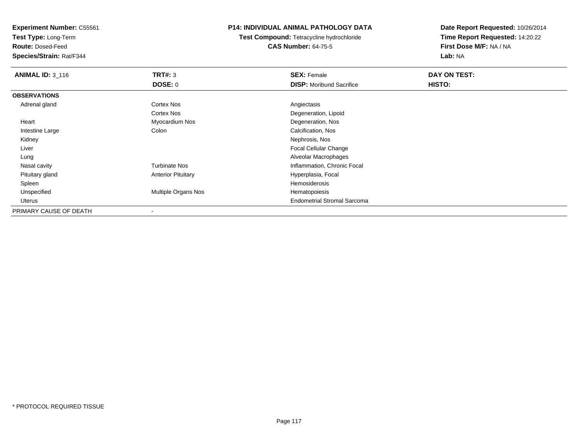**Test Type:** Long-Term

**Route:** Dosed-Feed

**Species/Strain:** Rat/F344

## **P14: INDIVIDUAL ANIMAL PATHOLOGY DATA**

**Test Compound:** Tetracycline hydrochloride**CAS Number:** 64-75-5

| <b>ANIMAL ID: 3_116</b> | TRT#: 3                    | <b>SEX: Female</b>                 | DAY ON TEST: |  |
|-------------------------|----------------------------|------------------------------------|--------------|--|
|                         | <b>DOSE: 0</b>             | <b>DISP:</b> Moribund Sacrifice    | HISTO:       |  |
| <b>OBSERVATIONS</b>     |                            |                                    |              |  |
| Adrenal gland           | <b>Cortex Nos</b>          | Angiectasis                        |              |  |
|                         | <b>Cortex Nos</b>          | Degeneration, Lipoid               |              |  |
| Heart                   | Myocardium Nos             | Degeneration, Nos                  |              |  |
| Intestine Large         | Colon                      | Calcification, Nos                 |              |  |
| Kidney                  |                            | Nephrosis, Nos                     |              |  |
| Liver                   |                            | <b>Focal Cellular Change</b>       |              |  |
| Lung                    |                            | Alveolar Macrophages               |              |  |
| Nasal cavity            | <b>Turbinate Nos</b>       | Inflammation, Chronic Focal        |              |  |
| Pituitary gland         | <b>Anterior Pituitary</b>  | Hyperplasia, Focal                 |              |  |
| Spleen                  |                            | Hemosiderosis                      |              |  |
| Unspecified             | <b>Multiple Organs Nos</b> | Hematopoiesis                      |              |  |
| Uterus                  |                            | <b>Endometrial Stromal Sarcoma</b> |              |  |
| PRIMARY CAUSE OF DEATH  |                            |                                    |              |  |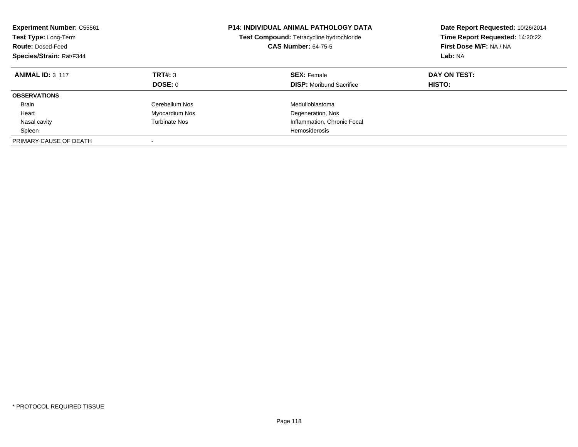| <b>Experiment Number: C55561</b><br>Test Type: Long-Term<br><b>Route: Dosed-Feed</b><br>Species/Strain: Rat/F344 |                      | <b>P14: INDIVIDUAL ANIMAL PATHOLOGY DATA</b><br>Test Compound: Tetracycline hydrochloride<br><b>CAS Number: 64-75-5</b> | Date Report Requested: 10/26/2014<br>Time Report Requested: 14:20:22<br>First Dose M/F: NA / NA<br>Lab: NA |
|------------------------------------------------------------------------------------------------------------------|----------------------|-------------------------------------------------------------------------------------------------------------------------|------------------------------------------------------------------------------------------------------------|
| <b>ANIMAL ID: 3 117</b>                                                                                          | TRT#: 3<br>DOSE: 0   | <b>SEX: Female</b><br><b>DISP:</b> Moribund Sacrifice                                                                   | DAY ON TEST:<br>HISTO:                                                                                     |
|                                                                                                                  |                      |                                                                                                                         |                                                                                                            |
| <b>OBSERVATIONS</b>                                                                                              |                      |                                                                                                                         |                                                                                                            |
| <b>Brain</b>                                                                                                     | Cerebellum Nos       | Medulloblastoma                                                                                                         |                                                                                                            |
| Heart                                                                                                            | Myocardium Nos       | Degeneration, Nos                                                                                                       |                                                                                                            |
| Nasal cavity                                                                                                     | <b>Turbinate Nos</b> | Inflammation, Chronic Focal                                                                                             |                                                                                                            |
| Spleen                                                                                                           |                      | Hemosiderosis                                                                                                           |                                                                                                            |
| PRIMARY CAUSE OF DEATH                                                                                           |                      |                                                                                                                         |                                                                                                            |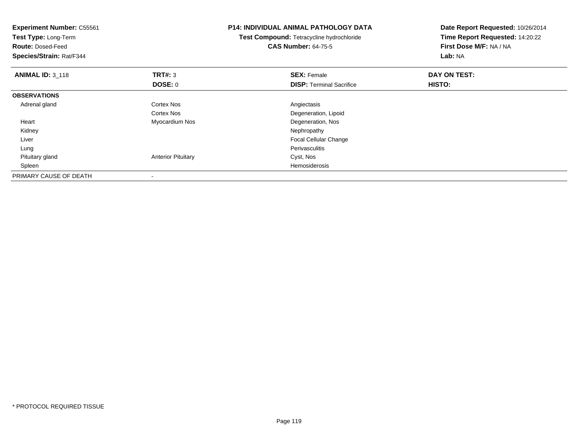| <b>Experiment Number: C55561</b><br>Test Type: Long-Term<br><b>Route: Dosed-Feed</b><br>Species/Strain: Rat/F344 |                           | <b>P14: INDIVIDUAL ANIMAL PATHOLOGY DATA</b><br>Test Compound: Tetracycline hydrochloride<br><b>CAS Number: 64-75-5</b> | Date Report Requested: 10/26/2014<br>Time Report Requested: 14:20:22<br>First Dose M/F: NA / NA<br>Lab: NA |
|------------------------------------------------------------------------------------------------------------------|---------------------------|-------------------------------------------------------------------------------------------------------------------------|------------------------------------------------------------------------------------------------------------|
| <b>ANIMAL ID: 3_118</b>                                                                                          | TRT#: 3                   | <b>SEX: Female</b>                                                                                                      | DAY ON TEST:                                                                                               |
|                                                                                                                  | <b>DOSE: 0</b>            | <b>DISP: Terminal Sacrifice</b>                                                                                         | HISTO:                                                                                                     |
| <b>OBSERVATIONS</b>                                                                                              |                           |                                                                                                                         |                                                                                                            |
| Adrenal gland                                                                                                    | Cortex Nos                | Angiectasis                                                                                                             |                                                                                                            |
|                                                                                                                  | Cortex Nos                | Degeneration, Lipoid                                                                                                    |                                                                                                            |
| Heart                                                                                                            | Myocardium Nos            | Degeneration, Nos                                                                                                       |                                                                                                            |
| Kidney                                                                                                           |                           | Nephropathy                                                                                                             |                                                                                                            |
| Liver                                                                                                            |                           | Focal Cellular Change                                                                                                   |                                                                                                            |
| Lung                                                                                                             |                           | Perivasculitis                                                                                                          |                                                                                                            |
| Pituitary gland                                                                                                  | <b>Anterior Pituitary</b> | Cyst, Nos                                                                                                               |                                                                                                            |
| Spleen                                                                                                           |                           | Hemosiderosis                                                                                                           |                                                                                                            |
| PRIMARY CAUSE OF DEATH                                                                                           |                           |                                                                                                                         |                                                                                                            |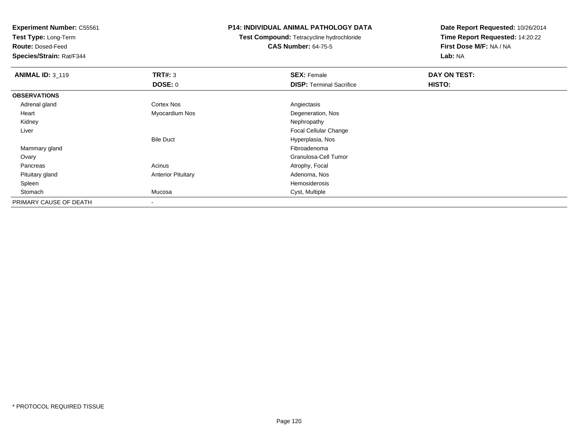**Test Type:** Long-Term

**Route:** Dosed-Feed

**Species/Strain:** Rat/F344

## **P14: INDIVIDUAL ANIMAL PATHOLOGY DATA**

**Test Compound:** Tetracycline hydrochloride**CAS Number:** 64-75-5

| <b>ANIMAL ID: 3_119</b> | <b>TRT#: 3</b>            | <b>SEX: Female</b>              | DAY ON TEST: |  |
|-------------------------|---------------------------|---------------------------------|--------------|--|
|                         | <b>DOSE: 0</b>            | <b>DISP: Terminal Sacrifice</b> | HISTO:       |  |
| <b>OBSERVATIONS</b>     |                           |                                 |              |  |
| Adrenal gland           | <b>Cortex Nos</b>         | Angiectasis                     |              |  |
| Heart                   | Myocardium Nos            | Degeneration, Nos               |              |  |
| Kidney                  |                           | Nephropathy                     |              |  |
| Liver                   |                           | <b>Focal Cellular Change</b>    |              |  |
|                         | <b>Bile Duct</b>          | Hyperplasia, Nos                |              |  |
| Mammary gland           |                           | Fibroadenoma                    |              |  |
| Ovary                   |                           | Granulosa-Cell Tumor            |              |  |
| Pancreas                | Acinus                    | Atrophy, Focal                  |              |  |
| Pituitary gland         | <b>Anterior Pituitary</b> | Adenoma, Nos                    |              |  |
| Spleen                  |                           | Hemosiderosis                   |              |  |
| Stomach                 | Mucosa                    | Cyst, Multiple                  |              |  |
| PRIMARY CAUSE OF DEATH  |                           |                                 |              |  |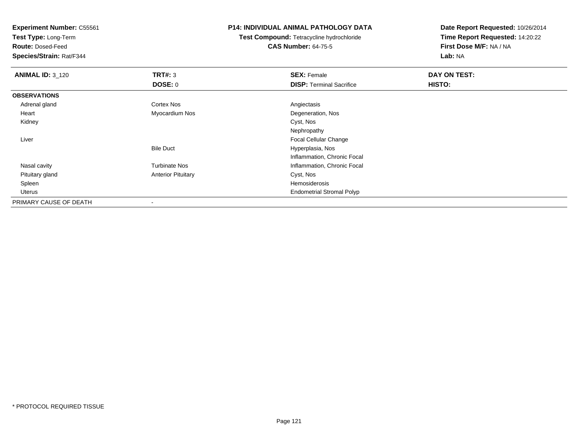**Test Type:** Long-Term

**Route:** Dosed-Feed

**Species/Strain:** Rat/F344

## **P14: INDIVIDUAL ANIMAL PATHOLOGY DATA**

**Test Compound:** Tetracycline hydrochloride**CAS Number:** 64-75-5

| <b>ANIMAL ID: 3_120</b> | TRT#: 3                   | <b>SEX: Female</b>               | DAY ON TEST: |  |
|-------------------------|---------------------------|----------------------------------|--------------|--|
|                         | <b>DOSE: 0</b>            | <b>DISP: Terminal Sacrifice</b>  | HISTO:       |  |
| <b>OBSERVATIONS</b>     |                           |                                  |              |  |
| Adrenal gland           | <b>Cortex Nos</b>         | Angiectasis                      |              |  |
| Heart                   | Myocardium Nos            | Degeneration, Nos                |              |  |
| Kidney                  |                           | Cyst, Nos                        |              |  |
|                         |                           | Nephropathy                      |              |  |
| Liver                   |                           | Focal Cellular Change            |              |  |
|                         | <b>Bile Duct</b>          | Hyperplasia, Nos                 |              |  |
|                         |                           | Inflammation, Chronic Focal      |              |  |
| Nasal cavity            | <b>Turbinate Nos</b>      | Inflammation, Chronic Focal      |              |  |
| Pituitary gland         | <b>Anterior Pituitary</b> | Cyst, Nos                        |              |  |
| Spleen                  |                           | Hemosiderosis                    |              |  |
| Uterus                  |                           | <b>Endometrial Stromal Polyp</b> |              |  |
| PRIMARY CAUSE OF DEATH  |                           |                                  |              |  |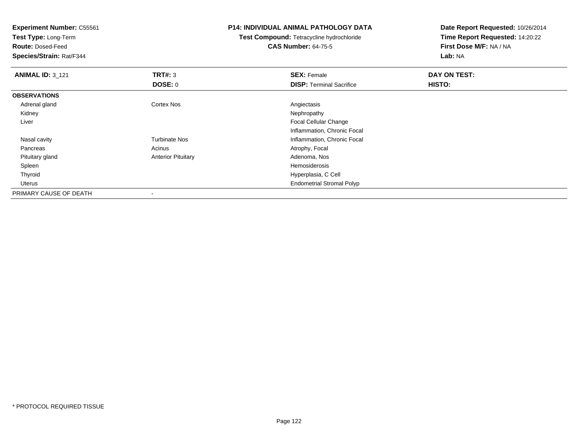| <b>Experiment Number: C55561</b> |                           | <b>P14: INDIVIDUAL ANIMAL PATHOLOGY DATA</b>     | Date Report Requested: 10/26/2014 |
|----------------------------------|---------------------------|--------------------------------------------------|-----------------------------------|
| Test Type: Long-Term             |                           | <b>Test Compound: Tetracycline hydrochloride</b> | Time Report Requested: 14:20:22   |
| <b>Route: Dosed-Feed</b>         |                           | <b>CAS Number: 64-75-5</b>                       | First Dose M/F: NA / NA           |
| Species/Strain: Rat/F344         |                           |                                                  | Lab: NA                           |
| <b>ANIMAL ID: 3_121</b>          | TRT#: 3                   | <b>SEX: Female</b>                               | DAY ON TEST:                      |
|                                  | DOSE: 0                   | <b>DISP: Terminal Sacrifice</b>                  | HISTO:                            |
| <b>OBSERVATIONS</b>              |                           |                                                  |                                   |
| Adrenal gland                    | Cortex Nos                | Angiectasis                                      |                                   |
| Kidney                           |                           | Nephropathy                                      |                                   |
| Liver                            |                           | Focal Cellular Change                            |                                   |
|                                  |                           | Inflammation, Chronic Focal                      |                                   |
| Nasal cavity                     | <b>Turbinate Nos</b>      | Inflammation, Chronic Focal                      |                                   |
| Pancreas                         | Acinus                    | Atrophy, Focal                                   |                                   |
| Pituitary gland                  | <b>Anterior Pituitary</b> | Adenoma, Nos                                     |                                   |
| Spleen                           |                           | Hemosiderosis                                    |                                   |
| Thyroid                          |                           | Hyperplasia, C Cell                              |                                   |
| Uterus                           |                           | <b>Endometrial Stromal Polyp</b>                 |                                   |
| PRIMARY CAUSE OF DEATH           |                           |                                                  |                                   |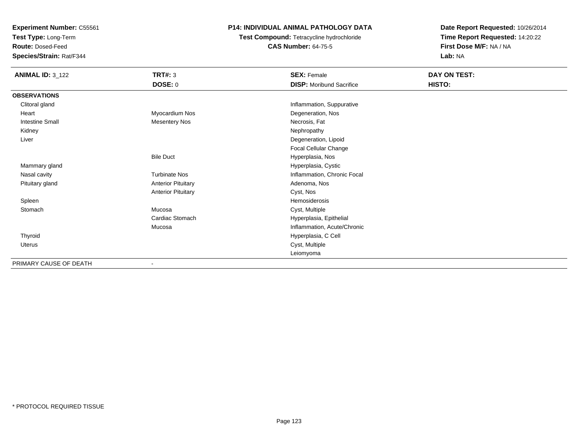**Test Type:** Long-Term

**Route:** Dosed-Feed

**Species/Strain:** Rat/F344

# **P14: INDIVIDUAL ANIMAL PATHOLOGY DATA**

**Test Compound:** Tetracycline hydrochloride**CAS Number:** 64-75-5

| <b>ANIMAL ID: 3_122</b> | <b>TRT#: 3</b><br><b>DOSE: 0</b> | <b>SEX: Female</b><br><b>DISP:</b> Moribund Sacrifice | DAY ON TEST:<br>HISTO: |
|-------------------------|----------------------------------|-------------------------------------------------------|------------------------|
|                         |                                  |                                                       |                        |
| <b>OBSERVATIONS</b>     |                                  |                                                       |                        |
| Clitoral gland          |                                  | Inflammation, Suppurative                             |                        |
| Heart                   | Myocardium Nos                   | Degeneration, Nos                                     |                        |
| <b>Intestine Small</b>  | <b>Mesentery Nos</b>             | Necrosis, Fat                                         |                        |
| Kidney                  |                                  | Nephropathy                                           |                        |
| Liver                   |                                  | Degeneration, Lipoid                                  |                        |
|                         |                                  | Focal Cellular Change                                 |                        |
|                         | <b>Bile Duct</b>                 | Hyperplasia, Nos                                      |                        |
| Mammary gland           |                                  | Hyperplasia, Cystic                                   |                        |
| Nasal cavity            | <b>Turbinate Nos</b>             | Inflammation, Chronic Focal                           |                        |
| Pituitary gland         | <b>Anterior Pituitary</b>        | Adenoma, Nos                                          |                        |
|                         | <b>Anterior Pituitary</b>        | Cyst, Nos                                             |                        |
| Spleen                  |                                  | Hemosiderosis                                         |                        |
| Stomach                 | Mucosa                           | Cyst, Multiple                                        |                        |
|                         | Cardiac Stomach                  | Hyperplasia, Epithelial                               |                        |
|                         | Mucosa                           | Inflammation, Acute/Chronic                           |                        |
| Thyroid                 |                                  | Hyperplasia, C Cell                                   |                        |
| Uterus                  |                                  | Cyst, Multiple                                        |                        |
|                         |                                  | Leiomyoma                                             |                        |
| PRIMARY CAUSE OF DEATH  | $\blacksquare$                   |                                                       |                        |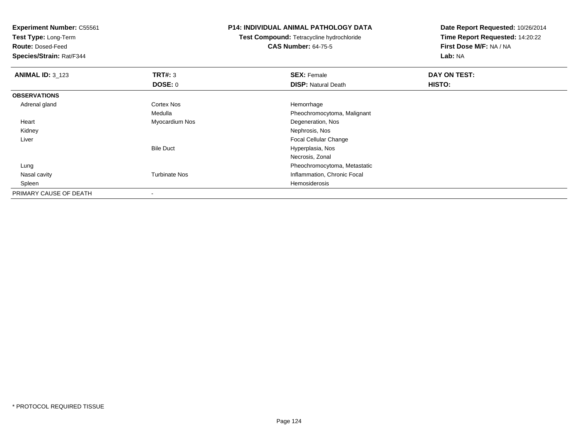**Test Type:** Long-Term

**Route:** Dosed-Feed

**Species/Strain:** Rat/F344

## **P14: INDIVIDUAL ANIMAL PATHOLOGY DATA**

**Test Compound:** Tetracycline hydrochloride**CAS Number:** 64-75-5

| <b>ANIMAL ID: 3_123</b> | TRT#: 3              | <b>SEX: Female</b>           | DAY ON TEST: |  |
|-------------------------|----------------------|------------------------------|--------------|--|
|                         | <b>DOSE: 0</b>       | <b>DISP: Natural Death</b>   | HISTO:       |  |
| <b>OBSERVATIONS</b>     |                      |                              |              |  |
| Adrenal gland           | <b>Cortex Nos</b>    | Hemorrhage                   |              |  |
|                         | Medulla              | Pheochromocytoma, Malignant  |              |  |
| Heart                   | Myocardium Nos       | Degeneration, Nos            |              |  |
| Kidney                  |                      | Nephrosis, Nos               |              |  |
| Liver                   |                      | <b>Focal Cellular Change</b> |              |  |
|                         | <b>Bile Duct</b>     | Hyperplasia, Nos             |              |  |
|                         |                      | Necrosis, Zonal              |              |  |
| Lung                    |                      | Pheochromocytoma, Metastatic |              |  |
| Nasal cavity            | <b>Turbinate Nos</b> | Inflammation, Chronic Focal  |              |  |
| Spleen                  |                      | Hemosiderosis                |              |  |
| PRIMARY CAUSE OF DEATH  |                      |                              |              |  |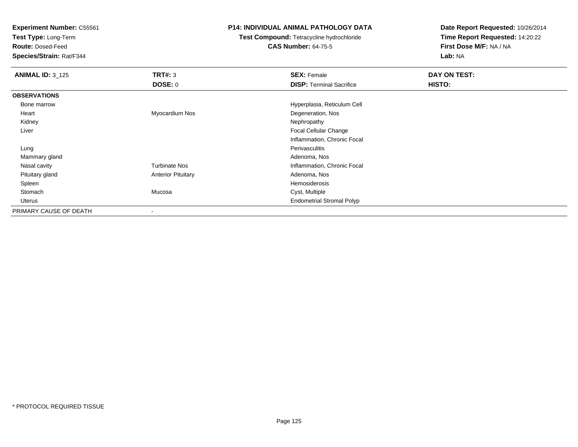**Test Type:** Long-Term

**Route:** Dosed-Feed

**Species/Strain:** Rat/F344

# **P14: INDIVIDUAL ANIMAL PATHOLOGY DATA**

**Test Compound:** Tetracycline hydrochloride**CAS Number:** 64-75-5

| <b>ANIMAL ID: 3_125</b> | TRT#: 3                   | <b>SEX: Female</b>               | DAY ON TEST: |  |
|-------------------------|---------------------------|----------------------------------|--------------|--|
|                         | <b>DOSE: 0</b>            | <b>DISP: Terminal Sacrifice</b>  | HISTO:       |  |
| <b>OBSERVATIONS</b>     |                           |                                  |              |  |
| Bone marrow             |                           | Hyperplasia, Reticulum Cell      |              |  |
| Heart                   | Myocardium Nos            | Degeneration, Nos                |              |  |
| Kidney                  |                           | Nephropathy                      |              |  |
| Liver                   |                           | <b>Focal Cellular Change</b>     |              |  |
|                         |                           | Inflammation, Chronic Focal      |              |  |
| Lung                    |                           | Perivasculitis                   |              |  |
| Mammary gland           |                           | Adenoma, Nos                     |              |  |
| Nasal cavity            | <b>Turbinate Nos</b>      | Inflammation, Chronic Focal      |              |  |
| Pituitary gland         | <b>Anterior Pituitary</b> | Adenoma, Nos                     |              |  |
| Spleen                  |                           | Hemosiderosis                    |              |  |
| Stomach                 | Mucosa                    | Cyst, Multiple                   |              |  |
| Uterus                  |                           | <b>Endometrial Stromal Polyp</b> |              |  |
| PRIMARY CAUSE OF DEATH  | $\overline{\phantom{a}}$  |                                  |              |  |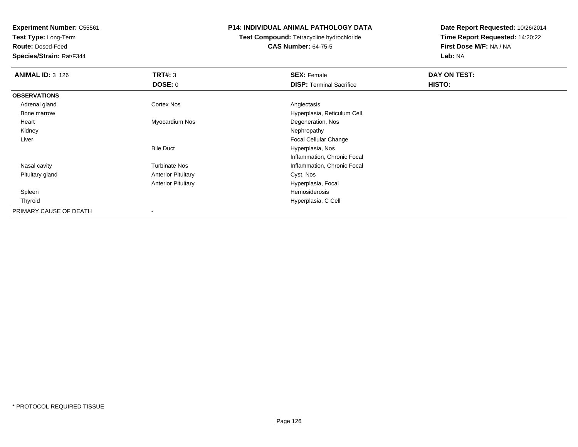**Test Type:** Long-Term

**Route:** Dosed-Feed

**Species/Strain:** Rat/F344

## **P14: INDIVIDUAL ANIMAL PATHOLOGY DATA**

# **Test Compound:** Tetracycline hydrochloride**CAS Number:** 64-75-5

| <b>ANIMAL ID: 3_126</b> | TRT#: 3                   | <b>SEX: Female</b>              | DAY ON TEST: |  |
|-------------------------|---------------------------|---------------------------------|--------------|--|
|                         | DOSE: 0                   | <b>DISP: Terminal Sacrifice</b> | HISTO:       |  |
| <b>OBSERVATIONS</b>     |                           |                                 |              |  |
| Adrenal gland           | <b>Cortex Nos</b>         | Angiectasis                     |              |  |
| Bone marrow             |                           | Hyperplasia, Reticulum Cell     |              |  |
| Heart                   | Myocardium Nos            | Degeneration, Nos               |              |  |
| Kidney                  |                           | Nephropathy                     |              |  |
| Liver                   |                           | <b>Focal Cellular Change</b>    |              |  |
|                         | <b>Bile Duct</b>          | Hyperplasia, Nos                |              |  |
|                         |                           | Inflammation, Chronic Focal     |              |  |
| Nasal cavity            | <b>Turbinate Nos</b>      | Inflammation, Chronic Focal     |              |  |
| Pituitary gland         | <b>Anterior Pituitary</b> | Cyst, Nos                       |              |  |
|                         | <b>Anterior Pituitary</b> | Hyperplasia, Focal              |              |  |
| Spleen                  |                           | Hemosiderosis                   |              |  |
| Thyroid                 |                           | Hyperplasia, C Cell             |              |  |
| PRIMARY CAUSE OF DEATH  |                           |                                 |              |  |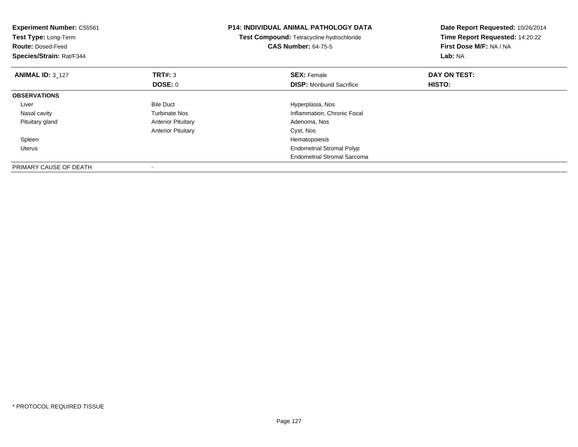| <b>Experiment Number: C55561</b><br>Test Type: Long-Term<br><b>Route: Dosed-Feed</b><br>Species/Strain: Rat/F344 |                           | <b>P14: INDIVIDUAL ANIMAL PATHOLOGY DATA</b><br>Test Compound: Tetracycline hydrochloride<br><b>CAS Number: 64-75-5</b> | Date Report Requested: 10/26/2014<br>Time Report Requested: 14:20:22<br>First Dose M/F: NA / NA<br>Lab: NA |
|------------------------------------------------------------------------------------------------------------------|---------------------------|-------------------------------------------------------------------------------------------------------------------------|------------------------------------------------------------------------------------------------------------|
| <b>ANIMAL ID: 3 127</b>                                                                                          | <b>TRT#: 3</b>            | <b>SEX: Female</b>                                                                                                      | DAY ON TEST:                                                                                               |
|                                                                                                                  | DOSE: 0                   | <b>DISP:</b> Moribund Sacrifice                                                                                         | HISTO:                                                                                                     |
| <b>OBSERVATIONS</b>                                                                                              |                           |                                                                                                                         |                                                                                                            |
| Liver                                                                                                            | <b>Bile Duct</b>          | Hyperplasia, Nos                                                                                                        |                                                                                                            |
| Nasal cavity                                                                                                     | <b>Turbinate Nos</b>      | Inflammation, Chronic Focal                                                                                             |                                                                                                            |
| Pituitary gland                                                                                                  | <b>Anterior Pituitary</b> | Adenoma, Nos                                                                                                            |                                                                                                            |
|                                                                                                                  | <b>Anterior Pituitary</b> | Cyst, Nos                                                                                                               |                                                                                                            |
| Spleen                                                                                                           |                           | Hematopoiesis                                                                                                           |                                                                                                            |
| <b>Uterus</b>                                                                                                    |                           | <b>Endometrial Stromal Polyp</b>                                                                                        |                                                                                                            |
|                                                                                                                  |                           | <b>Endometrial Stromal Sarcoma</b>                                                                                      |                                                                                                            |
| PRIMARY CAUSE OF DEATH                                                                                           |                           |                                                                                                                         |                                                                                                            |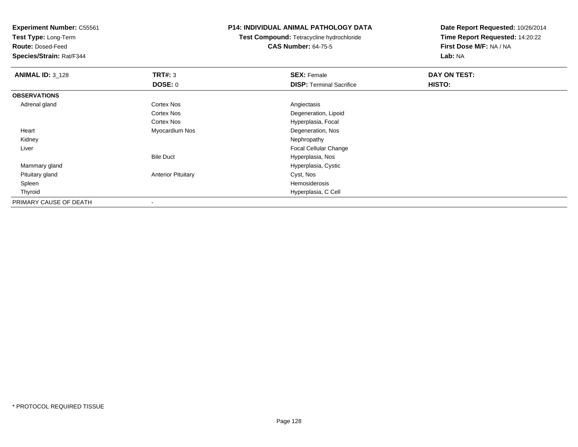**Test Type:** Long-Term

**Route:** Dosed-Feed

**Species/Strain:** Rat/F344

## **P14: INDIVIDUAL ANIMAL PATHOLOGY DATA**

**Test Compound:** Tetracycline hydrochloride**CAS Number:** 64-75-5

| <b>ANIMAL ID: 3_128</b> | TRT#: 3                   | <b>SEX: Female</b>              | DAY ON TEST: |  |
|-------------------------|---------------------------|---------------------------------|--------------|--|
|                         | <b>DOSE: 0</b>            | <b>DISP: Terminal Sacrifice</b> | HISTO:       |  |
| <b>OBSERVATIONS</b>     |                           |                                 |              |  |
| Adrenal gland           | Cortex Nos                | Angiectasis                     |              |  |
|                         | <b>Cortex Nos</b>         | Degeneration, Lipoid            |              |  |
|                         | <b>Cortex Nos</b>         | Hyperplasia, Focal              |              |  |
| Heart                   | Myocardium Nos            | Degeneration, Nos               |              |  |
| Kidney                  |                           | Nephropathy                     |              |  |
| Liver                   |                           | <b>Focal Cellular Change</b>    |              |  |
|                         | <b>Bile Duct</b>          | Hyperplasia, Nos                |              |  |
| Mammary gland           |                           | Hyperplasia, Cystic             |              |  |
| Pituitary gland         | <b>Anterior Pituitary</b> | Cyst, Nos                       |              |  |
| Spleen                  |                           | Hemosiderosis                   |              |  |
| Thyroid                 |                           | Hyperplasia, C Cell             |              |  |
| PRIMARY CAUSE OF DEATH  |                           |                                 |              |  |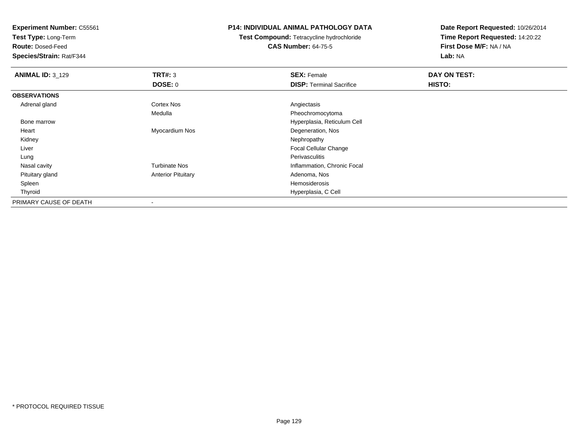**Test Type:** Long-Term

**Route:** Dosed-Feed

**Species/Strain:** Rat/F344

## **P14: INDIVIDUAL ANIMAL PATHOLOGY DATA**

**Test Compound:** Tetracycline hydrochloride**CAS Number:** 64-75-5

| <b>ANIMAL ID: 3_129</b> | TRT#: 3                   | <b>SEX: Female</b>              | DAY ON TEST: |  |
|-------------------------|---------------------------|---------------------------------|--------------|--|
|                         | <b>DOSE: 0</b>            | <b>DISP: Terminal Sacrifice</b> | HISTO:       |  |
| <b>OBSERVATIONS</b>     |                           |                                 |              |  |
| Adrenal gland           | <b>Cortex Nos</b>         | Angiectasis                     |              |  |
|                         | Medulla                   | Pheochromocytoma                |              |  |
| Bone marrow             |                           | Hyperplasia, Reticulum Cell     |              |  |
| Heart                   | Myocardium Nos            | Degeneration, Nos               |              |  |
| Kidney                  |                           | Nephropathy                     |              |  |
| Liver                   |                           | <b>Focal Cellular Change</b>    |              |  |
| Lung                    |                           | Perivasculitis                  |              |  |
| Nasal cavity            | <b>Turbinate Nos</b>      | Inflammation, Chronic Focal     |              |  |
| Pituitary gland         | <b>Anterior Pituitary</b> | Adenoma, Nos                    |              |  |
| Spleen                  |                           | Hemosiderosis                   |              |  |
| Thyroid                 |                           | Hyperplasia, C Cell             |              |  |
| PRIMARY CAUSE OF DEATH  | $\blacksquare$            |                                 |              |  |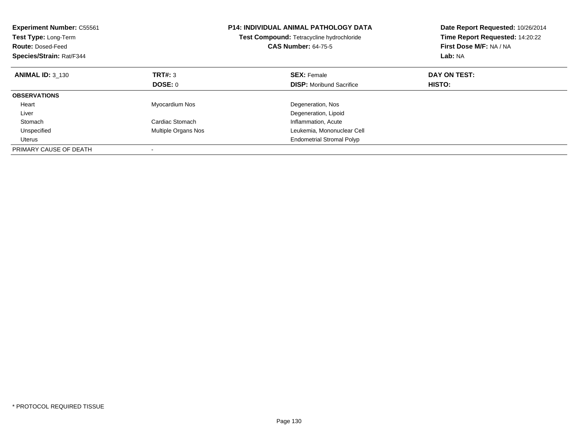| <b>Experiment Number: C55561</b><br>Test Type: Long-Term<br><b>Route: Dosed-Feed</b><br>Species/Strain: Rat/F344 |                            | <b>P14: INDIVIDUAL ANIMAL PATHOLOGY DATA</b><br>Test Compound: Tetracycline hydrochloride<br><b>CAS Number: 64-75-5</b> | Date Report Requested: 10/26/2014<br>Time Report Requested: 14:20:22<br>First Dose M/F: NA / NA<br>Lab: NA |
|------------------------------------------------------------------------------------------------------------------|----------------------------|-------------------------------------------------------------------------------------------------------------------------|------------------------------------------------------------------------------------------------------------|
| <b>ANIMAL ID: 3 130</b>                                                                                          | TRT#: 3                    | <b>SEX: Female</b>                                                                                                      | DAY ON TEST:                                                                                               |
|                                                                                                                  | DOSE: 0                    | <b>DISP:</b> Moribund Sacrifice                                                                                         | HISTO:                                                                                                     |
| <b>OBSERVATIONS</b>                                                                                              |                            |                                                                                                                         |                                                                                                            |
| Heart                                                                                                            | Myocardium Nos             | Degeneration, Nos                                                                                                       |                                                                                                            |
| Liver                                                                                                            |                            | Degeneration, Lipoid                                                                                                    |                                                                                                            |
| Stomach                                                                                                          | Cardiac Stomach            | Inflammation, Acute                                                                                                     |                                                                                                            |
| Unspecified                                                                                                      | <b>Multiple Organs Nos</b> | Leukemia, Mononuclear Cell                                                                                              |                                                                                                            |
| Uterus                                                                                                           |                            | <b>Endometrial Stromal Polyp</b>                                                                                        |                                                                                                            |
| PRIMARY CAUSE OF DEATH                                                                                           |                            |                                                                                                                         |                                                                                                            |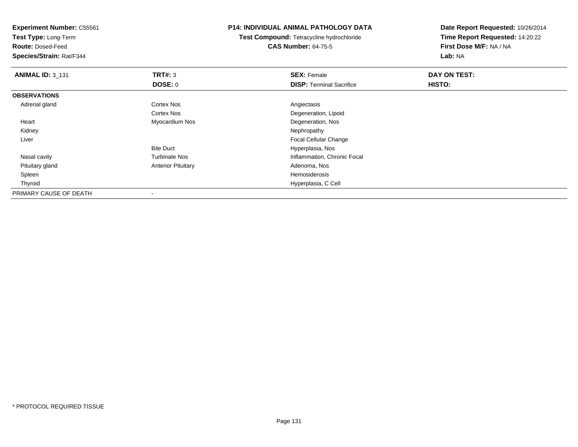**Experiment Number:** C55561**Test Type:** Long-Term**Route:** Dosed-Feed **Species/Strain:** Rat/F344**P14: INDIVIDUAL ANIMAL PATHOLOGY DATATest Compound:** Tetracycline hydrochloride**CAS Number:** 64-75-5**Date Report Requested:** 10/26/2014**Time Report Requested:** 14:20:22**First Dose M/F:** NA / NA**Lab:** NA**ANIMAL ID:** 3\_131**TRT#:** 3 **SEX:** Female **DAY ON TEST: DOSE:** 0**DISP:** Terminal Sacrifice **HISTO: OBSERVATIONS** Adrenal glandd and the Cortex Nos and the Cortex Nos and the Angiectasis Cortex Nos Degeneration, Lipoid Heart Myocardium Nos Degeneration, Nos Kidneyy the control of the control of the control of the control of the control of the control of the control of the control of the control of the control of the control of the control of the control of the control of the contro Liver Focal Cellular ChangeBile Duct Hyperplasia, Nosy metal of the Turbinate Nos and the Turbinate Nos and the Inflammation, Chronic Focal Nasal cavity Pituitary glandAnterior Pituitary **Adenoma, Nosting Adenoma, Nosting Adenoma**, Nosting Adenoma, Nosting Adenoma, Nosting Adenoma, Nosting Adenoma, Nosting Adenoma, Nosting Adenoma, Nosting Adenoma, Nosting Adenoma, Nosting Adenoma, Nosti Spleenn and the state of the state of the state of the state of the state of the state of the state of the state of the state of the state of the state of the state of the state of the state of the state of the state of the stat Thyroid Hyperplasia, C Cell PRIMARY CAUSE OF DEATH-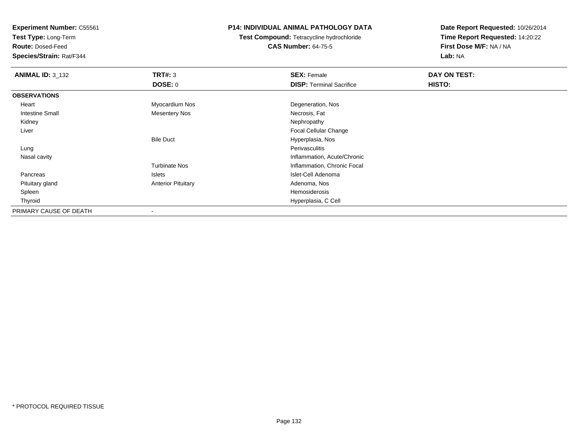**Test Type:** Long-Term

**Route:** Dosed-Feed

**Species/Strain:** Rat/F344

## **P14: INDIVIDUAL ANIMAL PATHOLOGY DATA**

**Test Compound:** Tetracycline hydrochloride**CAS Number:** 64-75-5

| <b>ANIMAL ID: 3 132</b> | TRT#: 3                   | <b>SEX: Female</b>              | DAY ON TEST: |  |
|-------------------------|---------------------------|---------------------------------|--------------|--|
|                         | <b>DOSE: 0</b>            | <b>DISP: Terminal Sacrifice</b> | HISTO:       |  |
| <b>OBSERVATIONS</b>     |                           |                                 |              |  |
| Heart                   | Myocardium Nos            | Degeneration, Nos               |              |  |
| <b>Intestine Small</b>  | <b>Mesentery Nos</b>      | Necrosis, Fat                   |              |  |
| Kidney                  |                           | Nephropathy                     |              |  |
| Liver                   |                           | Focal Cellular Change           |              |  |
|                         | <b>Bile Duct</b>          | Hyperplasia, Nos                |              |  |
| Lung                    |                           | Perivasculitis                  |              |  |
| Nasal cavity            |                           | Inflammation, Acute/Chronic     |              |  |
|                         | <b>Turbinate Nos</b>      | Inflammation, Chronic Focal     |              |  |
| Pancreas                | Islets                    | Islet-Cell Adenoma              |              |  |
| Pituitary gland         | <b>Anterior Pituitary</b> | Adenoma, Nos                    |              |  |
| Spleen                  |                           | Hemosiderosis                   |              |  |
| Thyroid                 |                           | Hyperplasia, C Cell             |              |  |
| PRIMARY CAUSE OF DEATH  | $\overline{\phantom{a}}$  |                                 |              |  |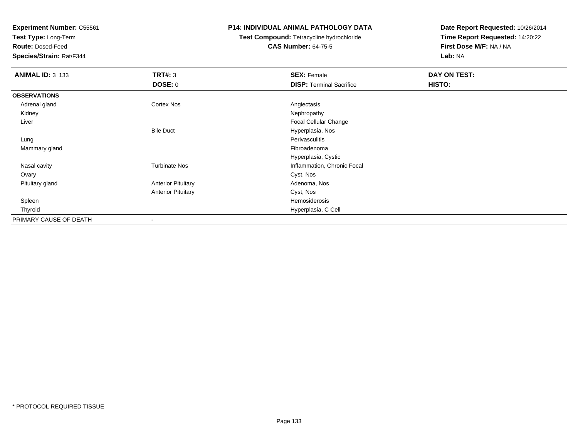**Test Type:** Long-Term

**Route:** Dosed-Feed

**Species/Strain:** Rat/F344

## **P14: INDIVIDUAL ANIMAL PATHOLOGY DATA**

**Test Compound:** Tetracycline hydrochloride**CAS Number:** 64-75-5

| <b>ANIMAL ID: 3_133</b> | TRT#: 3                   | <b>SEX: Female</b>              | DAY ON TEST: |  |
|-------------------------|---------------------------|---------------------------------|--------------|--|
|                         | <b>DOSE: 0</b>            | <b>DISP: Terminal Sacrifice</b> | HISTO:       |  |
| <b>OBSERVATIONS</b>     |                           |                                 |              |  |
| Adrenal gland           | <b>Cortex Nos</b>         | Angiectasis                     |              |  |
| Kidney                  |                           | Nephropathy                     |              |  |
| Liver                   |                           | Focal Cellular Change           |              |  |
|                         | <b>Bile Duct</b>          | Hyperplasia, Nos                |              |  |
| Lung                    |                           | Perivasculitis                  |              |  |
| Mammary gland           |                           | Fibroadenoma                    |              |  |
|                         |                           | Hyperplasia, Cystic             |              |  |
| Nasal cavity            | <b>Turbinate Nos</b>      | Inflammation, Chronic Focal     |              |  |
| Ovary                   |                           | Cyst, Nos                       |              |  |
| Pituitary gland         | <b>Anterior Pituitary</b> | Adenoma, Nos                    |              |  |
|                         | <b>Anterior Pituitary</b> | Cyst, Nos                       |              |  |
| Spleen                  |                           | Hemosiderosis                   |              |  |
| Thyroid                 |                           | Hyperplasia, C Cell             |              |  |
| PRIMARY CAUSE OF DEATH  |                           |                                 |              |  |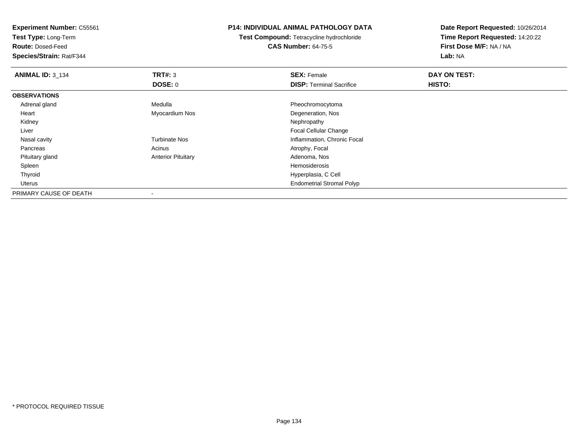**Experiment Number:** C55561**Test Type:** Long-Term**Route:** Dosed-Feed **Species/Strain:** Rat/F344**P14: INDIVIDUAL ANIMAL PATHOLOGY DATATest Compound:** Tetracycline hydrochloride**CAS Number:** 64-75-5**Date Report Requested:** 10/26/2014**Time Report Requested:** 14:20:22**First Dose M/F:** NA / NA**Lab:** NA**ANIMAL ID:** 3\_134**TRT#:** 3 **SEX:** Female **DAY ON TEST: DOSE:** 0**DISP:** Terminal Sacrifice **HISTO: OBSERVATIONS** Adrenal glandMedulla **Pheochromocytoma**  Heart Myocardium NosDegeneration, Nos<br>Nephropathy Kidneyy the control of the control of the control of the control of the control of the control of the control of the control of the control of the control of the control of the control of the control of the control of the contro Liver Focal Cellular Changey metal of the Turbinate Nos and the Turbinate Nos and the Inflammation, Chronic Focal Nasal cavity Pancreass and the contract of the Acinus Acinus and the Acinus Atrophy, Focal and the Atrophy, Focal and the Acinus Acinus Acinus Acinus Acinus Acinus Acinus Acinus Acinus Acinus Acinus Acinus Acinus Acinus Acinus Acinus Acinus Ac Pituitary glandAnterior Pituitary **Adenoma, Nosting Adenoma, Nosting Adenoma**, Nosting Adenoma, Nosting Adenoma, Nosting Adenoma, Nosting Adenoma, Nosting Adenoma, Nosting Adenoma, Nosting Adenoma, Nosting Adenoma, Nosting Adenoma, Nosti Spleenn and the state of the state of the state of the state of the state of the state of the state of the state of the state of the state of the state of the state of the state of the state of the state of the state of the stat Thyroid Hyperplasia, C Cell UterusEndometrial Stromal Polyp

PRIMARY CAUSE OF DEATH-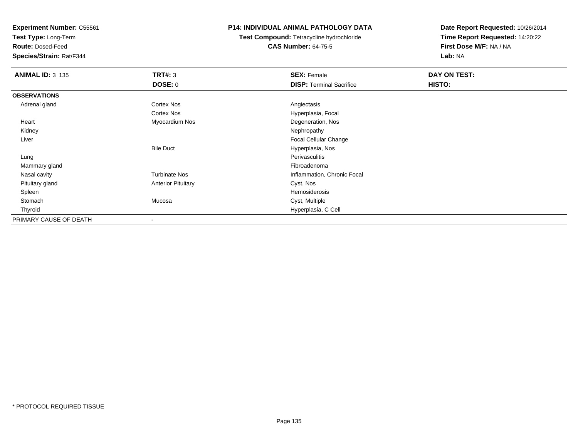**Test Type:** Long-Term

**Route:** Dosed-Feed

**Species/Strain:** Rat/F344

## **P14: INDIVIDUAL ANIMAL PATHOLOGY DATA**

**Test Compound:** Tetracycline hydrochloride**CAS Number:** 64-75-5

| <b>ANIMAL ID: 3_135</b> | <b>TRT#: 3</b>            | <b>SEX: Female</b>              | DAY ON TEST: |  |
|-------------------------|---------------------------|---------------------------------|--------------|--|
|                         | <b>DOSE: 0</b>            | <b>DISP: Terminal Sacrifice</b> | HISTO:       |  |
| <b>OBSERVATIONS</b>     |                           |                                 |              |  |
| Adrenal gland           | Cortex Nos                | Angiectasis                     |              |  |
|                         | Cortex Nos                | Hyperplasia, Focal              |              |  |
| Heart                   | Myocardium Nos            | Degeneration, Nos               |              |  |
| Kidney                  |                           | Nephropathy                     |              |  |
| Liver                   |                           | <b>Focal Cellular Change</b>    |              |  |
|                         | <b>Bile Duct</b>          | Hyperplasia, Nos                |              |  |
| Lung                    |                           | Perivasculitis                  |              |  |
| Mammary gland           |                           | Fibroadenoma                    |              |  |
| Nasal cavity            | <b>Turbinate Nos</b>      | Inflammation, Chronic Focal     |              |  |
| Pituitary gland         | <b>Anterior Pituitary</b> | Cyst, Nos                       |              |  |
| Spleen                  |                           | Hemosiderosis                   |              |  |
| Stomach                 | Mucosa                    | Cyst, Multiple                  |              |  |
| Thyroid                 |                           | Hyperplasia, C Cell             |              |  |
| PRIMARY CAUSE OF DEATH  | $\overline{\phantom{a}}$  |                                 |              |  |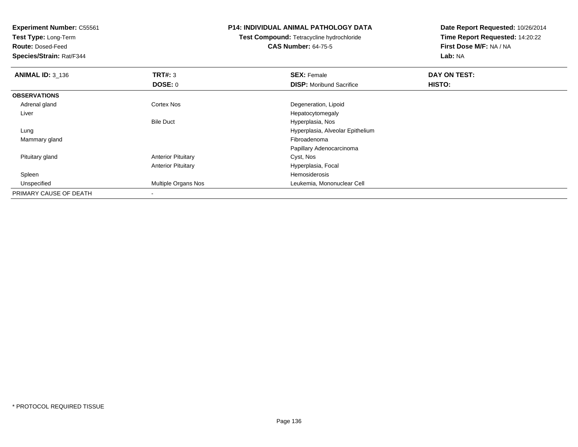**Test Type:** Long-Term

**Route:** Dosed-Feed

**Species/Strain:** Rat/F344

## **P14: INDIVIDUAL ANIMAL PATHOLOGY DATA**

**Test Compound:** Tetracycline hydrochloride**CAS Number:** 64-75-5

| <b>ANIMAL ID: 3 136</b> | TRT#: 3                   | <b>SEX: Female</b>               | DAY ON TEST: |  |
|-------------------------|---------------------------|----------------------------------|--------------|--|
|                         | <b>DOSE: 0</b>            | <b>DISP:</b> Moribund Sacrifice  | HISTO:       |  |
| <b>OBSERVATIONS</b>     |                           |                                  |              |  |
| Adrenal gland           | <b>Cortex Nos</b>         | Degeneration, Lipoid             |              |  |
| Liver                   |                           | Hepatocytomegaly                 |              |  |
|                         | <b>Bile Duct</b>          | Hyperplasia, Nos                 |              |  |
| Lung                    |                           | Hyperplasia, Alveolar Epithelium |              |  |
| Mammary gland           |                           | Fibroadenoma                     |              |  |
|                         |                           | Papillary Adenocarcinoma         |              |  |
| Pituitary gland         | <b>Anterior Pituitary</b> | Cyst, Nos                        |              |  |
|                         | <b>Anterior Pituitary</b> | Hyperplasia, Focal               |              |  |
| Spleen                  |                           | Hemosiderosis                    |              |  |
| Unspecified             | Multiple Organs Nos       | Leukemia, Mononuclear Cell       |              |  |
| PRIMARY CAUSE OF DEATH  | $\,$                      |                                  |              |  |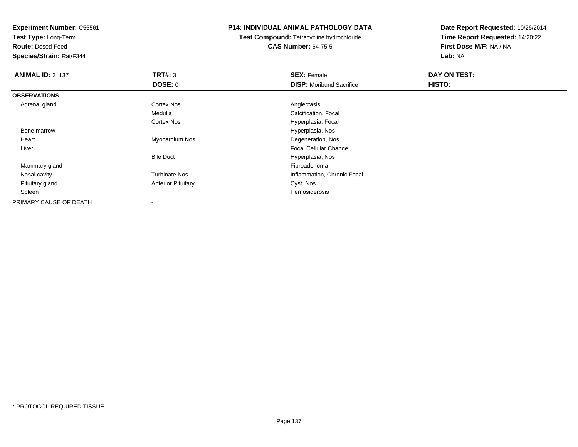**Test Type:** Long-Term

**Route:** Dosed-Feed

**Species/Strain:** Rat/F344

## **P14: INDIVIDUAL ANIMAL PATHOLOGY DATA**

**Test Compound:** Tetracycline hydrochloride**CAS Number:** 64-75-5

| <b>ANIMAL ID: 3_137</b> | TRT#: 3                   | <b>SEX: Female</b>              | DAY ON TEST: |  |
|-------------------------|---------------------------|---------------------------------|--------------|--|
|                         | DOSE: 0                   | <b>DISP:</b> Moribund Sacrifice | HISTO:       |  |
| <b>OBSERVATIONS</b>     |                           |                                 |              |  |
| Adrenal gland           | <b>Cortex Nos</b>         | Angiectasis                     |              |  |
|                         | Medulla                   | Calcification, Focal            |              |  |
|                         | <b>Cortex Nos</b>         | Hyperplasia, Focal              |              |  |
| Bone marrow             |                           | Hyperplasia, Nos                |              |  |
| Heart                   | Myocardium Nos            | Degeneration, Nos               |              |  |
| Liver                   |                           | <b>Focal Cellular Change</b>    |              |  |
|                         | <b>Bile Duct</b>          | Hyperplasia, Nos                |              |  |
| Mammary gland           |                           | Fibroadenoma                    |              |  |
| Nasal cavity            | <b>Turbinate Nos</b>      | Inflammation, Chronic Focal     |              |  |
| Pituitary gland         | <b>Anterior Pituitary</b> | Cyst, Nos                       |              |  |
| Spleen                  |                           | Hemosiderosis                   |              |  |
| PRIMARY CAUSE OF DEATH  |                           |                                 |              |  |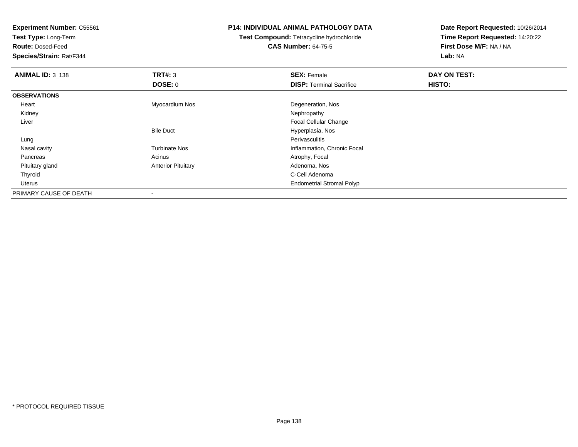**Test Type:** Long-Term

**Route:** Dosed-Feed

**Species/Strain:** Rat/F344

## **P14: INDIVIDUAL ANIMAL PATHOLOGY DATA**

**Test Compound:** Tetracycline hydrochloride**CAS Number:** 64-75-5

| <b>ANIMAL ID: 3_138</b> | TRT#: 3                   | <b>SEX: Female</b>               | DAY ON TEST: |  |
|-------------------------|---------------------------|----------------------------------|--------------|--|
|                         | <b>DOSE: 0</b>            | <b>DISP: Terminal Sacrifice</b>  | HISTO:       |  |
| <b>OBSERVATIONS</b>     |                           |                                  |              |  |
| Heart                   | Myocardium Nos            | Degeneration, Nos                |              |  |
| Kidney                  |                           | Nephropathy                      |              |  |
| Liver                   |                           | <b>Focal Cellular Change</b>     |              |  |
|                         | <b>Bile Duct</b>          | Hyperplasia, Nos                 |              |  |
| Lung                    |                           | Perivasculitis                   |              |  |
| Nasal cavity            | <b>Turbinate Nos</b>      | Inflammation, Chronic Focal      |              |  |
| Pancreas                | Acinus                    | Atrophy, Focal                   |              |  |
| Pituitary gland         | <b>Anterior Pituitary</b> | Adenoma, Nos                     |              |  |
| Thyroid                 |                           | C-Cell Adenoma                   |              |  |
| Uterus                  |                           | <b>Endometrial Stromal Polyp</b> |              |  |
| PRIMARY CAUSE OF DEATH  |                           |                                  |              |  |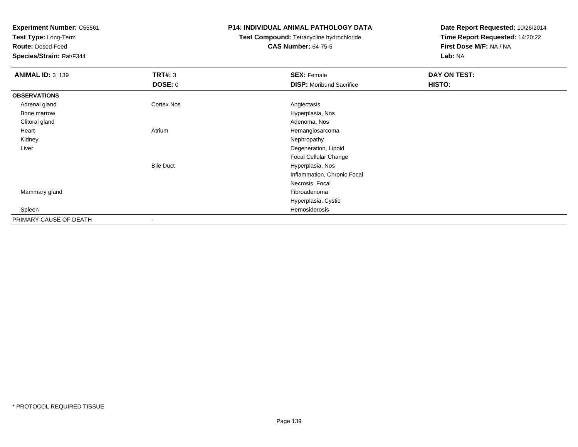**Test Type:** Long-Term

**Route:** Dosed-Feed

**Species/Strain:** Rat/F344

## **P14: INDIVIDUAL ANIMAL PATHOLOGY DATA**

# **Test Compound:** Tetracycline hydrochloride**CAS Number:** 64-75-5

| <b>ANIMAL ID: 3_139</b> | <b>TRT#: 3</b>    | <b>SEX: Female</b>              | <b>DAY ON TEST:</b> |  |
|-------------------------|-------------------|---------------------------------|---------------------|--|
|                         | <b>DOSE: 0</b>    | <b>DISP:</b> Moribund Sacrifice | HISTO:              |  |
| <b>OBSERVATIONS</b>     |                   |                                 |                     |  |
| Adrenal gland           | <b>Cortex Nos</b> | Angiectasis                     |                     |  |
| Bone marrow             |                   | Hyperplasia, Nos                |                     |  |
| Clitoral gland          |                   | Adenoma, Nos                    |                     |  |
| Heart                   | Atrium            | Hemangiosarcoma                 |                     |  |
| Kidney                  |                   | Nephropathy                     |                     |  |
| Liver                   |                   | Degeneration, Lipoid            |                     |  |
|                         |                   | Focal Cellular Change           |                     |  |
|                         | <b>Bile Duct</b>  | Hyperplasia, Nos                |                     |  |
|                         |                   | Inflammation, Chronic Focal     |                     |  |
|                         |                   | Necrosis, Focal                 |                     |  |
| Mammary gland           |                   | Fibroadenoma                    |                     |  |
|                         |                   | Hyperplasia, Cystic             |                     |  |
| Spleen                  |                   | Hemosiderosis                   |                     |  |
| PRIMARY CAUSE OF DEATH  |                   |                                 |                     |  |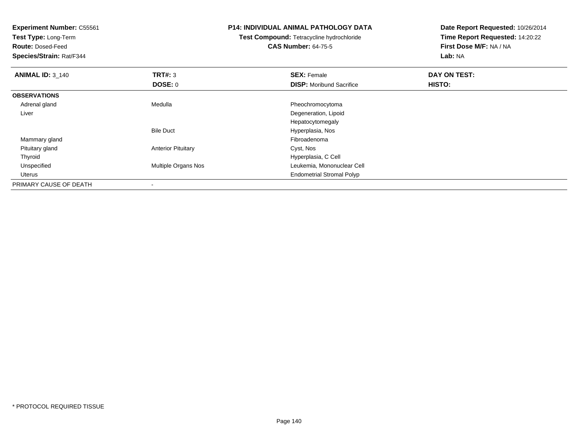| <b>Experiment Number: C55561</b><br>Test Type: Long-Term<br><b>Route: Dosed-Feed</b><br>Species/Strain: Rat/F344 |                           | <b>P14: INDIVIDUAL ANIMAL PATHOLOGY DATA</b><br>Test Compound: Tetracycline hydrochloride<br><b>CAS Number: 64-75-5</b> | Date Report Requested: 10/26/2014<br>Time Report Requested: 14:20:22<br>First Dose M/F: NA / NA<br>Lab: NA |
|------------------------------------------------------------------------------------------------------------------|---------------------------|-------------------------------------------------------------------------------------------------------------------------|------------------------------------------------------------------------------------------------------------|
| <b>ANIMAL ID: 3_140</b>                                                                                          | <b>TRT#: 3</b>            | <b>SEX: Female</b>                                                                                                      | DAY ON TEST:                                                                                               |
|                                                                                                                  | DOSE: 0                   | <b>DISP:</b> Moribund Sacrifice                                                                                         | HISTO:                                                                                                     |
| <b>OBSERVATIONS</b>                                                                                              |                           |                                                                                                                         |                                                                                                            |
| Adrenal gland                                                                                                    | Medulla                   | Pheochromocytoma                                                                                                        |                                                                                                            |
| Liver                                                                                                            |                           | Degeneration, Lipoid                                                                                                    |                                                                                                            |
|                                                                                                                  |                           | Hepatocytomegaly                                                                                                        |                                                                                                            |
|                                                                                                                  | <b>Bile Duct</b>          | Hyperplasia, Nos                                                                                                        |                                                                                                            |
| Mammary gland                                                                                                    |                           | Fibroadenoma                                                                                                            |                                                                                                            |
| Pituitary gland                                                                                                  | <b>Anterior Pituitary</b> | Cyst, Nos                                                                                                               |                                                                                                            |
| Thyroid                                                                                                          |                           | Hyperplasia, C Cell                                                                                                     |                                                                                                            |
| Unspecified                                                                                                      | Multiple Organs Nos       | Leukemia, Mononuclear Cell                                                                                              |                                                                                                            |
| Uterus                                                                                                           |                           | <b>Endometrial Stromal Polyp</b>                                                                                        |                                                                                                            |
| PRIMARY CAUSE OF DEATH                                                                                           |                           |                                                                                                                         |                                                                                                            |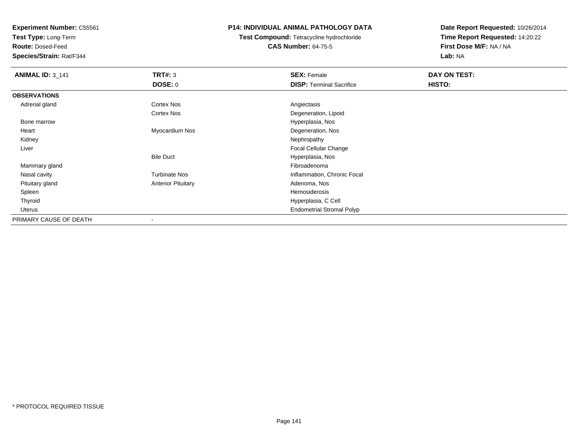**Test Type:** Long-Term

**Route:** Dosed-Feed

**Species/Strain:** Rat/F344

# **P14: INDIVIDUAL ANIMAL PATHOLOGY DATA**

**Test Compound:** Tetracycline hydrochloride**CAS Number:** 64-75-5

| <b>ANIMAL ID: 3_141</b> | TRT#: 3                   | <b>SEX: Female</b>               | DAY ON TEST: |  |
|-------------------------|---------------------------|----------------------------------|--------------|--|
|                         | <b>DOSE: 0</b>            | <b>DISP: Terminal Sacrifice</b>  | HISTO:       |  |
| <b>OBSERVATIONS</b>     |                           |                                  |              |  |
| Adrenal gland           | <b>Cortex Nos</b>         | Angiectasis                      |              |  |
|                         | <b>Cortex Nos</b>         | Degeneration, Lipoid             |              |  |
| Bone marrow             |                           | Hyperplasia, Nos                 |              |  |
| Heart                   | Myocardium Nos            | Degeneration, Nos                |              |  |
| Kidney                  |                           | Nephropathy                      |              |  |
| Liver                   |                           | <b>Focal Cellular Change</b>     |              |  |
|                         | <b>Bile Duct</b>          | Hyperplasia, Nos                 |              |  |
| Mammary gland           |                           | Fibroadenoma                     |              |  |
| Nasal cavity            | <b>Turbinate Nos</b>      | Inflammation, Chronic Focal      |              |  |
| Pituitary gland         | <b>Anterior Pituitary</b> | Adenoma, Nos                     |              |  |
| Spleen                  |                           | Hemosiderosis                    |              |  |
| Thyroid                 |                           | Hyperplasia, C Cell              |              |  |
| Uterus                  |                           | <b>Endometrial Stromal Polyp</b> |              |  |
| PRIMARY CAUSE OF DEATH  |                           |                                  |              |  |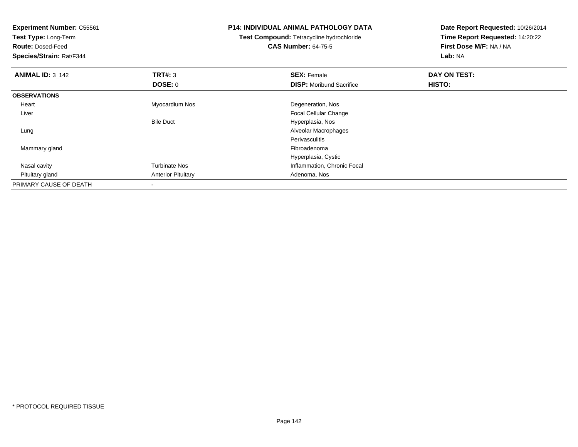| <b>Experiment Number: C55561</b><br>Test Type: Long-Term<br><b>Route: Dosed-Feed</b> |                           | <b>P14: INDIVIDUAL ANIMAL PATHOLOGY DATA</b><br>Test Compound: Tetracycline hydrochloride<br><b>CAS Number: 64-75-5</b> | Date Report Requested: 10/26/2014<br>Time Report Requested: 14:20:22<br>First Dose M/F: NA / NA |  |
|--------------------------------------------------------------------------------------|---------------------------|-------------------------------------------------------------------------------------------------------------------------|-------------------------------------------------------------------------------------------------|--|
| Species/Strain: Rat/F344                                                             |                           |                                                                                                                         | Lab: NA                                                                                         |  |
| <b>ANIMAL ID: 3_142</b>                                                              | TRT#: 3                   | <b>SEX: Female</b>                                                                                                      | DAY ON TEST:                                                                                    |  |
|                                                                                      | DOSE: 0                   | <b>DISP:</b> Moribund Sacrifice                                                                                         | HISTO:                                                                                          |  |
| <b>OBSERVATIONS</b>                                                                  |                           |                                                                                                                         |                                                                                                 |  |
| Heart                                                                                | Myocardium Nos            | Degeneration, Nos                                                                                                       |                                                                                                 |  |
| Liver                                                                                |                           | Focal Cellular Change                                                                                                   |                                                                                                 |  |
|                                                                                      | <b>Bile Duct</b>          | Hyperplasia, Nos                                                                                                        |                                                                                                 |  |
| Lung                                                                                 |                           | Alveolar Macrophages                                                                                                    |                                                                                                 |  |
|                                                                                      |                           | <b>Perivasculitis</b>                                                                                                   |                                                                                                 |  |
| Mammary gland                                                                        |                           | Fibroadenoma                                                                                                            |                                                                                                 |  |
|                                                                                      |                           | Hyperplasia, Cystic                                                                                                     |                                                                                                 |  |
| Nasal cavity                                                                         | <b>Turbinate Nos</b>      | Inflammation, Chronic Focal                                                                                             |                                                                                                 |  |
| Pituitary gland                                                                      | <b>Anterior Pituitary</b> | Adenoma, Nos                                                                                                            |                                                                                                 |  |
| PRIMARY CAUSE OF DEATH                                                               |                           |                                                                                                                         |                                                                                                 |  |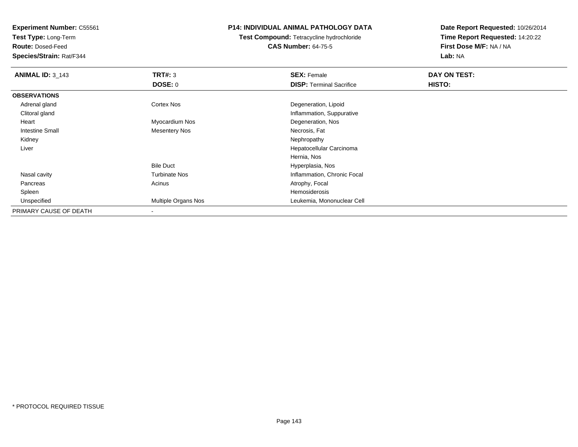**Test Type:** Long-Term

**Route:** Dosed-Feed

**Species/Strain:** Rat/F344

# **P14: INDIVIDUAL ANIMAL PATHOLOGY DATA**

**Test Compound:** Tetracycline hydrochloride**CAS Number:** 64-75-5

| <b>ANIMAL ID: 3_143</b> | TRT#: 3              | <b>SEX: Female</b>              | DAY ON TEST: |  |
|-------------------------|----------------------|---------------------------------|--------------|--|
|                         | DOSE: 0              | <b>DISP: Terminal Sacrifice</b> | HISTO:       |  |
| <b>OBSERVATIONS</b>     |                      |                                 |              |  |
| Adrenal gland           | Cortex Nos           | Degeneration, Lipoid            |              |  |
| Clitoral gland          |                      | Inflammation, Suppurative       |              |  |
| Heart                   | Myocardium Nos       | Degeneration, Nos               |              |  |
| Intestine Small         | <b>Mesentery Nos</b> | Necrosis, Fat                   |              |  |
| Kidney                  |                      | Nephropathy                     |              |  |
| Liver                   |                      | Hepatocellular Carcinoma        |              |  |
|                         |                      | Hernia, Nos                     |              |  |
|                         | <b>Bile Duct</b>     | Hyperplasia, Nos                |              |  |
| Nasal cavity            | <b>Turbinate Nos</b> | Inflammation, Chronic Focal     |              |  |
| Pancreas                | Acinus               | Atrophy, Focal                  |              |  |
| Spleen                  |                      | Hemosiderosis                   |              |  |
| Unspecified             | Multiple Organs Nos  | Leukemia, Mononuclear Cell      |              |  |
| PRIMARY CAUSE OF DEATH  |                      |                                 |              |  |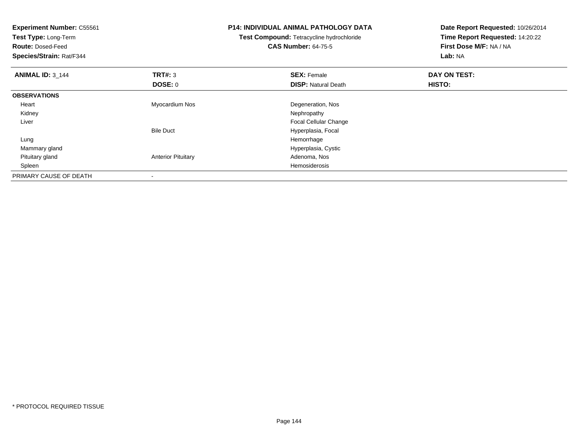| <b>Experiment Number: C55561</b><br>Test Type: Long-Term |                           | <b>P14: INDIVIDUAL ANIMAL PATHOLOGY DATA</b> | Date Report Requested: 10/26/2014 |
|----------------------------------------------------------|---------------------------|----------------------------------------------|-----------------------------------|
|                                                          |                           | Test Compound: Tetracycline hydrochloride    | Time Report Requested: 14:20:22   |
| <b>Route: Dosed-Feed</b>                                 |                           | <b>CAS Number: 64-75-5</b>                   | First Dose M/F: NA / NA           |
| Species/Strain: Rat/F344                                 |                           |                                              | Lab: NA                           |
| <b>ANIMAL ID: 3 144</b>                                  | TRT#: 3                   | <b>SEX: Female</b>                           | DAY ON TEST:                      |
|                                                          | DOSE: 0                   | <b>DISP: Natural Death</b>                   | HISTO:                            |
| <b>OBSERVATIONS</b>                                      |                           |                                              |                                   |
| Heart                                                    | Myocardium Nos            | Degeneration, Nos                            |                                   |
| Kidney                                                   |                           | Nephropathy                                  |                                   |
| Liver                                                    |                           | <b>Focal Cellular Change</b>                 |                                   |
|                                                          | <b>Bile Duct</b>          | Hyperplasia, Focal                           |                                   |
| Lung                                                     |                           | Hemorrhage                                   |                                   |
| Mammary gland                                            |                           | Hyperplasia, Cystic                          |                                   |
| Pituitary gland                                          | <b>Anterior Pituitary</b> | Adenoma, Nos                                 |                                   |
| Spleen                                                   |                           | Hemosiderosis                                |                                   |
| PRIMARY CAUSE OF DEATH                                   |                           |                                              |                                   |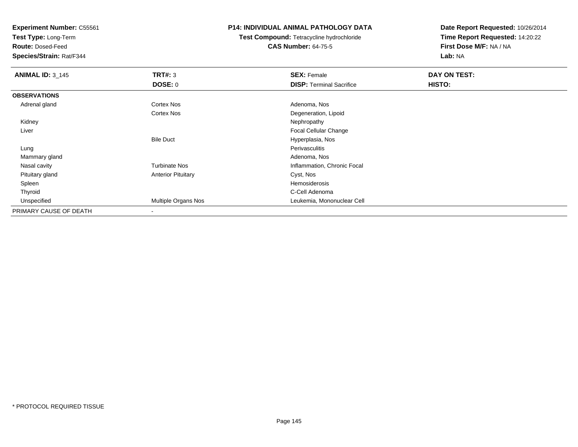**Test Type:** Long-Term

**Route:** Dosed-Feed

**Species/Strain:** Rat/F344

## **P14: INDIVIDUAL ANIMAL PATHOLOGY DATA**

**Test Compound:** Tetracycline hydrochloride**CAS Number:** 64-75-5

| <b>ANIMAL ID: 3 145</b> | TRT#: 3                   | <b>SEX: Female</b>              | DAY ON TEST: |  |
|-------------------------|---------------------------|---------------------------------|--------------|--|
|                         | DOSE: 0                   | <b>DISP: Terminal Sacrifice</b> | HISTO:       |  |
| <b>OBSERVATIONS</b>     |                           |                                 |              |  |
| Adrenal gland           | Cortex Nos                | Adenoma, Nos                    |              |  |
|                         | Cortex Nos                | Degeneration, Lipoid            |              |  |
| Kidney                  |                           | Nephropathy                     |              |  |
| Liver                   |                           | Focal Cellular Change           |              |  |
|                         | <b>Bile Duct</b>          | Hyperplasia, Nos                |              |  |
| Lung                    |                           | Perivasculitis                  |              |  |
| Mammary gland           |                           | Adenoma, Nos                    |              |  |
| Nasal cavity            | <b>Turbinate Nos</b>      | Inflammation, Chronic Focal     |              |  |
| Pituitary gland         | <b>Anterior Pituitary</b> | Cyst, Nos                       |              |  |
| Spleen                  |                           | Hemosiderosis                   |              |  |
| Thyroid                 |                           | C-Cell Adenoma                  |              |  |
| Unspecified             | Multiple Organs Nos       | Leukemia, Mononuclear Cell      |              |  |
| PRIMARY CAUSE OF DEATH  | $\overline{\phantom{a}}$  |                                 |              |  |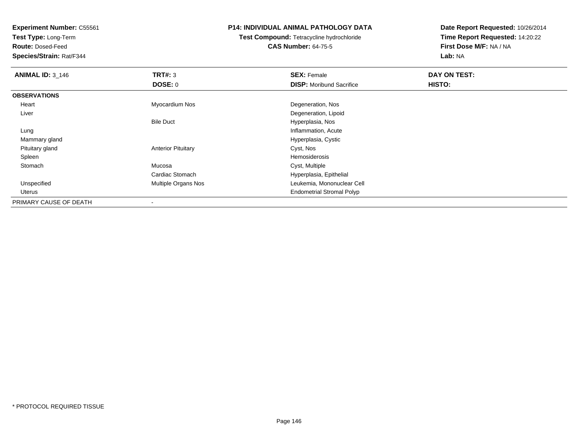**Test Type:** Long-Term

**Route:** Dosed-Feed

**Species/Strain:** Rat/F344

### **P14: INDIVIDUAL ANIMAL PATHOLOGY DATA**

# **Test Compound:** Tetracycline hydrochloride**CAS Number:** 64-75-5

| <b>ANIMAL ID: 3_146</b> | TRT#: 3                    | <b>SEX: Female</b>               | DAY ON TEST: |  |
|-------------------------|----------------------------|----------------------------------|--------------|--|
|                         | DOSE: 0                    | <b>DISP:</b> Moribund Sacrifice  | HISTO:       |  |
| <b>OBSERVATIONS</b>     |                            |                                  |              |  |
| Heart                   | Myocardium Nos             | Degeneration, Nos                |              |  |
| Liver                   |                            | Degeneration, Lipoid             |              |  |
|                         | <b>Bile Duct</b>           | Hyperplasia, Nos                 |              |  |
| Lung                    |                            | Inflammation, Acute              |              |  |
| Mammary gland           |                            | Hyperplasia, Cystic              |              |  |
| Pituitary gland         | <b>Anterior Pituitary</b>  | Cyst, Nos                        |              |  |
| Spleen                  |                            | Hemosiderosis                    |              |  |
| Stomach                 | Mucosa                     | Cyst, Multiple                   |              |  |
|                         | Cardiac Stomach            | Hyperplasia, Epithelial          |              |  |
| Unspecified             | <b>Multiple Organs Nos</b> | Leukemia, Mononuclear Cell       |              |  |
| Uterus                  |                            | <b>Endometrial Stromal Polyp</b> |              |  |
| PRIMARY CAUSE OF DEATH  |                            |                                  |              |  |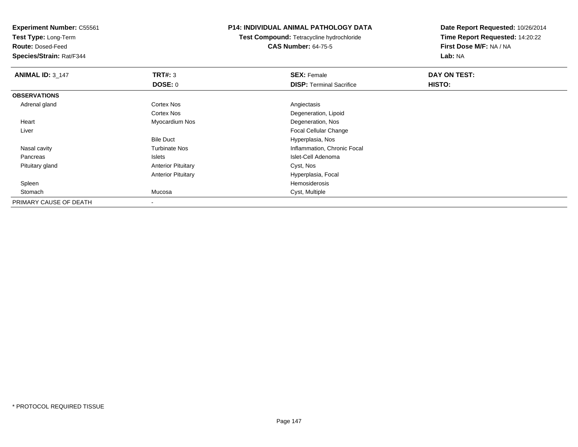**Test Type:** Long-Term

**Route:** Dosed-Feed

**Species/Strain:** Rat/F344

### **P14: INDIVIDUAL ANIMAL PATHOLOGY DATA**

**Test Compound:** Tetracycline hydrochloride**CAS Number:** 64-75-5

| <b>ANIMAL ID: 3_147</b> | TRT#: 3                   | <b>SEX: Female</b>              | DAY ON TEST: |  |
|-------------------------|---------------------------|---------------------------------|--------------|--|
|                         | <b>DOSE: 0</b>            | <b>DISP: Terminal Sacrifice</b> | HISTO:       |  |
| <b>OBSERVATIONS</b>     |                           |                                 |              |  |
| Adrenal gland           | Cortex Nos                | Angiectasis                     |              |  |
|                         | <b>Cortex Nos</b>         | Degeneration, Lipoid            |              |  |
| Heart                   | Myocardium Nos            | Degeneration, Nos               |              |  |
| Liver                   |                           | <b>Focal Cellular Change</b>    |              |  |
|                         | <b>Bile Duct</b>          | Hyperplasia, Nos                |              |  |
| Nasal cavity            | <b>Turbinate Nos</b>      | Inflammation, Chronic Focal     |              |  |
| Pancreas                | <b>Islets</b>             | Islet-Cell Adenoma              |              |  |
| Pituitary gland         | <b>Anterior Pituitary</b> | Cyst, Nos                       |              |  |
|                         | <b>Anterior Pituitary</b> | Hyperplasia, Focal              |              |  |
| Spleen                  |                           | Hemosiderosis                   |              |  |
| Stomach                 | Mucosa                    | Cyst, Multiple                  |              |  |
| PRIMARY CAUSE OF DEATH  |                           |                                 |              |  |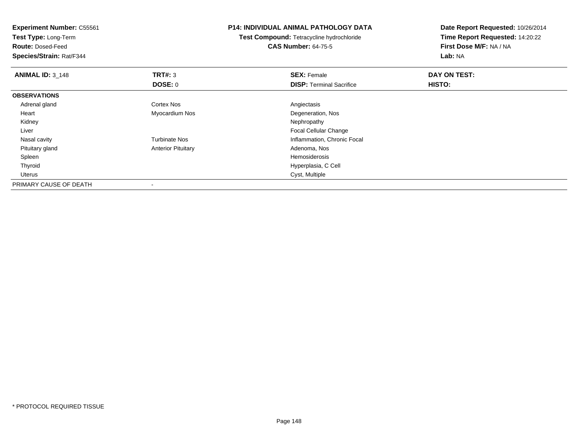| <b>Experiment Number: C55561</b><br>Test Type: Long-Term<br><b>Route: Dosed-Feed</b><br>Species/Strain: Rat/F344 |                           | <b>P14: INDIVIDUAL ANIMAL PATHOLOGY DATA</b><br>Test Compound: Tetracycline hydrochloride<br><b>CAS Number: 64-75-5</b> | Date Report Requested: 10/26/2014<br>Time Report Requested: 14:20:22<br>First Dose M/F: NA / NA<br>Lab: NA |  |
|------------------------------------------------------------------------------------------------------------------|---------------------------|-------------------------------------------------------------------------------------------------------------------------|------------------------------------------------------------------------------------------------------------|--|
|                                                                                                                  |                           |                                                                                                                         |                                                                                                            |  |
| <b>ANIMAL ID: 3 148</b>                                                                                          | TRT#: 3                   | <b>SEX: Female</b>                                                                                                      | DAY ON TEST:                                                                                               |  |
|                                                                                                                  | <b>DOSE: 0</b>            | <b>DISP: Terminal Sacrifice</b>                                                                                         | HISTO:                                                                                                     |  |
| <b>OBSERVATIONS</b>                                                                                              |                           |                                                                                                                         |                                                                                                            |  |
| Adrenal gland                                                                                                    | <b>Cortex Nos</b>         | Angiectasis                                                                                                             |                                                                                                            |  |
| Heart                                                                                                            | Myocardium Nos            | Degeneration, Nos                                                                                                       |                                                                                                            |  |
| Kidney                                                                                                           |                           | Nephropathy                                                                                                             |                                                                                                            |  |
| Liver                                                                                                            |                           | Focal Cellular Change                                                                                                   |                                                                                                            |  |
| Nasal cavity                                                                                                     | <b>Turbinate Nos</b>      | Inflammation, Chronic Focal                                                                                             |                                                                                                            |  |
| Pituitary gland                                                                                                  | <b>Anterior Pituitary</b> | Adenoma, Nos                                                                                                            |                                                                                                            |  |
| Spleen                                                                                                           |                           | <b>Hemosiderosis</b>                                                                                                    |                                                                                                            |  |
| Thyroid                                                                                                          |                           | Hyperplasia, C Cell                                                                                                     |                                                                                                            |  |
| Uterus                                                                                                           |                           | Cyst, Multiple                                                                                                          |                                                                                                            |  |
| PRIMARY CAUSE OF DEATH                                                                                           |                           |                                                                                                                         |                                                                                                            |  |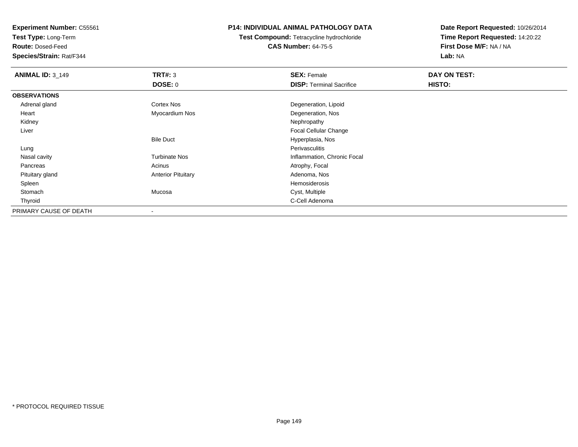**Test Type:** Long-Term

**Route:** Dosed-Feed

**Species/Strain:** Rat/F344

## **P14: INDIVIDUAL ANIMAL PATHOLOGY DATA**

**Test Compound:** Tetracycline hydrochloride**CAS Number:** 64-75-5

| <b>ANIMAL ID: 3 149</b> | TRT#: 3                   | <b>SEX: Female</b>              | DAY ON TEST: |  |
|-------------------------|---------------------------|---------------------------------|--------------|--|
|                         | <b>DOSE: 0</b>            | <b>DISP: Terminal Sacrifice</b> | HISTO:       |  |
| <b>OBSERVATIONS</b>     |                           |                                 |              |  |
| Adrenal gland           | <b>Cortex Nos</b>         | Degeneration, Lipoid            |              |  |
| Heart                   | Myocardium Nos            | Degeneration, Nos               |              |  |
| Kidney                  |                           | Nephropathy                     |              |  |
| Liver                   |                           | Focal Cellular Change           |              |  |
|                         | <b>Bile Duct</b>          | Hyperplasia, Nos                |              |  |
| Lung                    |                           | Perivasculitis                  |              |  |
| Nasal cavity            | <b>Turbinate Nos</b>      | Inflammation, Chronic Focal     |              |  |
| Pancreas                | Acinus                    | Atrophy, Focal                  |              |  |
| Pituitary gland         | <b>Anterior Pituitary</b> | Adenoma, Nos                    |              |  |
| Spleen                  |                           | Hemosiderosis                   |              |  |
| Stomach                 | Mucosa                    | Cyst, Multiple                  |              |  |
| Thyroid                 |                           | C-Cell Adenoma                  |              |  |
| PRIMARY CAUSE OF DEATH  |                           |                                 |              |  |